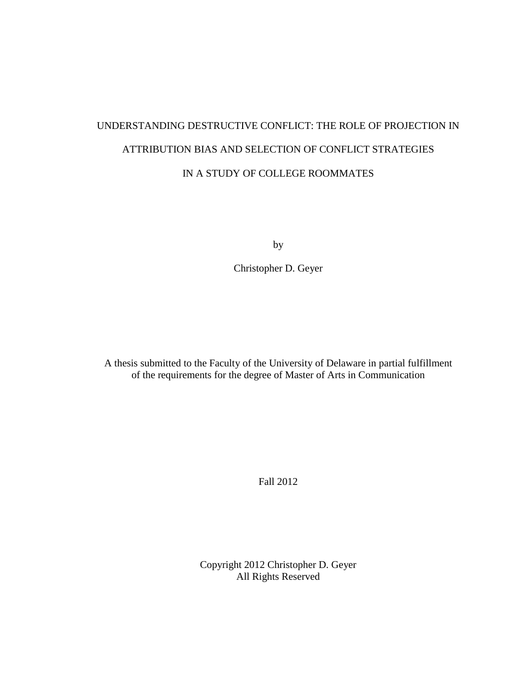# UNDERSTANDING DESTRUCTIVE CONFLICT: THE ROLE OF PROJECTION IN ATTRIBUTION BIAS AND SELECTION OF CONFLICT STRATEGIES IN A STUDY OF COLLEGE ROOMMATES

by

Christopher D. Geyer

A thesis submitted to the Faculty of the University of Delaware in partial fulfillment of the requirements for the degree of Master of Arts in Communication

Fall 2012

Copyright 2012 Christopher D. Geyer All Rights Reserved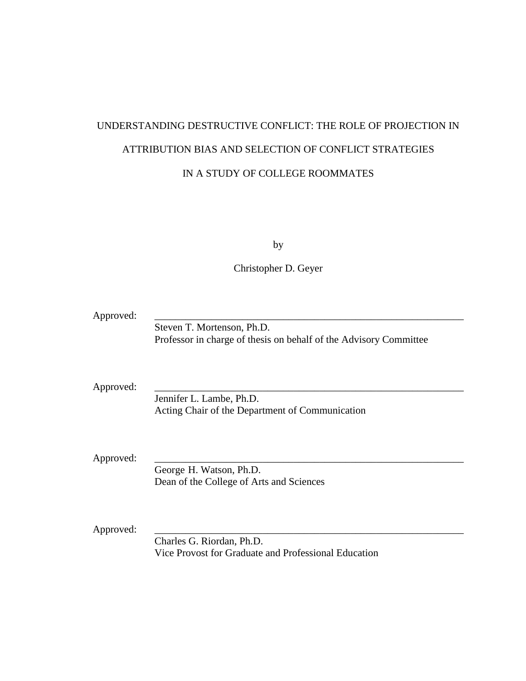# UNDERSTANDING DESTRUCTIVE CONFLICT: THE ROLE OF PROJECTION IN ATTRIBUTION BIAS AND SELECTION OF CONFLICT STRATEGIES IN A STUDY OF COLLEGE ROOMMATES

by

Christopher D. Geyer

| Approved: |                                                                   |
|-----------|-------------------------------------------------------------------|
|           | Steven T. Mortenson, Ph.D.                                        |
|           | Professor in charge of thesis on behalf of the Advisory Committee |
|           |                                                                   |
| Approved: |                                                                   |
|           | Jennifer L. Lambe, Ph.D.                                          |
|           | Acting Chair of the Department of Communication                   |
|           |                                                                   |
|           |                                                                   |
|           |                                                                   |
| Approved: |                                                                   |
|           | George H. Watson, Ph.D.                                           |
|           | Dean of the College of Arts and Sciences                          |
|           |                                                                   |
|           |                                                                   |
|           |                                                                   |
| Approved: |                                                                   |
|           | Charles G. Riordan, Ph.D.                                         |
|           | Vice Provost for Graduate and Professional Education              |
|           |                                                                   |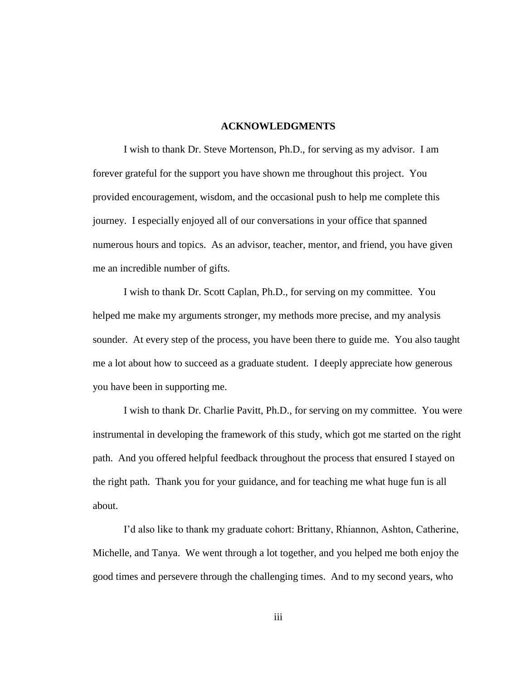#### **ACKNOWLEDGMENTS**

I wish to thank Dr. Steve Mortenson, Ph.D., for serving as my advisor. I am forever grateful for the support you have shown me throughout this project. You provided encouragement, wisdom, and the occasional push to help me complete this journey. I especially enjoyed all of our conversations in your office that spanned numerous hours and topics. As an advisor, teacher, mentor, and friend, you have given me an incredible number of gifts.

I wish to thank Dr. Scott Caplan, Ph.D., for serving on my committee. You helped me make my arguments stronger, my methods more precise, and my analysis sounder. At every step of the process, you have been there to guide me. You also taught me a lot about how to succeed as a graduate student. I deeply appreciate how generous you have been in supporting me.

I wish to thank Dr. Charlie Pavitt, Ph.D., for serving on my committee. You were instrumental in developing the framework of this study, which got me started on the right path. And you offered helpful feedback throughout the process that ensured I stayed on the right path. Thank you for your guidance, and for teaching me what huge fun is all about.

I'd also like to thank my graduate cohort: Brittany, Rhiannon, Ashton, Catherine, Michelle, and Tanya. We went through a lot together, and you helped me both enjoy the good times and persevere through the challenging times. And to my second years, who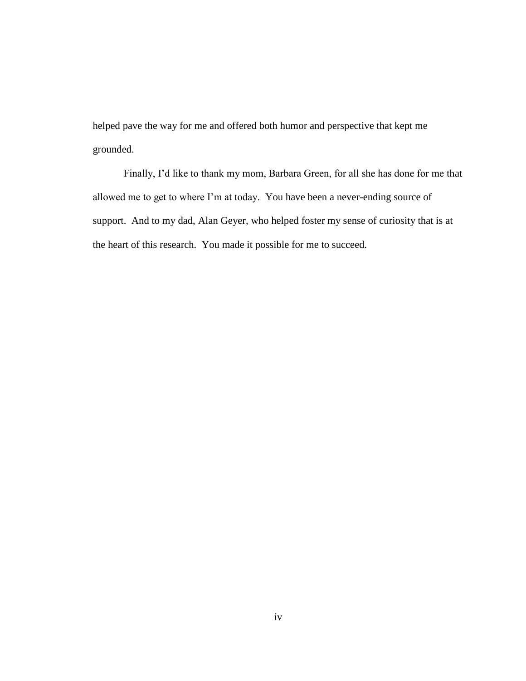helped pave the way for me and offered both humor and perspective that kept me grounded.

Finally, I'd like to thank my mom, Barbara Green, for all she has done for me that allowed me to get to where I'm at today. You have been a never-ending source of support. And to my dad, Alan Geyer, who helped foster my sense of curiosity that is at the heart of this research. You made it possible for me to succeed.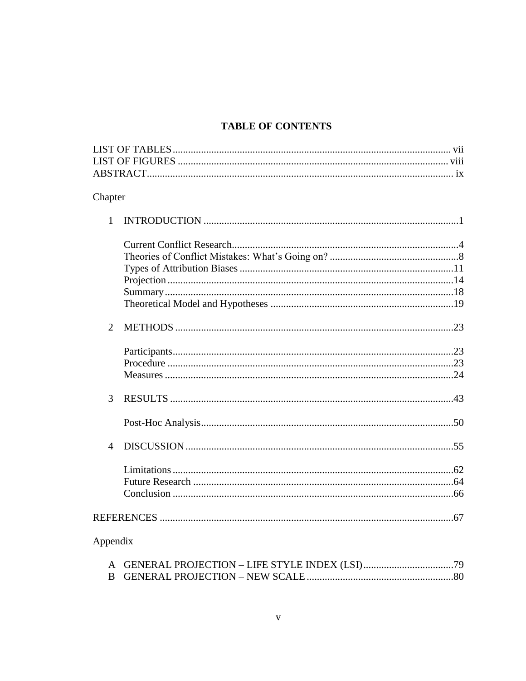# **TABLE OF CONTENTS**

| Chapter        |  |
|----------------|--|
| $\mathbf{1}$   |  |
|                |  |
|                |  |
|                |  |
|                |  |
|                |  |
|                |  |
| $\overline{2}$ |  |
|                |  |
|                |  |
|                |  |
| 3              |  |
|                |  |
| 4              |  |
|                |  |
|                |  |
|                |  |
|                |  |
| Appendix       |  |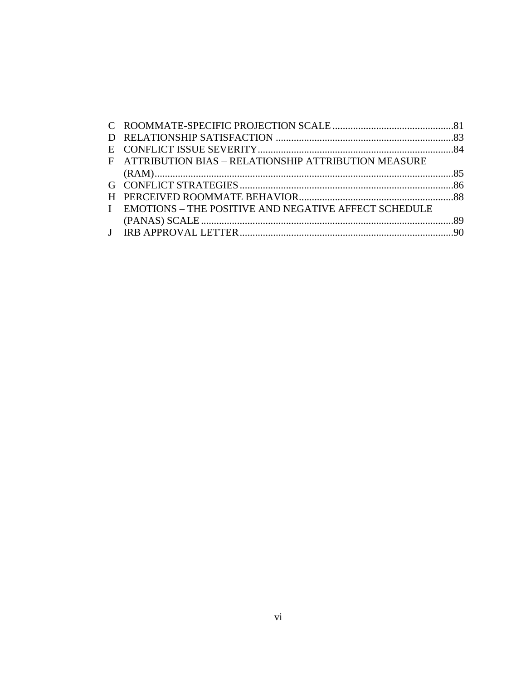| F ATTRIBUTION BIAS - RELATIONSHIP ATTRIBUTION MEASURE  |  |
|--------------------------------------------------------|--|
|                                                        |  |
|                                                        |  |
|                                                        |  |
| I EMOTIONS - THE POSITIVE AND NEGATIVE AFFECT SCHEDULE |  |
|                                                        |  |
|                                                        |  |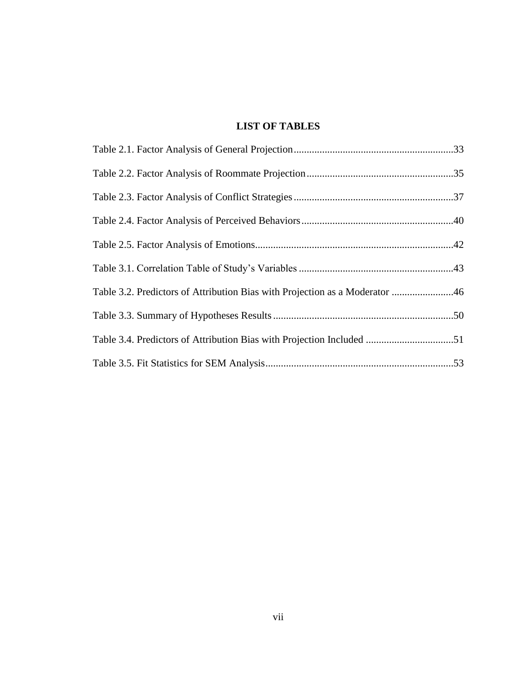# **LIST OF TABLES**

| Table 3.2. Predictors of Attribution Bias with Projection as a Moderator 46 |  |
|-----------------------------------------------------------------------------|--|
|                                                                             |  |
| Table 3.4. Predictors of Attribution Bias with Projection Included 51       |  |
|                                                                             |  |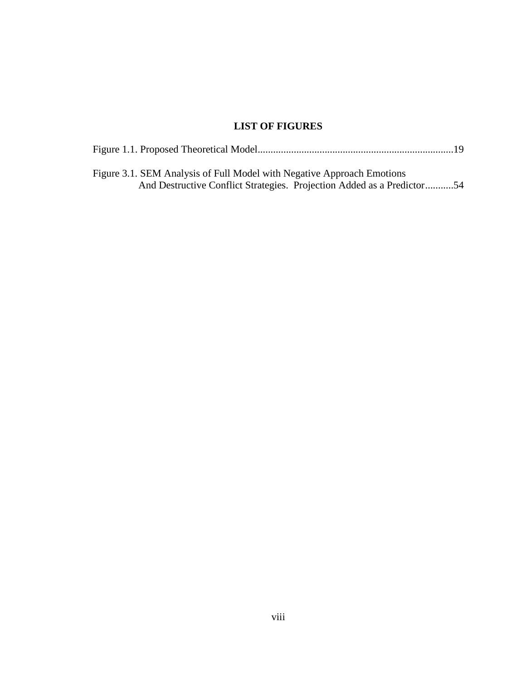# **LIST OF FIGURES**

| Figure 3.1. SEM Analysis of Full Model with Negative Approach Emotions |
|------------------------------------------------------------------------|
| And Destructive Conflict Strategies. Projection Added as a Predictor54 |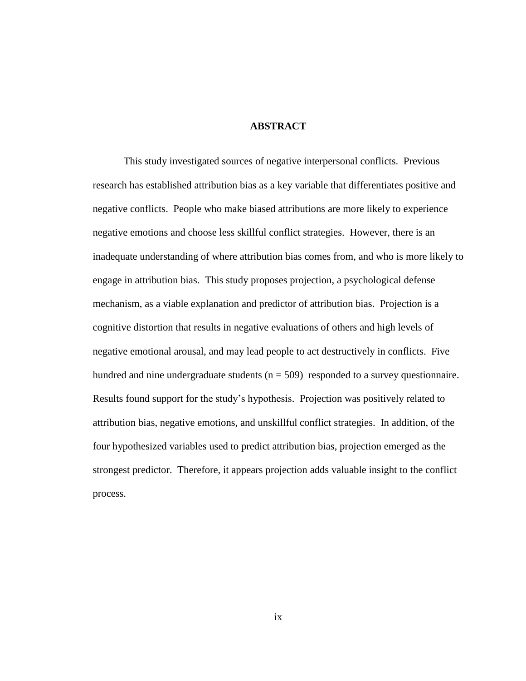### **ABSTRACT**

This study investigated sources of negative interpersonal conflicts. Previous research has established attribution bias as a key variable that differentiates positive and negative conflicts. People who make biased attributions are more likely to experience negative emotions and choose less skillful conflict strategies. However, there is an inadequate understanding of where attribution bias comes from, and who is more likely to engage in attribution bias. This study proposes projection, a psychological defense mechanism, as a viable explanation and predictor of attribution bias. Projection is a cognitive distortion that results in negative evaluations of others and high levels of negative emotional arousal, and may lead people to act destructively in conflicts. Five hundred and nine undergraduate students ( $n = 509$ ) responded to a survey questionnaire. Results found support for the study's hypothesis. Projection was positively related to attribution bias, negative emotions, and unskillful conflict strategies. In addition, of the four hypothesized variables used to predict attribution bias, projection emerged as the strongest predictor. Therefore, it appears projection adds valuable insight to the conflict process.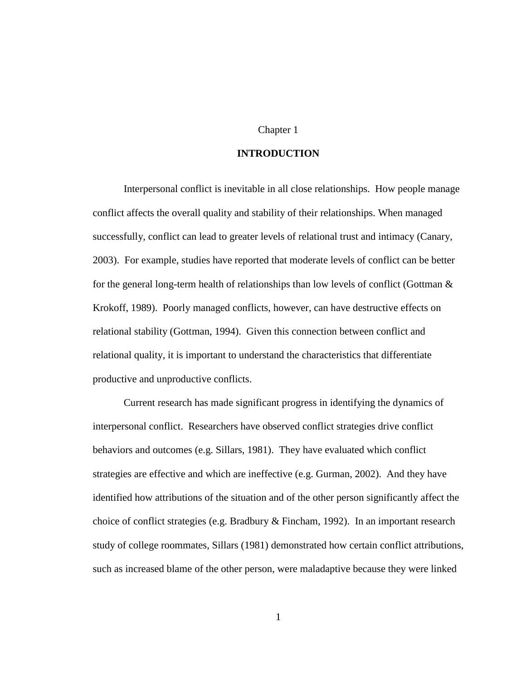# Chapter 1

# **INTRODUCTION**

Interpersonal conflict is inevitable in all close relationships. How people manage conflict affects the overall quality and stability of their relationships. When managed successfully, conflict can lead to greater levels of relational trust and intimacy (Canary, 2003). For example, studies have reported that moderate levels of conflict can be better for the general long-term health of relationships than low levels of conflict (Gottman  $\&$ Krokoff, 1989). Poorly managed conflicts, however, can have destructive effects on relational stability (Gottman, 1994). Given this connection between conflict and relational quality, it is important to understand the characteristics that differentiate productive and unproductive conflicts.

Current research has made significant progress in identifying the dynamics of interpersonal conflict. Researchers have observed conflict strategies drive conflict behaviors and outcomes (e.g. Sillars, 1981). They have evaluated which conflict strategies are effective and which are ineffective (e.g. Gurman, 2002). And they have identified how attributions of the situation and of the other person significantly affect the choice of conflict strategies (e.g. Bradbury & Fincham, 1992). In an important research study of college roommates, Sillars (1981) demonstrated how certain conflict attributions, such as increased blame of the other person, were maladaptive because they were linked

1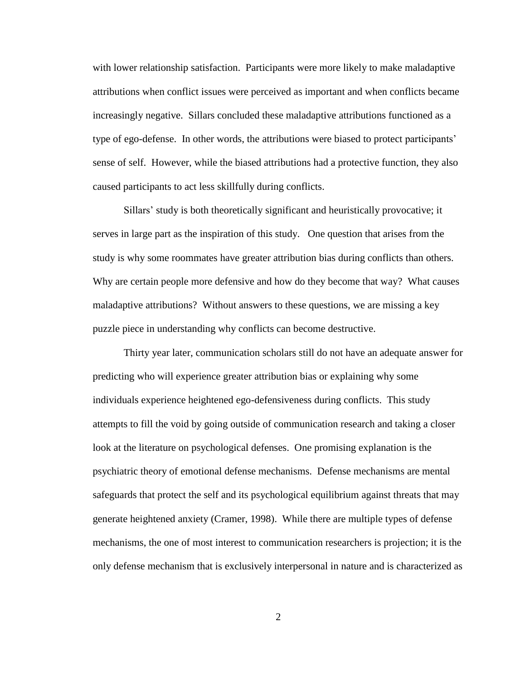with lower relationship satisfaction. Participants were more likely to make maladaptive attributions when conflict issues were perceived as important and when conflicts became increasingly negative. Sillars concluded these maladaptive attributions functioned as a type of ego-defense. In other words, the attributions were biased to protect participants' sense of self. However, while the biased attributions had a protective function, they also caused participants to act less skillfully during conflicts.

Sillars' study is both theoretically significant and heuristically provocative; it serves in large part as the inspiration of this study. One question that arises from the study is why some roommates have greater attribution bias during conflicts than others. Why are certain people more defensive and how do they become that way? What causes maladaptive attributions? Without answers to these questions, we are missing a key puzzle piece in understanding why conflicts can become destructive.

Thirty year later, communication scholars still do not have an adequate answer for predicting who will experience greater attribution bias or explaining why some individuals experience heightened ego-defensiveness during conflicts. This study attempts to fill the void by going outside of communication research and taking a closer look at the literature on psychological defenses. One promising explanation is the psychiatric theory of emotional defense mechanisms. Defense mechanisms are mental safeguards that protect the self and its psychological equilibrium against threats that may generate heightened anxiety (Cramer, 1998). While there are multiple types of defense mechanisms, the one of most interest to communication researchers is projection; it is the only defense mechanism that is exclusively interpersonal in nature and is characterized as

2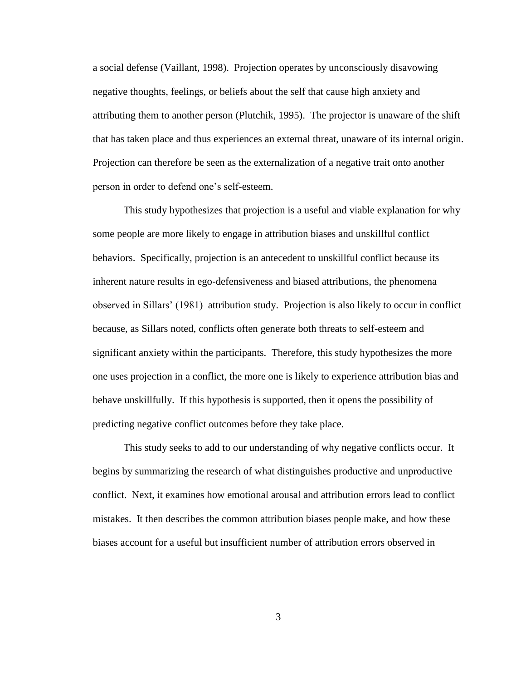a social defense (Vaillant, 1998). Projection operates by unconsciously disavowing negative thoughts, feelings, or beliefs about the self that cause high anxiety and attributing them to another person (Plutchik, 1995). The projector is unaware of the shift that has taken place and thus experiences an external threat, unaware of its internal origin. Projection can therefore be seen as the externalization of a negative trait onto another person in order to defend one's self-esteem.

This study hypothesizes that projection is a useful and viable explanation for why some people are more likely to engage in attribution biases and unskillful conflict behaviors. Specifically, projection is an antecedent to unskillful conflict because its inherent nature results in ego-defensiveness and biased attributions, the phenomena observed in Sillars' (1981) attribution study. Projection is also likely to occur in conflict because, as Sillars noted, conflicts often generate both threats to self-esteem and significant anxiety within the participants. Therefore, this study hypothesizes the more one uses projection in a conflict, the more one is likely to experience attribution bias and behave unskillfully. If this hypothesis is supported, then it opens the possibility of predicting negative conflict outcomes before they take place.

This study seeks to add to our understanding of why negative conflicts occur. It begins by summarizing the research of what distinguishes productive and unproductive conflict. Next, it examines how emotional arousal and attribution errors lead to conflict mistakes. It then describes the common attribution biases people make, and how these biases account for a useful but insufficient number of attribution errors observed in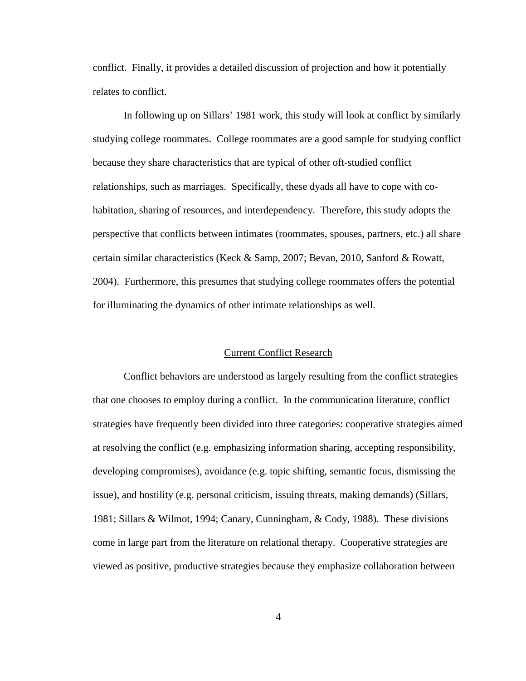conflict. Finally, it provides a detailed discussion of projection and how it potentially relates to conflict.

In following up on Sillars' 1981 work, this study will look at conflict by similarly studying college roommates. College roommates are a good sample for studying conflict because they share characteristics that are typical of other oft-studied conflict relationships, such as marriages. Specifically, these dyads all have to cope with cohabitation, sharing of resources, and interdependency. Therefore, this study adopts the perspective that conflicts between intimates (roommates, spouses, partners, etc.) all share certain similar characteristics (Keck & Samp, 2007; Bevan, 2010, Sanford & Rowatt, 2004). Furthermore, this presumes that studying college roommates offers the potential for illuminating the dynamics of other intimate relationships as well.

# Current Conflict Research

Conflict behaviors are understood as largely resulting from the conflict strategies that one chooses to employ during a conflict. In the communication literature, conflict strategies have frequently been divided into three categories: cooperative strategies aimed at resolving the conflict (e.g. emphasizing information sharing, accepting responsibility, developing compromises), avoidance (e.g. topic shifting, semantic focus, dismissing the issue), and hostility (e.g. personal criticism, issuing threats, making demands) (Sillars, 1981; Sillars & Wilmot, 1994; Canary, Cunningham, & Cody, 1988). These divisions come in large part from the literature on relational therapy. Cooperative strategies are viewed as positive, productive strategies because they emphasize collaboration between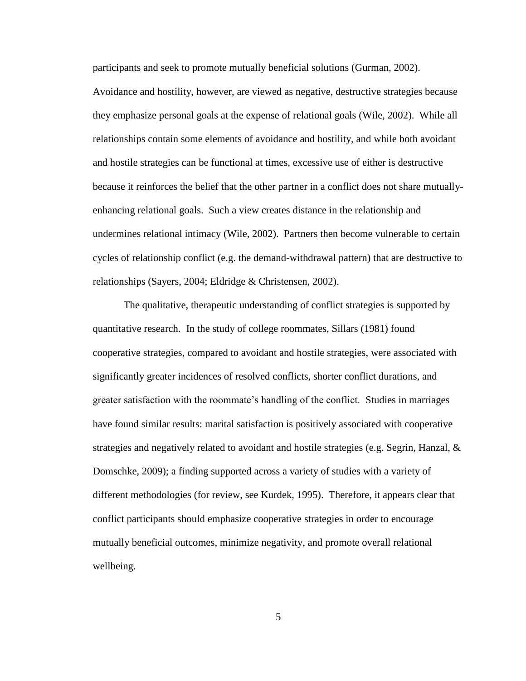participants and seek to promote mutually beneficial solutions (Gurman, 2002).

Avoidance and hostility, however, are viewed as negative, destructive strategies because they emphasize personal goals at the expense of relational goals (Wile, 2002). While all relationships contain some elements of avoidance and hostility, and while both avoidant and hostile strategies can be functional at times, excessive use of either is destructive because it reinforces the belief that the other partner in a conflict does not share mutuallyenhancing relational goals. Such a view creates distance in the relationship and undermines relational intimacy (Wile, 2002). Partners then become vulnerable to certain cycles of relationship conflict (e.g. the demand-withdrawal pattern) that are destructive to relationships (Sayers, 2004; Eldridge & Christensen, 2002).

The qualitative, therapeutic understanding of conflict strategies is supported by quantitative research. In the study of college roommates, Sillars (1981) found cooperative strategies, compared to avoidant and hostile strategies, were associated with significantly greater incidences of resolved conflicts, shorter conflict durations, and greater satisfaction with the roommate's handling of the conflict. Studies in marriages have found similar results: marital satisfaction is positively associated with cooperative strategies and negatively related to avoidant and hostile strategies (e.g. Segrin, Hanzal,  $\&$ Domschke, 2009); a finding supported across a variety of studies with a variety of different methodologies (for review, see Kurdek, 1995). Therefore, it appears clear that conflict participants should emphasize cooperative strategies in order to encourage mutually beneficial outcomes, minimize negativity, and promote overall relational wellbeing.

5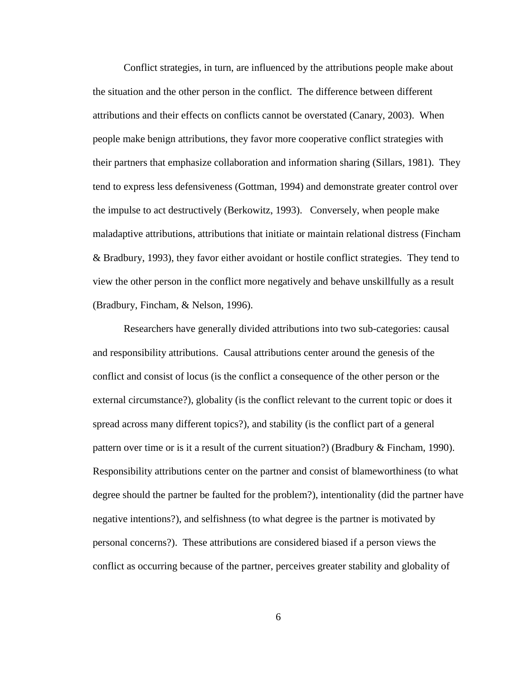Conflict strategies, in turn, are influenced by the attributions people make about the situation and the other person in the conflict. The difference between different attributions and their effects on conflicts cannot be overstated (Canary, 2003). When people make benign attributions, they favor more cooperative conflict strategies with their partners that emphasize collaboration and information sharing (Sillars, 1981). They tend to express less defensiveness (Gottman, 1994) and demonstrate greater control over the impulse to act destructively (Berkowitz, 1993). Conversely, when people make maladaptive attributions, attributions that initiate or maintain relational distress (Fincham & Bradbury, 1993), they favor either avoidant or hostile conflict strategies. They tend to view the other person in the conflict more negatively and behave unskillfully as a result (Bradbury, Fincham, & Nelson, 1996).

Researchers have generally divided attributions into two sub-categories: causal and responsibility attributions. Causal attributions center around the genesis of the conflict and consist of locus (is the conflict a consequence of the other person or the external circumstance?), globality (is the conflict relevant to the current topic or does it spread across many different topics?), and stability (is the conflict part of a general pattern over time or is it a result of the current situation?) (Bradbury & Fincham, 1990). Responsibility attributions center on the partner and consist of blameworthiness (to what degree should the partner be faulted for the problem?), intentionality (did the partner have negative intentions?), and selfishness (to what degree is the partner is motivated by personal concerns?). These attributions are considered biased if a person views the conflict as occurring because of the partner, perceives greater stability and globality of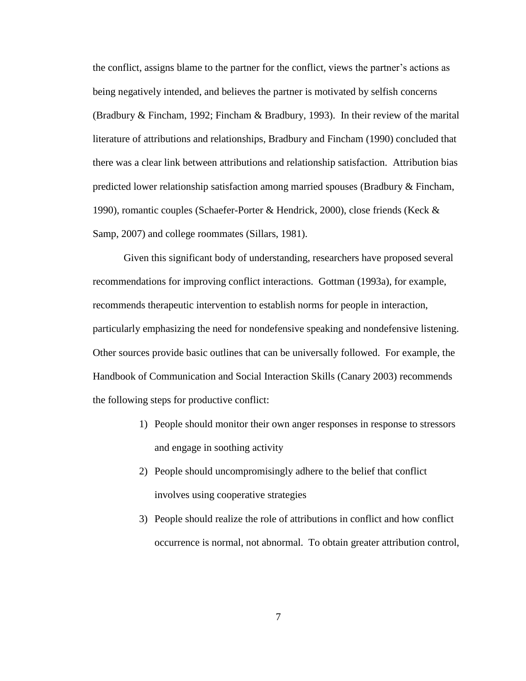the conflict, assigns blame to the partner for the conflict, views the partner's actions as being negatively intended, and believes the partner is motivated by selfish concerns (Bradbury & Fincham, 1992; Fincham & Bradbury, 1993). In their review of the marital literature of attributions and relationships, Bradbury and Fincham (1990) concluded that there was a clear link between attributions and relationship satisfaction. Attribution bias predicted lower relationship satisfaction among married spouses (Bradbury & Fincham, 1990), romantic couples (Schaefer-Porter & Hendrick, 2000), close friends (Keck & Samp, 2007) and college roommates (Sillars, 1981).

Given this significant body of understanding, researchers have proposed several recommendations for improving conflict interactions. Gottman (1993a), for example, recommends therapeutic intervention to establish norms for people in interaction, particularly emphasizing the need for nondefensive speaking and nondefensive listening. Other sources provide basic outlines that can be universally followed. For example, the Handbook of Communication and Social Interaction Skills (Canary 2003) recommends the following steps for productive conflict:

- 1) People should monitor their own anger responses in response to stressors and engage in soothing activity
- 2) People should uncompromisingly adhere to the belief that conflict involves using cooperative strategies
- 3) People should realize the role of attributions in conflict and how conflict occurrence is normal, not abnormal. To obtain greater attribution control,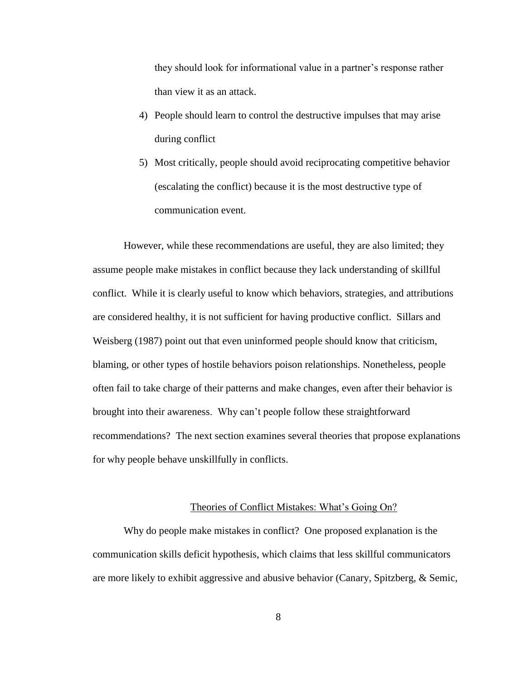they should look for informational value in a partner's response rather than view it as an attack.

- 4) People should learn to control the destructive impulses that may arise during conflict
- 5) Most critically, people should avoid reciprocating competitive behavior (escalating the conflict) because it is the most destructive type of communication event.

However, while these recommendations are useful, they are also limited; they assume people make mistakes in conflict because they lack understanding of skillful conflict. While it is clearly useful to know which behaviors, strategies, and attributions are considered healthy, it is not sufficient for having productive conflict. Sillars and Weisberg (1987) point out that even uninformed people should know that criticism, blaming, or other types of hostile behaviors poison relationships. Nonetheless, people often fail to take charge of their patterns and make changes, even after their behavior is brought into their awareness. Why can't people follow these straightforward recommendations? The next section examines several theories that propose explanations for why people behave unskillfully in conflicts.

# Theories of Conflict Mistakes: What's Going On?

Why do people make mistakes in conflict? One proposed explanation is the communication skills deficit hypothesis, which claims that less skillful communicators are more likely to exhibit aggressive and abusive behavior (Canary, Spitzberg, & Semic,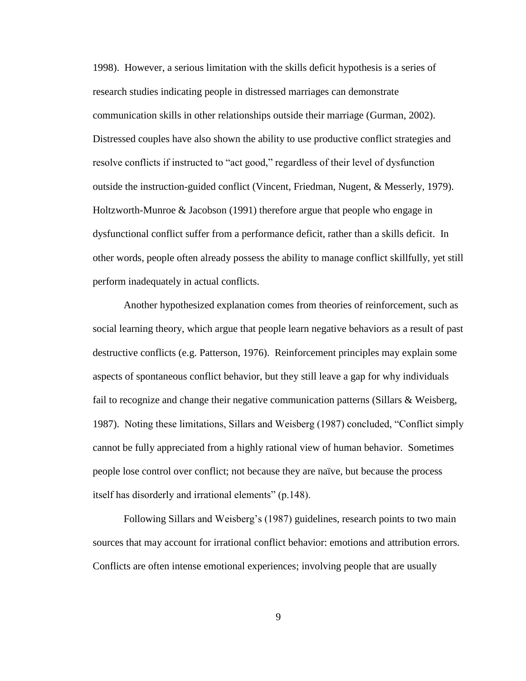1998). However, a serious limitation with the skills deficit hypothesis is a series of research studies indicating people in distressed marriages can demonstrate communication skills in other relationships outside their marriage (Gurman, 2002). Distressed couples have also shown the ability to use productive conflict strategies and resolve conflicts if instructed to "act good," regardless of their level of dysfunction outside the instruction-guided conflict (Vincent, Friedman, Nugent, & Messerly, 1979). Holtzworth-Munroe & Jacobson (1991) therefore argue that people who engage in dysfunctional conflict suffer from a performance deficit, rather than a skills deficit. In other words, people often already possess the ability to manage conflict skillfully, yet still perform inadequately in actual conflicts.

Another hypothesized explanation comes from theories of reinforcement, such as social learning theory, which argue that people learn negative behaviors as a result of past destructive conflicts (e.g. Patterson, 1976). Reinforcement principles may explain some aspects of spontaneous conflict behavior, but they still leave a gap for why individuals fail to recognize and change their negative communication patterns (Sillars & Weisberg, 1987). Noting these limitations, Sillars and Weisberg (1987) concluded, "Conflict simply cannot be fully appreciated from a highly rational view of human behavior. Sometimes people lose control over conflict; not because they are naïve, but because the process itself has disorderly and irrational elements" (p.148).

Following Sillars and Weisberg's (1987) guidelines, research points to two main sources that may account for irrational conflict behavior: emotions and attribution errors. Conflicts are often intense emotional experiences; involving people that are usually

9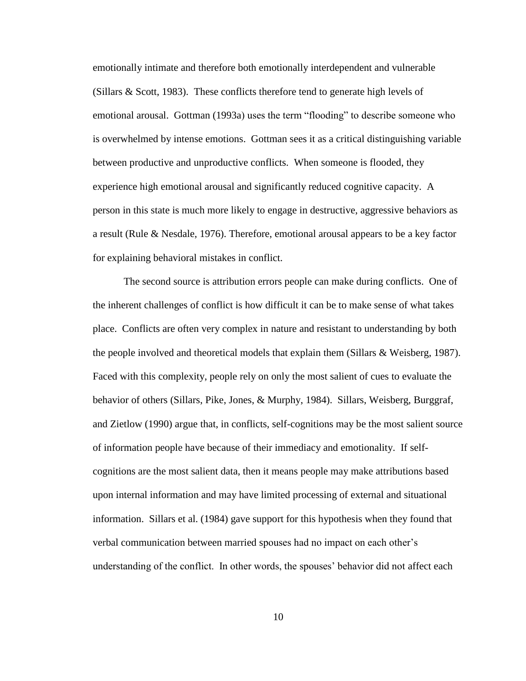emotionally intimate and therefore both emotionally interdependent and vulnerable (Sillars & Scott, 1983). These conflicts therefore tend to generate high levels of emotional arousal. Gottman (1993a) uses the term "flooding" to describe someone who is overwhelmed by intense emotions. Gottman sees it as a critical distinguishing variable between productive and unproductive conflicts. When someone is flooded, they experience high emotional arousal and significantly reduced cognitive capacity. A person in this state is much more likely to engage in destructive, aggressive behaviors as a result (Rule & Nesdale, 1976). Therefore, emotional arousal appears to be a key factor for explaining behavioral mistakes in conflict.

The second source is attribution errors people can make during conflicts. One of the inherent challenges of conflict is how difficult it can be to make sense of what takes place. Conflicts are often very complex in nature and resistant to understanding by both the people involved and theoretical models that explain them (Sillars & Weisberg, 1987). Faced with this complexity, people rely on only the most salient of cues to evaluate the behavior of others (Sillars, Pike, Jones, & Murphy, 1984). Sillars, Weisberg, Burggraf, and Zietlow (1990) argue that, in conflicts, self-cognitions may be the most salient source of information people have because of their immediacy and emotionality. If selfcognitions are the most salient data, then it means people may make attributions based upon internal information and may have limited processing of external and situational information. Sillars et al. (1984) gave support for this hypothesis when they found that verbal communication between married spouses had no impact on each other's understanding of the conflict. In other words, the spouses' behavior did not affect each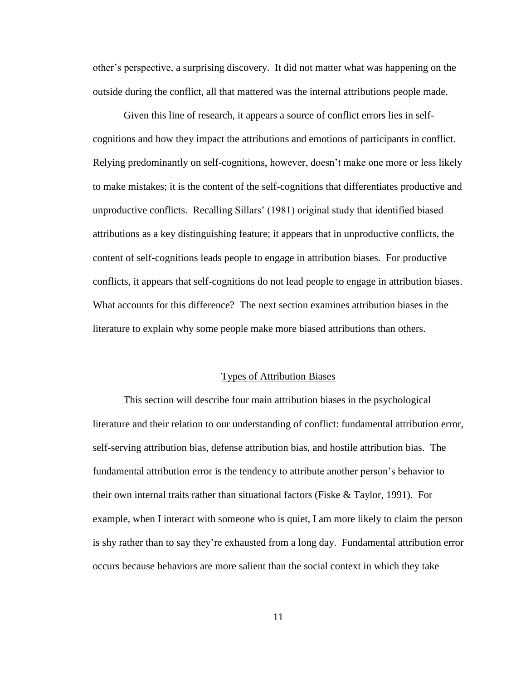other's perspective, a surprising discovery. It did not matter what was happening on the outside during the conflict, all that mattered was the internal attributions people made.

Given this line of research, it appears a source of conflict errors lies in selfcognitions and how they impact the attributions and emotions of participants in conflict. Relying predominantly on self-cognitions, however, doesn't make one more or less likely to make mistakes; it is the content of the self-cognitions that differentiates productive and unproductive conflicts. Recalling Sillars' (1981) original study that identified biased attributions as a key distinguishing feature; it appears that in unproductive conflicts, the content of self-cognitions leads people to engage in attribution biases. For productive conflicts, it appears that self-cognitions do not lead people to engage in attribution biases. What accounts for this difference? The next section examines attribution biases in the literature to explain why some people make more biased attributions than others.

#### Types of Attribution Biases

This section will describe four main attribution biases in the psychological literature and their relation to our understanding of conflict: fundamental attribution error, self-serving attribution bias, defense attribution bias, and hostile attribution bias. The fundamental attribution error is the tendency to attribute another person's behavior to their own internal traits rather than situational factors (Fiske  $\&$  Taylor, 1991). For example, when I interact with someone who is quiet, I am more likely to claim the person is shy rather than to say they're exhausted from a long day. Fundamental attribution error occurs because behaviors are more salient than the social context in which they take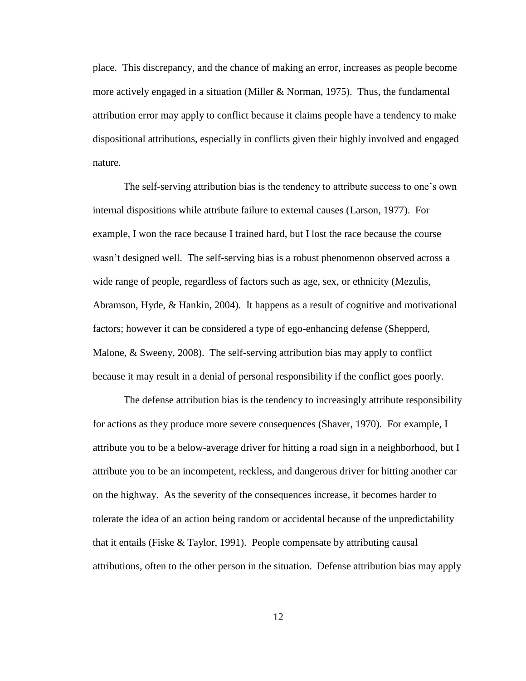place. This discrepancy, and the chance of making an error, increases as people become more actively engaged in a situation (Miller & Norman, 1975). Thus, the fundamental attribution error may apply to conflict because it claims people have a tendency to make dispositional attributions, especially in conflicts given their highly involved and engaged nature.

The self-serving attribution bias is the tendency to attribute success to one's own internal dispositions while attribute failure to external causes (Larson, 1977). For example, I won the race because I trained hard, but I lost the race because the course wasn't designed well. The self-serving bias is a robust phenomenon observed across a wide range of people, regardless of factors such as age, sex, or ethnicity (Mezulis, Abramson, Hyde, & Hankin, 2004). It happens as a result of cognitive and motivational factors; however it can be considered a type of ego-enhancing defense (Shepperd, Malone, & Sweeny, 2008). The self-serving attribution bias may apply to conflict because it may result in a denial of personal responsibility if the conflict goes poorly.

The defense attribution bias is the tendency to increasingly attribute responsibility for actions as they produce more severe consequences (Shaver, 1970). For example, I attribute you to be a below-average driver for hitting a road sign in a neighborhood, but I attribute you to be an incompetent, reckless, and dangerous driver for hitting another car on the highway. As the severity of the consequences increase, it becomes harder to tolerate the idea of an action being random or accidental because of the unpredictability that it entails (Fiske & Taylor, 1991). People compensate by attributing causal attributions, often to the other person in the situation. Defense attribution bias may apply

12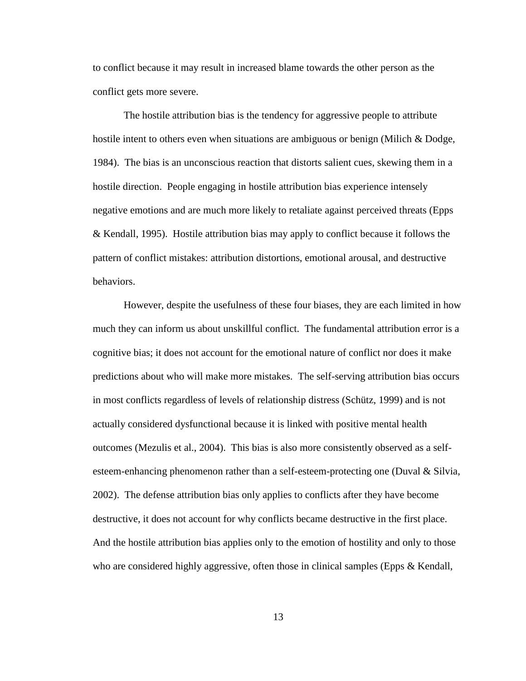to conflict because it may result in increased blame towards the other person as the conflict gets more severe.

The hostile attribution bias is the tendency for aggressive people to attribute hostile intent to others even when situations are ambiguous or benign (Milich & Dodge, 1984). The bias is an unconscious reaction that distorts salient cues, skewing them in a hostile direction. People engaging in hostile attribution bias experience intensely negative emotions and are much more likely to retaliate against perceived threats (Epps & Kendall, 1995). Hostile attribution bias may apply to conflict because it follows the pattern of conflict mistakes: attribution distortions, emotional arousal, and destructive behaviors.

However, despite the usefulness of these four biases, they are each limited in how much they can inform us about unskillful conflict. The fundamental attribution error is a cognitive bias; it does not account for the emotional nature of conflict nor does it make predictions about who will make more mistakes. The self-serving attribution bias occurs in most conflicts regardless of levels of relationship distress (Schütz, 1999) and is not actually considered dysfunctional because it is linked with positive mental health outcomes (Mezulis et al., 2004). This bias is also more consistently observed as a selfesteem-enhancing phenomenon rather than a self-esteem-protecting one (Duval & Silvia, 2002). The defense attribution bias only applies to conflicts after they have become destructive, it does not account for why conflicts became destructive in the first place. And the hostile attribution bias applies only to the emotion of hostility and only to those who are considered highly aggressive, often those in clinical samples (Epps & Kendall,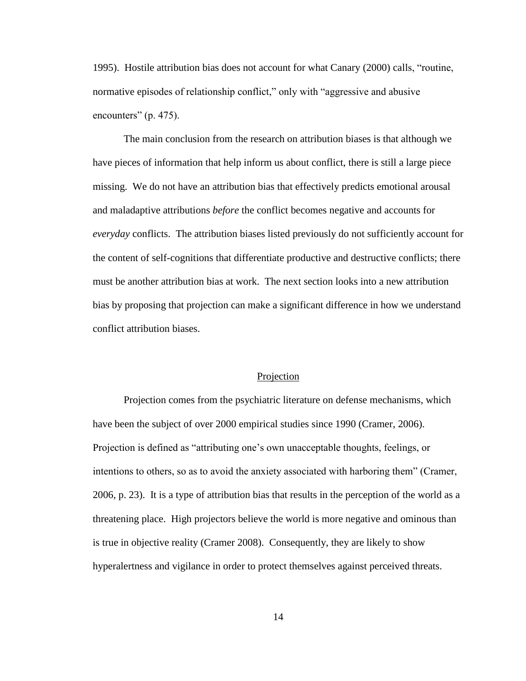1995). Hostile attribution bias does not account for what Canary (2000) calls, "routine, normative episodes of relationship conflict," only with "aggressive and abusive encounters" (p. 475).

The main conclusion from the research on attribution biases is that although we have pieces of information that help inform us about conflict, there is still a large piece missing. We do not have an attribution bias that effectively predicts emotional arousal and maladaptive attributions *before* the conflict becomes negative and accounts for *everyday* conflicts. The attribution biases listed previously do not sufficiently account for the content of self-cognitions that differentiate productive and destructive conflicts; there must be another attribution bias at work. The next section looks into a new attribution bias by proposing that projection can make a significant difference in how we understand conflict attribution biases.

#### Projection

Projection comes from the psychiatric literature on defense mechanisms, which have been the subject of over 2000 empirical studies since 1990 (Cramer, 2006). Projection is defined as "attributing one's own unacceptable thoughts, feelings, or intentions to others, so as to avoid the anxiety associated with harboring them" (Cramer, 2006, p. 23). It is a type of attribution bias that results in the perception of the world as a threatening place. High projectors believe the world is more negative and ominous than is true in objective reality (Cramer 2008). Consequently, they are likely to show hyperalertness and vigilance in order to protect themselves against perceived threats.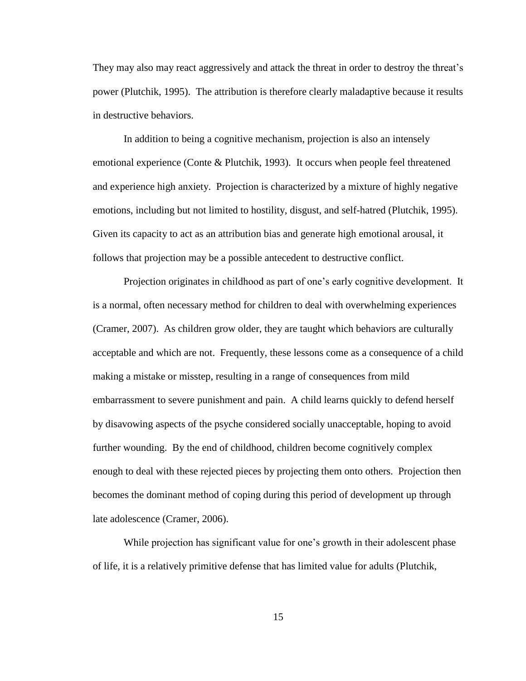They may also may react aggressively and attack the threat in order to destroy the threat's power (Plutchik, 1995). The attribution is therefore clearly maladaptive because it results in destructive behaviors.

In addition to being a cognitive mechanism, projection is also an intensely emotional experience (Conte & Plutchik, 1993). It occurs when people feel threatened and experience high anxiety. Projection is characterized by a mixture of highly negative emotions, including but not limited to hostility, disgust, and self-hatred (Plutchik, 1995). Given its capacity to act as an attribution bias and generate high emotional arousal, it follows that projection may be a possible antecedent to destructive conflict.

Projection originates in childhood as part of one's early cognitive development. It is a normal, often necessary method for children to deal with overwhelming experiences (Cramer, 2007). As children grow older, they are taught which behaviors are culturally acceptable and which are not. Frequently, these lessons come as a consequence of a child making a mistake or misstep, resulting in a range of consequences from mild embarrassment to severe punishment and pain. A child learns quickly to defend herself by disavowing aspects of the psyche considered socially unacceptable, hoping to avoid further wounding. By the end of childhood, children become cognitively complex enough to deal with these rejected pieces by projecting them onto others. Projection then becomes the dominant method of coping during this period of development up through late adolescence (Cramer, 2006).

While projection has significant value for one's growth in their adolescent phase of life, it is a relatively primitive defense that has limited value for adults (Plutchik,

15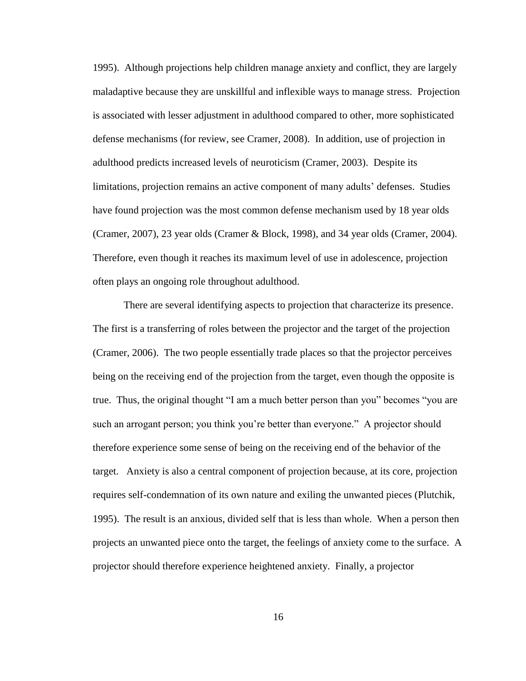1995). Although projections help children manage anxiety and conflict, they are largely maladaptive because they are unskillful and inflexible ways to manage stress. Projection is associated with lesser adjustment in adulthood compared to other, more sophisticated defense mechanisms (for review, see Cramer, 2008). In addition, use of projection in adulthood predicts increased levels of neuroticism (Cramer, 2003). Despite its limitations, projection remains an active component of many adults' defenses. Studies have found projection was the most common defense mechanism used by 18 year olds (Cramer, 2007), 23 year olds (Cramer & Block, 1998), and 34 year olds (Cramer, 2004). Therefore, even though it reaches its maximum level of use in adolescence, projection often plays an ongoing role throughout adulthood.

There are several identifying aspects to projection that characterize its presence. The first is a transferring of roles between the projector and the target of the projection (Cramer, 2006). The two people essentially trade places so that the projector perceives being on the receiving end of the projection from the target, even though the opposite is true. Thus, the original thought "I am a much better person than you" becomes "you are such an arrogant person; you think you're better than everyone." A projector should therefore experience some sense of being on the receiving end of the behavior of the target. Anxiety is also a central component of projection because, at its core, projection requires self-condemnation of its own nature and exiling the unwanted pieces (Plutchik, 1995). The result is an anxious, divided self that is less than whole. When a person then projects an unwanted piece onto the target, the feelings of anxiety come to the surface. A projector should therefore experience heightened anxiety. Finally, a projector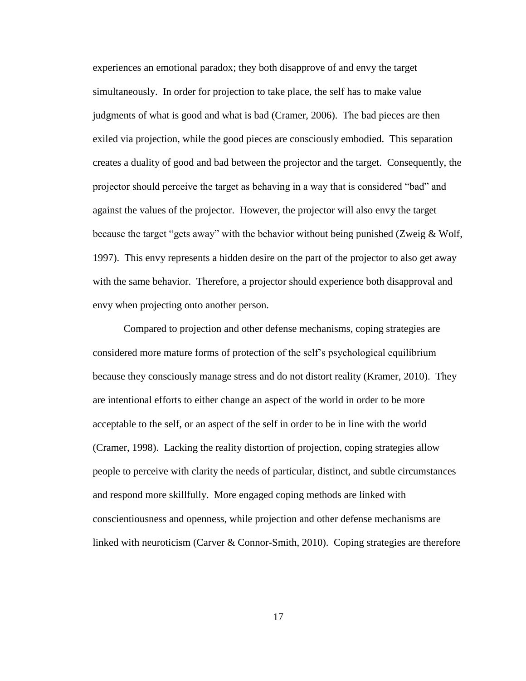experiences an emotional paradox; they both disapprove of and envy the target simultaneously. In order for projection to take place, the self has to make value judgments of what is good and what is bad (Cramer, 2006). The bad pieces are then exiled via projection, while the good pieces are consciously embodied. This separation creates a duality of good and bad between the projector and the target. Consequently, the projector should perceive the target as behaving in a way that is considered "bad" and against the values of the projector. However, the projector will also envy the target because the target "gets away" with the behavior without being punished (Zweig & Wolf, 1997). This envy represents a hidden desire on the part of the projector to also get away with the same behavior. Therefore, a projector should experience both disapproval and envy when projecting onto another person.

Compared to projection and other defense mechanisms, coping strategies are considered more mature forms of protection of the self's psychological equilibrium because they consciously manage stress and do not distort reality (Kramer, 2010). They are intentional efforts to either change an aspect of the world in order to be more acceptable to the self, or an aspect of the self in order to be in line with the world (Cramer, 1998). Lacking the reality distortion of projection, coping strategies allow people to perceive with clarity the needs of particular, distinct, and subtle circumstances and respond more skillfully. More engaged coping methods are linked with conscientiousness and openness, while projection and other defense mechanisms are linked with neuroticism (Carver & Connor-Smith, 2010). Coping strategies are therefore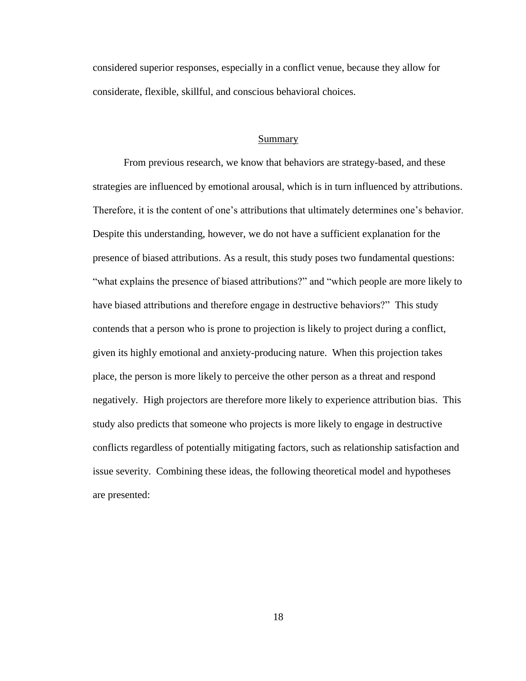considered superior responses, especially in a conflict venue, because they allow for considerate, flexible, skillful, and conscious behavioral choices.

### Summary

From previous research, we know that behaviors are strategy-based, and these strategies are influenced by emotional arousal, which is in turn influenced by attributions. Therefore, it is the content of one's attributions that ultimately determines one's behavior. Despite this understanding, however, we do not have a sufficient explanation for the presence of biased attributions. As a result, this study poses two fundamental questions: "what explains the presence of biased attributions?" and "which people are more likely to have biased attributions and therefore engage in destructive behaviors?" This study contends that a person who is prone to projection is likely to project during a conflict, given its highly emotional and anxiety-producing nature. When this projection takes place, the person is more likely to perceive the other person as a threat and respond negatively. High projectors are therefore more likely to experience attribution bias. This study also predicts that someone who projects is more likely to engage in destructive conflicts regardless of potentially mitigating factors, such as relationship satisfaction and issue severity. Combining these ideas, the following theoretical model and hypotheses are presented: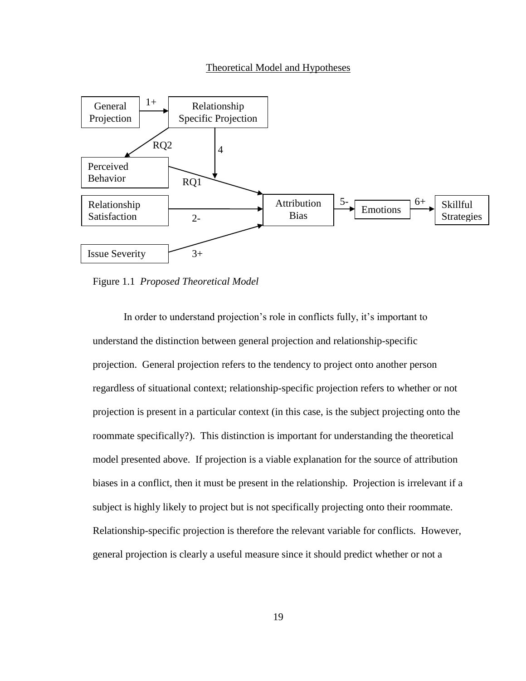#### Theoretical Model and Hypotheses



Figure 1.1 *Proposed Theoretical Model*

In order to understand projection's role in conflicts fully, it's important to understand the distinction between general projection and relationship-specific projection. General projection refers to the tendency to project onto another person regardless of situational context; relationship-specific projection refers to whether or not projection is present in a particular context (in this case, is the subject projecting onto the roommate specifically?). This distinction is important for understanding the theoretical model presented above. If projection is a viable explanation for the source of attribution biases in a conflict, then it must be present in the relationship. Projection is irrelevant if a subject is highly likely to project but is not specifically projecting onto their roommate. Relationship-specific projection is therefore the relevant variable for conflicts. However, general projection is clearly a useful measure since it should predict whether or not a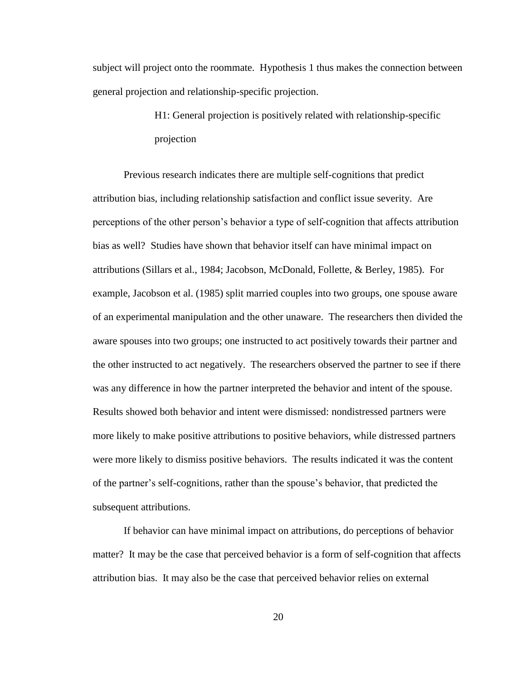subject will project onto the roommate. Hypothesis 1 thus makes the connection between general projection and relationship-specific projection.

> H1: General projection is positively related with relationship-specific projection

Previous research indicates there are multiple self-cognitions that predict attribution bias, including relationship satisfaction and conflict issue severity. Are perceptions of the other person's behavior a type of self-cognition that affects attribution bias as well? Studies have shown that behavior itself can have minimal impact on attributions (Sillars et al., 1984; Jacobson, McDonald, Follette, & Berley, 1985). For example, Jacobson et al. (1985) split married couples into two groups, one spouse aware of an experimental manipulation and the other unaware. The researchers then divided the aware spouses into two groups; one instructed to act positively towards their partner and the other instructed to act negatively. The researchers observed the partner to see if there was any difference in how the partner interpreted the behavior and intent of the spouse. Results showed both behavior and intent were dismissed: nondistressed partners were more likely to make positive attributions to positive behaviors, while distressed partners were more likely to dismiss positive behaviors. The results indicated it was the content of the partner's self-cognitions, rather than the spouse's behavior, that predicted the subsequent attributions.

If behavior can have minimal impact on attributions, do perceptions of behavior matter? It may be the case that perceived behavior is a form of self-cognition that affects attribution bias. It may also be the case that perceived behavior relies on external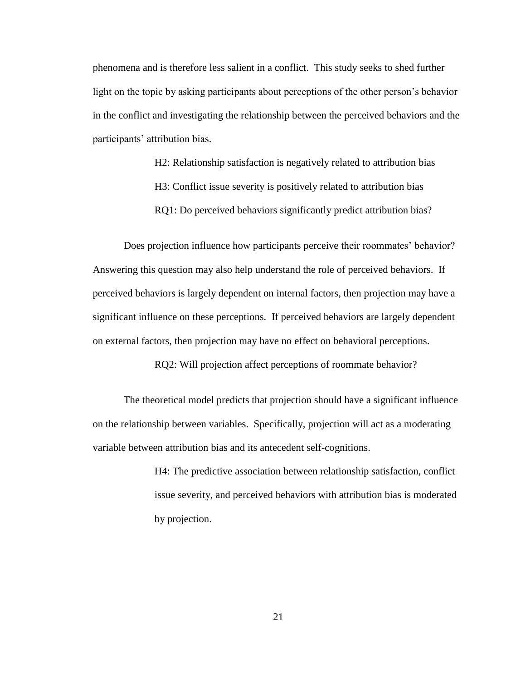phenomena and is therefore less salient in a conflict. This study seeks to shed further light on the topic by asking participants about perceptions of the other person's behavior in the conflict and investigating the relationship between the perceived behaviors and the participants' attribution bias.

> H2: Relationship satisfaction is negatively related to attribution bias H3: Conflict issue severity is positively related to attribution bias RQ1: Do perceived behaviors significantly predict attribution bias?

Does projection influence how participants perceive their roommates' behavior? Answering this question may also help understand the role of perceived behaviors. If perceived behaviors is largely dependent on internal factors, then projection may have a significant influence on these perceptions. If perceived behaviors are largely dependent on external factors, then projection may have no effect on behavioral perceptions.

RQ2: Will projection affect perceptions of roommate behavior?

The theoretical model predicts that projection should have a significant influence on the relationship between variables. Specifically, projection will act as a moderating variable between attribution bias and its antecedent self-cognitions.

> H4: The predictive association between relationship satisfaction, conflict issue severity, and perceived behaviors with attribution bias is moderated by projection.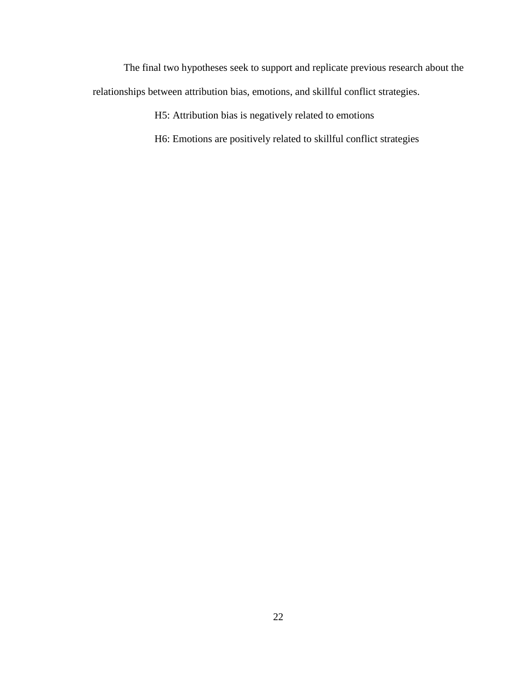The final two hypotheses seek to support and replicate previous research about the relationships between attribution bias, emotions, and skillful conflict strategies.

H5: Attribution bias is negatively related to emotions

H6: Emotions are positively related to skillful conflict strategies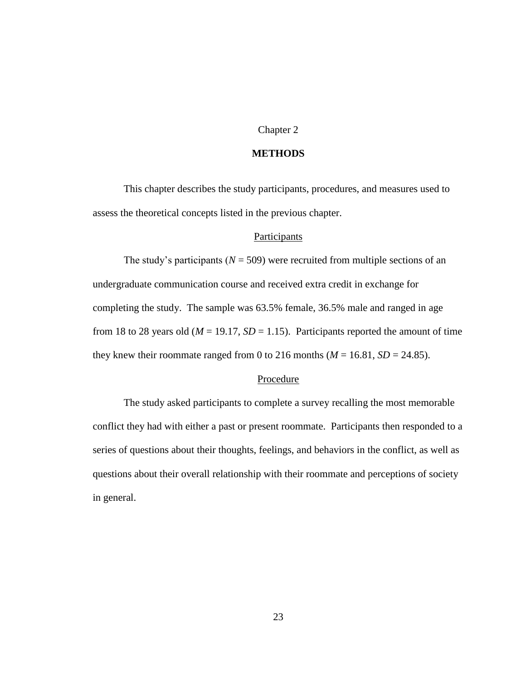# Chapter 2

# **METHODS**

This chapter describes the study participants, procedures, and measures used to assess the theoretical concepts listed in the previous chapter.

# **Participants**

The study's participants ( $N = 509$ ) were recruited from multiple sections of an undergraduate communication course and received extra credit in exchange for completing the study. The sample was 63.5% female, 36.5% male and ranged in age from 18 to 28 years old ( $M = 19.17$ ,  $SD = 1.15$ ). Participants reported the amount of time they knew their roommate ranged from 0 to 216 months  $(M = 16.81, SD = 24.85)$ .

# Procedure

The study asked participants to complete a survey recalling the most memorable conflict they had with either a past or present roommate. Participants then responded to a series of questions about their thoughts, feelings, and behaviors in the conflict, as well as questions about their overall relationship with their roommate and perceptions of society in general.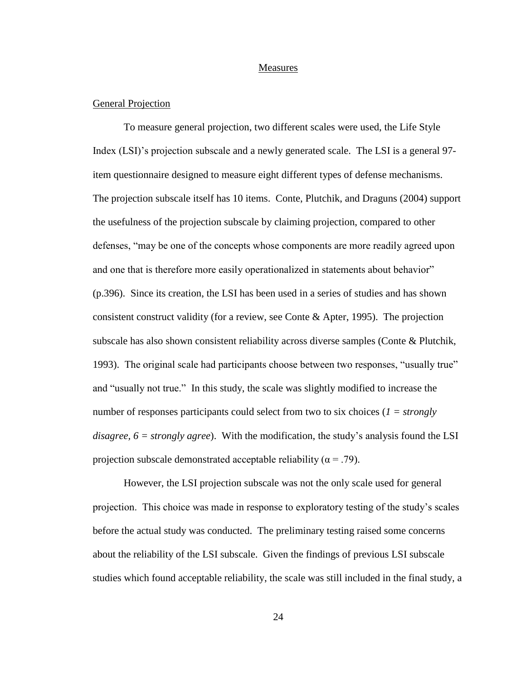#### Measures

# General Projection

To measure general projection, two different scales were used, the Life Style Index (LSI)'s projection subscale and a newly generated scale. The LSI is a general 97 item questionnaire designed to measure eight different types of defense mechanisms. The projection subscale itself has 10 items. Conte, Plutchik, and Draguns (2004) support the usefulness of the projection subscale by claiming projection, compared to other defenses, "may be one of the concepts whose components are more readily agreed upon and one that is therefore more easily operationalized in statements about behavior" (p.396). Since its creation, the LSI has been used in a series of studies and has shown consistent construct validity (for a review, see Conte & Apter, 1995). The projection subscale has also shown consistent reliability across diverse samples (Conte & Plutchik, 1993). The original scale had participants choose between two responses, "usually true" and "usually not true." In this study, the scale was slightly modified to increase the number of responses participants could select from two to six choices (*1 = strongly disagree, 6 = strongly agree*). With the modification, the study's analysis found the LSI projection subscale demonstrated acceptable reliability ( $\alpha$  = .79).

However, the LSI projection subscale was not the only scale used for general projection. This choice was made in response to exploratory testing of the study's scales before the actual study was conducted. The preliminary testing raised some concerns about the reliability of the LSI subscale. Given the findings of previous LSI subscale studies which found acceptable reliability, the scale was still included in the final study, a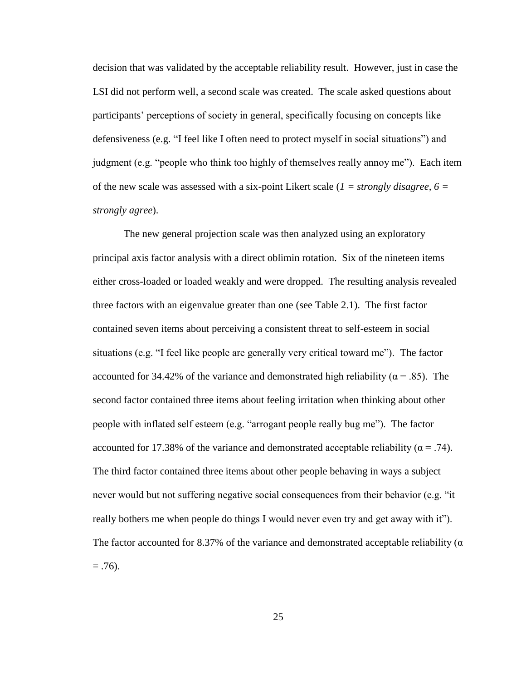decision that was validated by the acceptable reliability result. However, just in case the LSI did not perform well, a second scale was created. The scale asked questions about participants' perceptions of society in general, specifically focusing on concepts like defensiveness (e.g. "I feel like I often need to protect myself in social situations") and judgment (e.g. "people who think too highly of themselves really annoy me"). Each item of the new scale was assessed with a six-point Likert scale (*1 = strongly disagree, 6 = strongly agree*).

The new general projection scale was then analyzed using an exploratory principal axis factor analysis with a direct oblimin rotation. Six of the nineteen items either cross-loaded or loaded weakly and were dropped. The resulting analysis revealed three factors with an eigenvalue greater than one (see Table 2.1). The first factor contained seven items about perceiving a consistent threat to self-esteem in social situations (e.g. "I feel like people are generally very critical toward me"). The factor accounted for 34.42% of the variance and demonstrated high reliability ( $\alpha$  = .85). The second factor contained three items about feeling irritation when thinking about other people with inflated self esteem (e.g. "arrogant people really bug me"). The factor accounted for 17.38% of the variance and demonstrated acceptable reliability ( $\alpha$  = .74). The third factor contained three items about other people behaving in ways a subject never would but not suffering negative social consequences from their behavior (e.g. "it really bothers me when people do things I would never even try and get away with it"). The factor accounted for 8.37% of the variance and demonstrated acceptable reliability ( $\alpha$ )  $= .76$ ).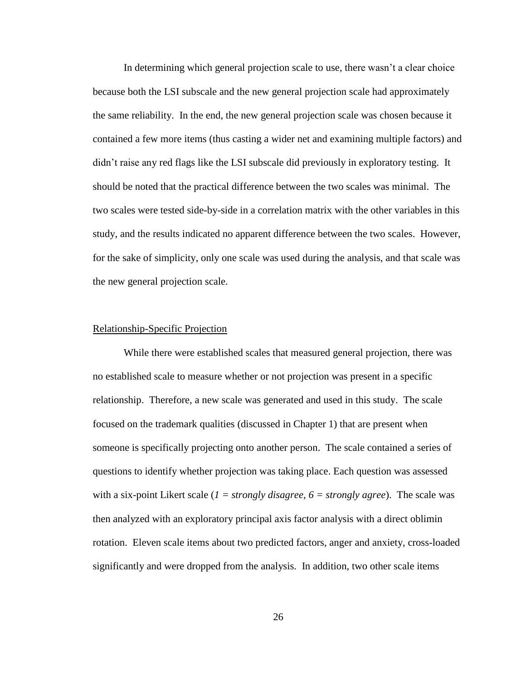In determining which general projection scale to use, there wasn't a clear choice because both the LSI subscale and the new general projection scale had approximately the same reliability. In the end, the new general projection scale was chosen because it contained a few more items (thus casting a wider net and examining multiple factors) and didn't raise any red flags like the LSI subscale did previously in exploratory testing. It should be noted that the practical difference between the two scales was minimal. The two scales were tested side-by-side in a correlation matrix with the other variables in this study, and the results indicated no apparent difference between the two scales. However, for the sake of simplicity, only one scale was used during the analysis, and that scale was the new general projection scale.

#### Relationship-Specific Projection

While there were established scales that measured general projection, there was no established scale to measure whether or not projection was present in a specific relationship. Therefore, a new scale was generated and used in this study. The scale focused on the trademark qualities (discussed in Chapter 1) that are present when someone is specifically projecting onto another person. The scale contained a series of questions to identify whether projection was taking place. Each question was assessed with a six-point Likert scale  $(I = strongly disagree, 6 = strongly agree)$ . The scale was then analyzed with an exploratory principal axis factor analysis with a direct oblimin rotation. Eleven scale items about two predicted factors, anger and anxiety, cross-loaded significantly and were dropped from the analysis. In addition, two other scale items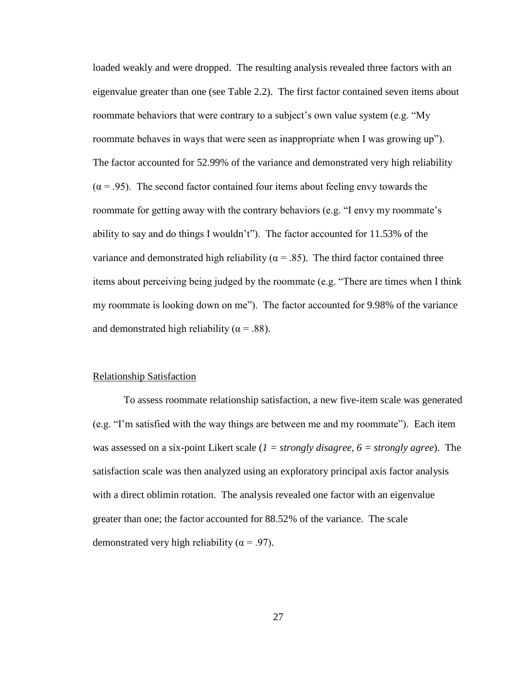loaded weakly and were dropped. The resulting analysis revealed three factors with an eigenvalue greater than one (see Table 2.2). The first factor contained seven items about roommate behaviors that were contrary to a subject's own value system (e.g. "My roommate behaves in ways that were seen as inappropriate when I was growing up"). The factor accounted for 52.99% of the variance and demonstrated very high reliability  $(\alpha = .95)$ . The second factor contained four items about feeling envy towards the roommate for getting away with the contrary behaviors (e.g. "I envy my roommate's ability to say and do things I wouldn't"). The factor accounted for 11.53% of the variance and demonstrated high reliability ( $\alpha$  = .85). The third factor contained three items about perceiving being judged by the roommate (e.g. "There are times when I think my roommate is looking down on me"). The factor accounted for 9.98% of the variance and demonstrated high reliability ( $\alpha$  = .88).

#### Relationship Satisfaction

To assess roommate relationship satisfaction, a new five-item scale was generated (e.g. "I'm satisfied with the way things are between me and my roommate"). Each item was assessed on a six-point Likert scale (*1 = strongly disagree, 6 = strongly agree*). The satisfaction scale was then analyzed using an exploratory principal axis factor analysis with a direct oblimin rotation. The analysis revealed one factor with an eigenvalue greater than one; the factor accounted for 88.52% of the variance. The scale demonstrated very high reliability ( $\alpha$  = .97).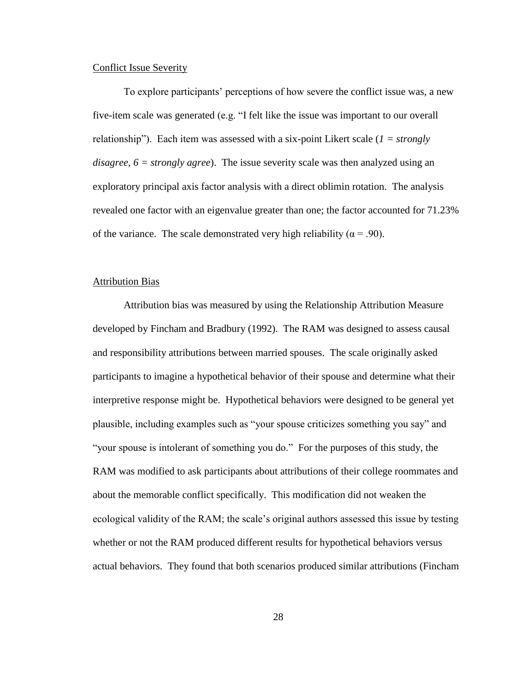### Conflict Issue Severity

To explore participants' perceptions of how severe the conflict issue was, a new five-item scale was generated (e.g. "I felt like the issue was important to our overall relationship"). Each item was assessed with a six-point Likert scale (*1 = strongly disagree, 6 = strongly agree*). The issue severity scale was then analyzed using an exploratory principal axis factor analysis with a direct oblimin rotation. The analysis revealed one factor with an eigenvalue greater than one; the factor accounted for 71.23% of the variance. The scale demonstrated very high reliability ( $\alpha$  = .90).

### Attribution Bias

Attribution bias was measured by using the Relationship Attribution Measure developed by Fincham and Bradbury (1992). The RAM was designed to assess causal and responsibility attributions between married spouses. The scale originally asked participants to imagine a hypothetical behavior of their spouse and determine what their interpretive response might be. Hypothetical behaviors were designed to be general yet plausible, including examples such as "your spouse criticizes something you say" and "your spouse is intolerant of something you do." For the purposes of this study, the RAM was modified to ask participants about attributions of their college roommates and about the memorable conflict specifically. This modification did not weaken the ecological validity of the RAM; the scale's original authors assessed this issue by testing whether or not the RAM produced different results for hypothetical behaviors versus actual behaviors. They found that both scenarios produced similar attributions (Fincham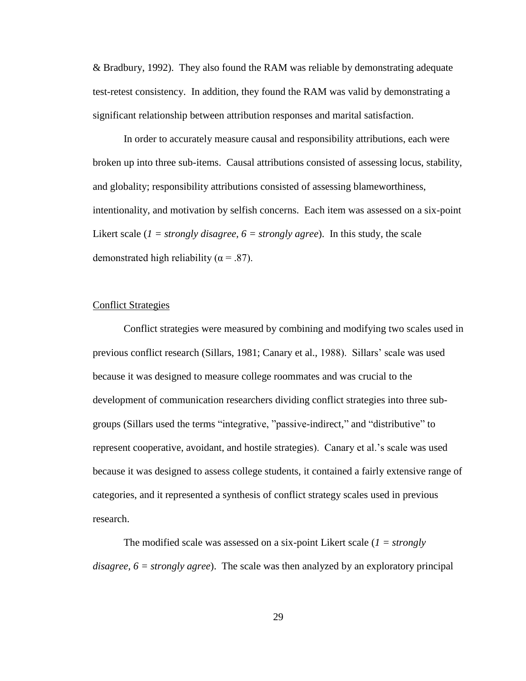& Bradbury, 1992). They also found the RAM was reliable by demonstrating adequate test-retest consistency. In addition, they found the RAM was valid by demonstrating a significant relationship between attribution responses and marital satisfaction.

In order to accurately measure causal and responsibility attributions, each were broken up into three sub-items. Causal attributions consisted of assessing locus, stability, and globality; responsibility attributions consisted of assessing blameworthiness, intentionality, and motivation by selfish concerns. Each item was assessed on a six-point Likert scale (*1 = strongly disagree, 6 = strongly agree*). In this study, the scale demonstrated high reliability ( $\alpha$  = .87).

## Conflict Strategies

Conflict strategies were measured by combining and modifying two scales used in previous conflict research (Sillars, 1981; Canary et al., 1988). Sillars' scale was used because it was designed to measure college roommates and was crucial to the development of communication researchers dividing conflict strategies into three subgroups (Sillars used the terms "integrative, "passive-indirect," and "distributive" to represent cooperative, avoidant, and hostile strategies). Canary et al.'s scale was used because it was designed to assess college students, it contained a fairly extensive range of categories, and it represented a synthesis of conflict strategy scales used in previous research.

The modified scale was assessed on a six-point Likert scale (*1 = strongly disagree, 6 = strongly agree*). The scale was then analyzed by an exploratory principal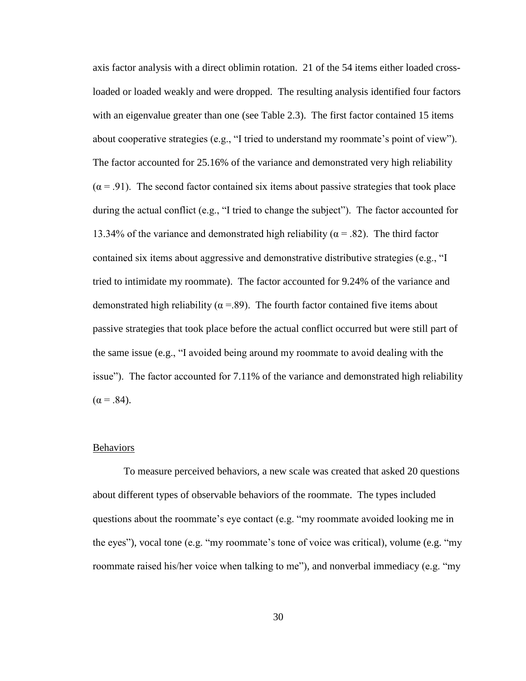axis factor analysis with a direct oblimin rotation. 21 of the 54 items either loaded crossloaded or loaded weakly and were dropped. The resulting analysis identified four factors with an eigenvalue greater than one (see Table 2.3). The first factor contained 15 items about cooperative strategies (e.g., "I tried to understand my roommate's point of view"). The factor accounted for 25.16% of the variance and demonstrated very high reliability  $(\alpha = .91)$ . The second factor contained six items about passive strategies that took place during the actual conflict (e.g., "I tried to change the subject"). The factor accounted for 13.34% of the variance and demonstrated high reliability ( $\alpha$  = .82). The third factor contained six items about aggressive and demonstrative distributive strategies (e.g., "I tried to intimidate my roommate). The factor accounted for 9.24% of the variance and demonstrated high reliability ( $\alpha$  =.89). The fourth factor contained five items about passive strategies that took place before the actual conflict occurred but were still part of the same issue (e.g., "I avoided being around my roommate to avoid dealing with the issue"). The factor accounted for 7.11% of the variance and demonstrated high reliability  $(\alpha = .84)$ .

#### Behaviors

To measure perceived behaviors, a new scale was created that asked 20 questions about different types of observable behaviors of the roommate. The types included questions about the roommate's eye contact (e.g. "my roommate avoided looking me in the eyes"), vocal tone (e.g. "my roommate's tone of voice was critical), volume (e.g. "my roommate raised his/her voice when talking to me"), and nonverbal immediacy (e.g. "my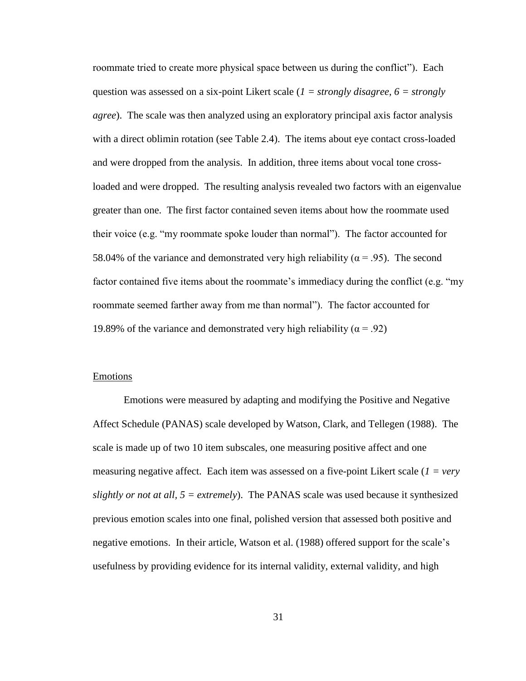roommate tried to create more physical space between us during the conflict"). Each question was assessed on a six-point Likert scale (*1 = strongly disagree, 6 = strongly agree*). The scale was then analyzed using an exploratory principal axis factor analysis with a direct oblimin rotation (see Table 2.4). The items about eye contact cross-loaded and were dropped from the analysis. In addition, three items about vocal tone crossloaded and were dropped. The resulting analysis revealed two factors with an eigenvalue greater than one. The first factor contained seven items about how the roommate used their voice (e.g. "my roommate spoke louder than normal"). The factor accounted for 58.04% of the variance and demonstrated very high reliability ( $\alpha$  = .95). The second factor contained five items about the roommate's immediacy during the conflict (e.g. "my roommate seemed farther away from me than normal"). The factor accounted for 19.89% of the variance and demonstrated very high reliability ( $\alpha$  = .92)

### Emotions

Emotions were measured by adapting and modifying the Positive and Negative Affect Schedule (PANAS) scale developed by Watson, Clark, and Tellegen (1988). The scale is made up of two 10 item subscales, one measuring positive affect and one measuring negative affect. Each item was assessed on a five-point Likert scale (*1 = very slightly or not at all,*  $5 =$  *extremely*). The PANAS scale was used because it synthesized previous emotion scales into one final, polished version that assessed both positive and negative emotions. In their article, Watson et al. (1988) offered support for the scale's usefulness by providing evidence for its internal validity, external validity, and high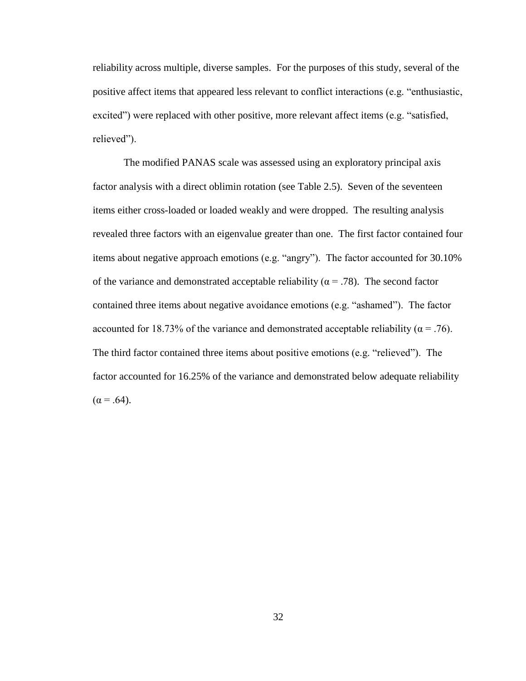reliability across multiple, diverse samples. For the purposes of this study, several of the positive affect items that appeared less relevant to conflict interactions (e.g. "enthusiastic, excited") were replaced with other positive, more relevant affect items (e.g. "satisfied, relieved").

The modified PANAS scale was assessed using an exploratory principal axis factor analysis with a direct oblimin rotation (see Table 2.5). Seven of the seventeen items either cross-loaded or loaded weakly and were dropped. The resulting analysis revealed three factors with an eigenvalue greater than one. The first factor contained four items about negative approach emotions (e.g. "angry"). The factor accounted for 30.10% of the variance and demonstrated acceptable reliability ( $\alpha$  = .78). The second factor contained three items about negative avoidance emotions (e.g. "ashamed"). The factor accounted for 18.73% of the variance and demonstrated acceptable reliability ( $\alpha$  = .76). The third factor contained three items about positive emotions (e.g. "relieved"). The factor accounted for 16.25% of the variance and demonstrated below adequate reliability  $(\alpha = .64)$ .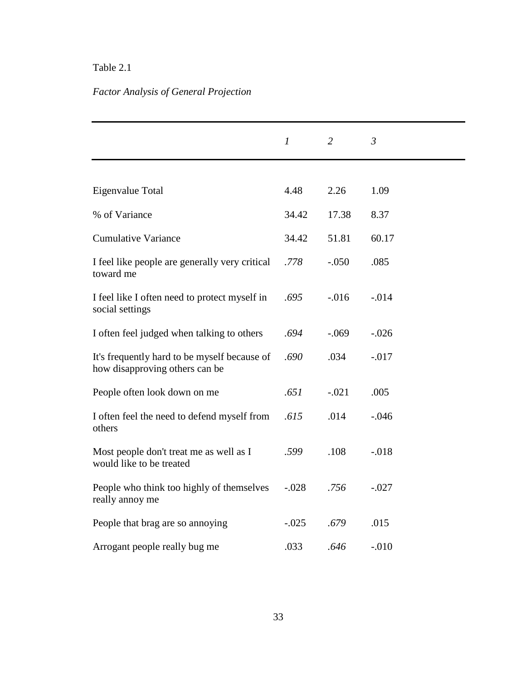## Table 2.1

# *Factor Analysis of General Projection*

|                                                                                | $\boldsymbol{l}$ | $\overline{2}$ | $\mathfrak{Z}$ |
|--------------------------------------------------------------------------------|------------------|----------------|----------------|
|                                                                                |                  |                |                |
| Eigenvalue Total                                                               | 4.48             | 2.26           | 1.09           |
| % of Variance                                                                  | 34.42            | 17.38          | 8.37           |
| <b>Cumulative Variance</b>                                                     | 34.42            | 51.81          | 60.17          |
| I feel like people are generally very critical<br>toward me                    | .778             | $-.050$        | .085           |
| I feel like I often need to protect myself in<br>social settings               | .695             | $-0.016$       | $-0.014$       |
| I often feel judged when talking to others                                     | .694             | $-.069$        | $-.026$        |
| It's frequently hard to be myself because of<br>how disapproving others can be | .690             | .034           | $-0.017$       |
| People often look down on me                                                   | .651             | $-.021$        | .005           |
| I often feel the need to defend myself from<br>others                          | .615             | .014           | $-.046$        |
| Most people don't treat me as well as I<br>would like to be treated            | .599             | .108           | $-.018$        |
| People who think too highly of themselves<br>really annoy me                   | $-.028$          | .756           | $-.027$        |
| People that brag are so annoying                                               | $-.025$          | .679           | .015           |
| Arrogant people really bug me                                                  | .033             | .646           | $-.010$        |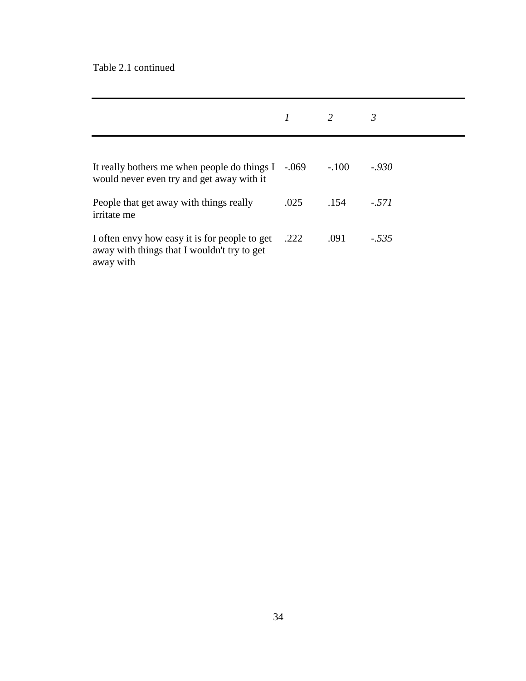## Table 2.1 continued

|                                                                                                           |      | 2       | 3       |
|-----------------------------------------------------------------------------------------------------------|------|---------|---------|
| It really bothers me when people do things $I -069$<br>would never even try and get away with it          |      | $-.100$ | $-930$  |
| People that get away with things really<br><i>irritate</i> me                                             | .025 | .154    | $-.571$ |
| I often envy how easy it is for people to get<br>away with things that I wouldn't try to get<br>away with | .222 | .091    | $-.535$ |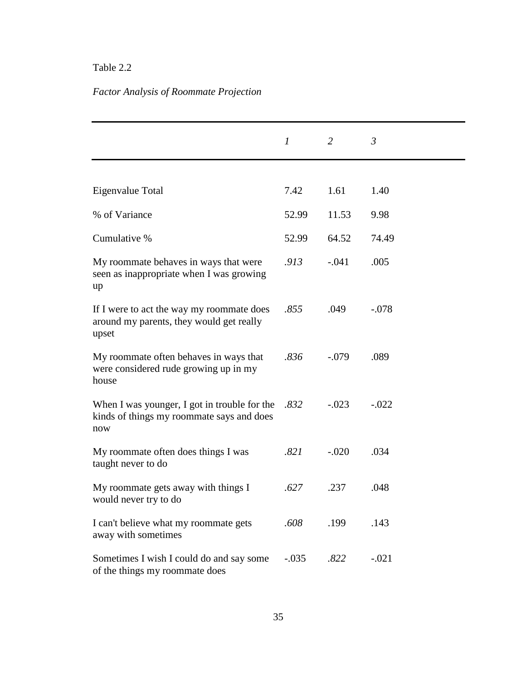## Table 2.2

# *Factor Analysis of Roommate Projection*

|                                                                                                  | $\boldsymbol{l}$ | 2       | $\mathfrak{Z}$ |
|--------------------------------------------------------------------------------------------------|------------------|---------|----------------|
|                                                                                                  |                  |         |                |
| Eigenvalue Total                                                                                 | 7.42             | 1.61    | 1.40           |
| % of Variance                                                                                    | 52.99            | 11.53   | 9.98           |
| Cumulative %                                                                                     | 52.99            | 64.52   | 74.49          |
| My roommate behaves in ways that were<br>seen as inappropriate when I was growing<br>up          | .913             | $-.041$ | .005           |
| If I were to act the way my roommate does<br>around my parents, they would get really<br>upset   | .855             | .049    | $-.078$        |
| My roommate often behaves in ways that<br>were considered rude growing up in my<br>house         | .836             | $-.079$ | .089           |
| When I was younger, I got in trouble for the<br>kinds of things my roommate says and does<br>now | .832             | $-.023$ | $-.022$        |
| My roommate often does things I was<br>taught never to do                                        | .821             | $-.020$ | .034           |
| My roommate gets away with things I<br>would never try to do                                     | .627             | .237    | .048           |
| I can't believe what my roommate gets<br>away with sometimes                                     | .608             | .199    | .143           |
| Sometimes I wish I could do and say some<br>of the things my roommate does                       | $-.035$          | .822    | $-.021$        |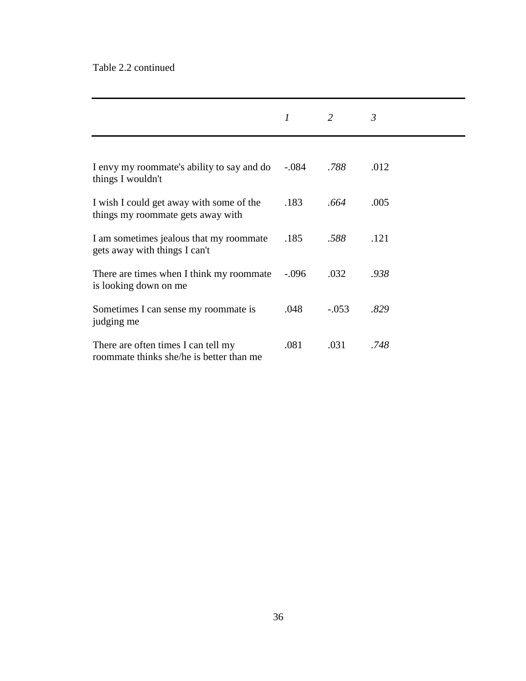## Table 2.2 continued

|                                                                                 | 1       | 2       | 3    |
|---------------------------------------------------------------------------------|---------|---------|------|
|                                                                                 |         |         |      |
| I envy my roommate's ability to say and do<br>things I wouldn't                 | $-.084$ | .788    | .012 |
| I wish I could get away with some of the<br>things my roommate gets away with   | .183    | .664    | .005 |
| I am sometimes jealous that my roommate<br>gets away with things I can't        | .185    | .588    | .121 |
| There are times when I think my roommate<br>is looking down on me               | $-.096$ | .032    | .938 |
| Sometimes I can sense my roommate is<br>judging me                              | .048    | $-.053$ | .829 |
| There are often times I can tell my<br>roommate thinks she/he is better than me | .081    | .031    | .748 |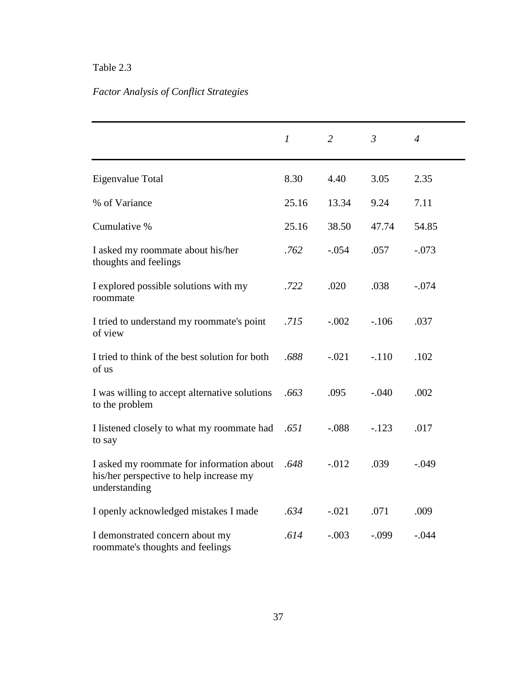# Table 2.3

# *Factor Analysis of Conflict Strategies*

|                                                                                                       | $\boldsymbol{l}$ | $\overline{2}$ | $\mathfrak{Z}$ | $\overline{4}$ |
|-------------------------------------------------------------------------------------------------------|------------------|----------------|----------------|----------------|
| Eigenvalue Total                                                                                      | 8.30             | 4.40           | 3.05           | 2.35           |
| % of Variance                                                                                         | 25.16            | 13.34          | 9.24           | 7.11           |
| Cumulative %                                                                                          | 25.16            | 38.50          | 47.74          | 54.85          |
| I asked my roommate about his/her<br>thoughts and feelings                                            | .762             | $-.054$        | .057           | $-.073$        |
| I explored possible solutions with my<br>roommate                                                     | .722             | .020           | .038           | $-.074$        |
| I tried to understand my roommate's point<br>of view                                                  | .715             | $-.002$        | $-.106$        | .037           |
| I tried to think of the best solution for both<br>of us                                               | .688             | $-.021$        | $-.110$        | .102           |
| I was willing to accept alternative solutions<br>to the problem                                       | .663             | .095           | $-.040$        | .002           |
| I listened closely to what my roommate had<br>to say                                                  | .651             | $-.088$        | $-.123$        | .017           |
| I asked my roommate for information about<br>his/her perspective to help increase my<br>understanding | .648             | $-0.012$       | .039           | $-.049$        |
| I openly acknowledged mistakes I made                                                                 | .634             | $-.021$        | .071           | .009           |
| I demonstrated concern about my<br>roommate's thoughts and feelings                                   | .614             | $-.003$        | $-.099$        | $-.044$        |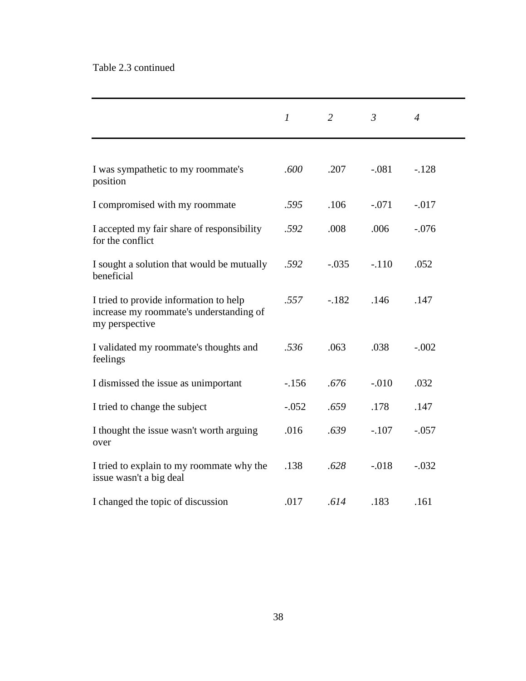## Table 2.3 continued

|                                                                                                     | $\mathcal I$ | 2       | $\mathfrak{Z}$ | $\overline{4}$ |
|-----------------------------------------------------------------------------------------------------|--------------|---------|----------------|----------------|
| I was sympathetic to my roommate's<br>position                                                      | .600         | .207    | $-.081$        | $-128$         |
| I compromised with my roommate                                                                      | .595         | .106    | $-.071$        | $-.017$        |
| I accepted my fair share of responsibility<br>for the conflict                                      | .592         | .008    | .006           | $-.076$        |
| I sought a solution that would be mutually<br>beneficial                                            | .592         | $-.035$ | $-.110$        | .052           |
| I tried to provide information to help<br>increase my roommate's understanding of<br>my perspective | .557         | $-.182$ | .146           | .147           |
| I validated my roommate's thoughts and<br>feelings                                                  | .536         | .063    | .038           | $-.002$        |
| I dismissed the issue as unimportant                                                                | $-156$       | .676    | $-.010$        | .032           |
| I tried to change the subject                                                                       | $-.052$      | .659    | .178           | .147           |
| I thought the issue wasn't worth arguing<br>over                                                    | .016         | .639    | $-.107$        | $-.057$        |
| I tried to explain to my roommate why the<br>issue wasn't a big deal                                | .138         | .628    | $-.018$        | $-.032$        |
| I changed the topic of discussion                                                                   | .017         | .614    | .183           | .161           |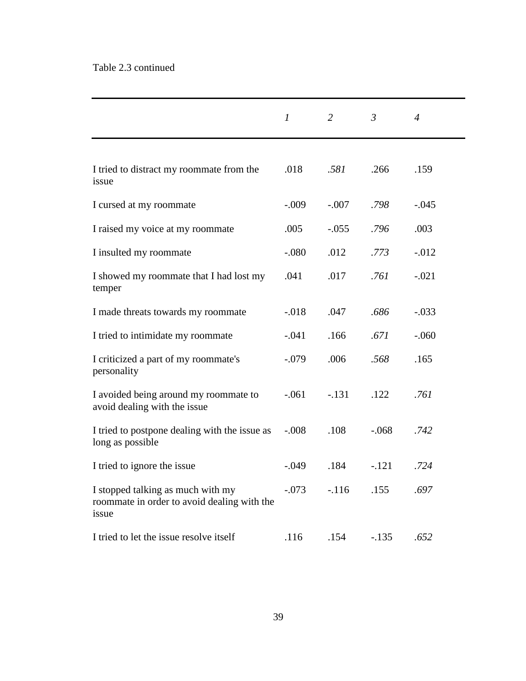# Table 2.3 continued

|                                                                                           | $\mathfrak{I}$ | 2       | $\mathfrak{Z}$ | $\overline{4}$ |
|-------------------------------------------------------------------------------------------|----------------|---------|----------------|----------------|
|                                                                                           |                |         |                |                |
| I tried to distract my roommate from the<br>issue                                         | .018           | .581    | .266           | .159           |
| I cursed at my roommate                                                                   | $-.009$        | $-.007$ | .798           | $-.045$        |
| I raised my voice at my roommate                                                          | .005           | $-.055$ | .796           | .003           |
| I insulted my roommate                                                                    | $-.080$        | .012    | .773           | $-.012$        |
| I showed my roommate that I had lost my<br>temper                                         | .041           | .017    | .761           | $-.021$        |
| I made threats towards my roommate                                                        | $-.018$        | .047    | .686           | $-.033$        |
| I tried to intimidate my roommate                                                         | $-.041$        | .166    | .671           | $-.060$        |
| I criticized a part of my roommate's<br>personality                                       | $-.079$        | .006    | .568           | .165           |
| I avoided being around my roommate to<br>avoid dealing with the issue                     | $-.061$        | $-.131$ | .122           | .761           |
| I tried to postpone dealing with the issue as<br>long as possible                         | $-.008$        | .108    | $-.068$        | .742           |
| I tried to ignore the issue                                                               | $-.049$        | .184    | $-.121$        | .724           |
| I stopped talking as much with my<br>roommate in order to avoid dealing with the<br>issue | $-.073$        | $-.116$ | .155           | .697           |
| I tried to let the issue resolve itself                                                   | .116           | .154    | $-.135$        | .652           |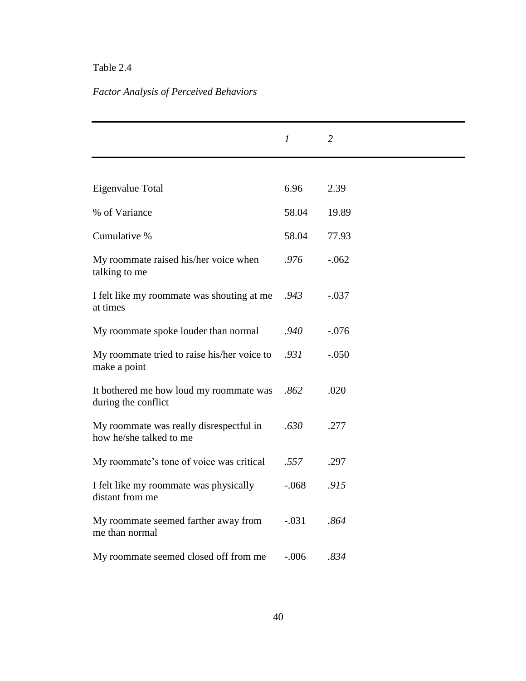## Table 2.4

# *Factor Analysis of Perceived Behaviors*

|                                                                    | $\mathfrak{1}$ | $\overline{2}$ |
|--------------------------------------------------------------------|----------------|----------------|
|                                                                    |                |                |
| Eigenvalue Total                                                   | 6.96           | 2.39           |
| % of Variance                                                      | 58.04          | 19.89          |
| Cumulative %                                                       | 58.04          | 77.93          |
| My roommate raised his/her voice when<br>talking to me             | .976           | $-.062$        |
| I felt like my roommate was shouting at me<br>at times             | .943           | $-.037$        |
| My roommate spoke louder than normal                               | .940           | $-.076$        |
| My roommate tried to raise his/her voice to<br>make a point        | .931           | $-.050$        |
| It bothered me how loud my roommate was<br>during the conflict     | .862           | .020           |
| My roommate was really disrespectful in<br>how he/she talked to me | .630           | .277           |
| My roommate's tone of voice was critical                           | .557           | .297           |
| I felt like my roommate was physically<br>distant from me          | $-.068$        | .915           |
| My roommate seemed farther away from<br>me than normal             | $-.031$        | .864           |
| My roommate seemed closed off from me                              | $-.006$        | .834           |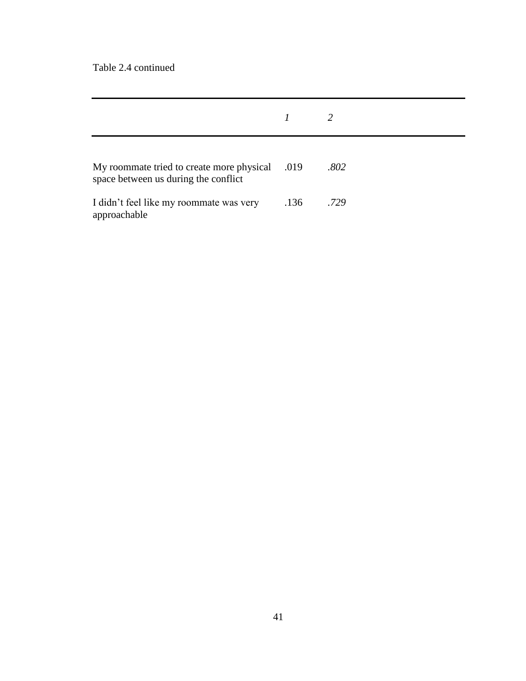Table 2.4 continued

| My roommate tried to create more physical<br>space between us during the conflict | .019 | .802 |
|-----------------------------------------------------------------------------------|------|------|
| I didn't feel like my roommate was very<br>approachable                           | .136 | .729 |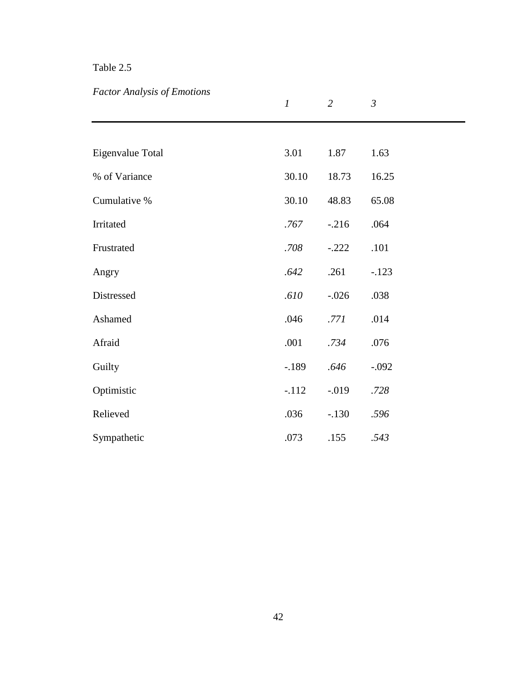# Table 2.5

# *Factor Analysis of Emotions*

|                  | $\boldsymbol{l}$ | $\overline{2}$ | $\mathfrak{Z}$ |
|------------------|------------------|----------------|----------------|
|                  |                  |                |                |
| Eigenvalue Total | 3.01             | 1.87           | 1.63           |
| % of Variance    | 30.10            | 18.73          | 16.25          |
| Cumulative %     | 30.10            | 48.83          | 65.08          |
| Irritated        | .767             | $-.216$        | .064           |
| Frustrated       | .708             | $-.222$        | .101           |
| Angry            | .642             | .261           | $-.123$        |
| Distressed       | .610             | $-.026$        | .038           |
| Ashamed          | .046             | .771           | .014           |
| Afraid           | .001             | .734           | .076           |
| Guilty           | $-189$           | .646           | $-.092$        |
| Optimistic       | $-.112$          | $-0.019$       | .728           |
| Relieved         | .036             | $-.130$        | .596           |
| Sympathetic      | .073             | .155           | .543           |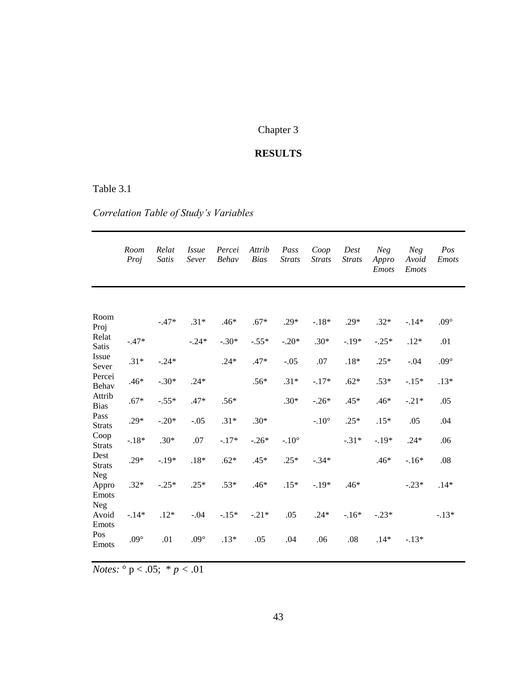# Chapter 3

# **RESULTS**

## Table 3.1

# *Correlation Table of Study's Variables*

|                       | Room<br>Proj  | Relat<br>Satis | <i>Issue</i><br>Sever | Percei<br>Behav | Attrib<br><b>Bias</b> | Pass<br><b>Strats</b> | Coop<br><b>Strats</b> | Dest<br><b>Strats</b> | <b>Neg</b><br>Appro<br><b>Emots</b> | <b>Neg</b><br>Avoid<br><b>Emots</b> | Pos<br><b>Emots</b> |
|-----------------------|---------------|----------------|-----------------------|-----------------|-----------------------|-----------------------|-----------------------|-----------------------|-------------------------------------|-------------------------------------|---------------------|
|                       |               |                |                       |                 |                       |                       |                       |                       |                                     |                                     |                     |
| Room<br>Proj          |               | $-.47*$        | $.31*$                | $.46*$          | $.67*$                | $.29*$                | $-.18*$               | $.29*$                | $.32*$                              | $-.14*$                             | $.09^{\circ}$       |
| Relat<br><b>Satis</b> | $-.47*$       |                | $-.24*$               | $-.30*$         | $-.55*$               | $-.20*$               | $.30*$                | $-.19*$               | $-.25*$                             | $.12*$                              | .01                 |
| Issue<br>Sever        | $.31*$        | $-.24*$        |                       | $.24*$          | $.47*$                | $-.05$                | .07                   | $.18*$                | $.25*$                              | $-.04$                              | $.09^{\circ}$       |
| Percei<br>Behav       | $.46*$        | $-.30*$        | $.24*$                |                 | $.56*$                | $.31*$                | $-.17*$               | $.62*$                | $.53*$                              | $-.15*$                             | $.13*$              |
| Attrib<br><b>Bias</b> | $.67*$        | $-.55*$        | $.47*$                | $.56*$          |                       | $.30*$                | $-.26*$               | .45*                  | .46*                                | $-.21*$                             | .05                 |
| Pass<br><b>Strats</b> | $.29*$        | $-.20*$        | $-.05$                | $.31*$          | $.30*$                |                       | $-.10^\circ$          | $.25*$                | $.15*$                              | .05                                 | .04                 |
| Coop<br><b>Strats</b> | $-.18*$       | $.30*$         | .07                   | $-.17*$         | $-.26*$               | $-.10^\circ$          |                       | $-.31*$               | $-.19*$                             | $.24*$                              | .06                 |
| Dest<br><b>Strats</b> | $.29*$        | $-.19*$        | $.18*$                | $.62*$          | $.45*$                | $.25*$                | $-.34*$               |                       | $.46*$                              | $-.16*$                             | .08                 |
| Neg<br>Appro<br>Emots | $.32*$        | $-.25*$        | $.25*$                | $.53*$          | .46*                  | $.15*$                | $-.19*$               | $.46*$                |                                     | $-.23*$                             | $.14*$              |
| Neg<br>Avoid<br>Emots | $-.14*$       | $.12*$         | $-.04$                | $-.15*$         | $-.21*$               | .05                   | $.24*$                | $-.16*$               | $-.23*$                             |                                     | $-.13*$             |
| Pos<br>Emots          | $.09^{\circ}$ | .01            | $.09^{\circ}$         | $.13*$          | .05                   | .04                   | .06                   | .08                   | $.14*$                              | $-.13*$                             |                     |

*Notes:* ° p < .05; \* *p <* .01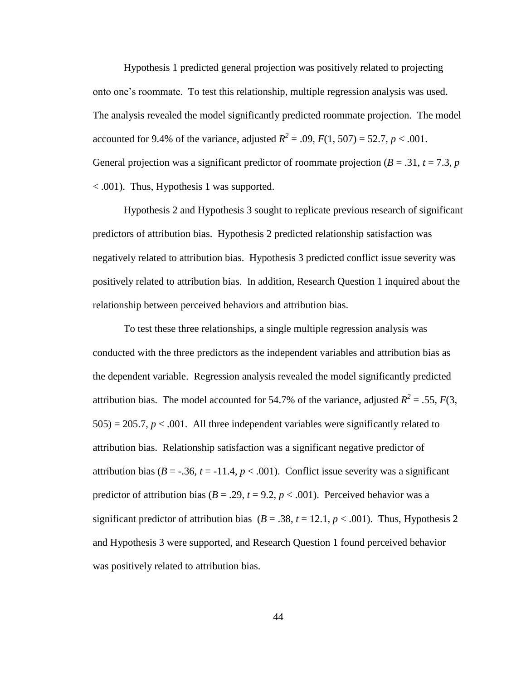Hypothesis 1 predicted general projection was positively related to projecting onto one's roommate. To test this relationship, multiple regression analysis was used. The analysis revealed the model significantly predicted roommate projection. The model accounted for 9.4% of the variance, adjusted  $R^2 = .09$ ,  $F(1, 507) = 52.7$ ,  $p < .001$ . General projection was a significant predictor of roommate projection  $(B = .31, t = 7.3, p$ < .001). Thus, Hypothesis 1 was supported.

Hypothesis 2 and Hypothesis 3 sought to replicate previous research of significant predictors of attribution bias. Hypothesis 2 predicted relationship satisfaction was negatively related to attribution bias. Hypothesis 3 predicted conflict issue severity was positively related to attribution bias. In addition, Research Question 1 inquired about the relationship between perceived behaviors and attribution bias.

To test these three relationships, a single multiple regression analysis was conducted with the three predictors as the independent variables and attribution bias as the dependent variable. Regression analysis revealed the model significantly predicted attribution bias. The model accounted for 54.7% of the variance, adjusted  $R^2 = .55$ ,  $F(3)$ ,  $505$ ) = 205.7,  $p < .001$ . All three independent variables were significantly related to attribution bias. Relationship satisfaction was a significant negative predictor of attribution bias ( $B = -0.36$ ,  $t = -11.4$ ,  $p < 0.001$ ). Conflict issue severity was a significant predictor of attribution bias ( $B = .29$ ,  $t = 9.2$ ,  $p < .001$ ). Perceived behavior was a significant predictor of attribution bias ( $B = .38$ ,  $t = 12.1$ ,  $p < .001$ ). Thus, Hypothesis 2 and Hypothesis 3 were supported, and Research Question 1 found perceived behavior was positively related to attribution bias.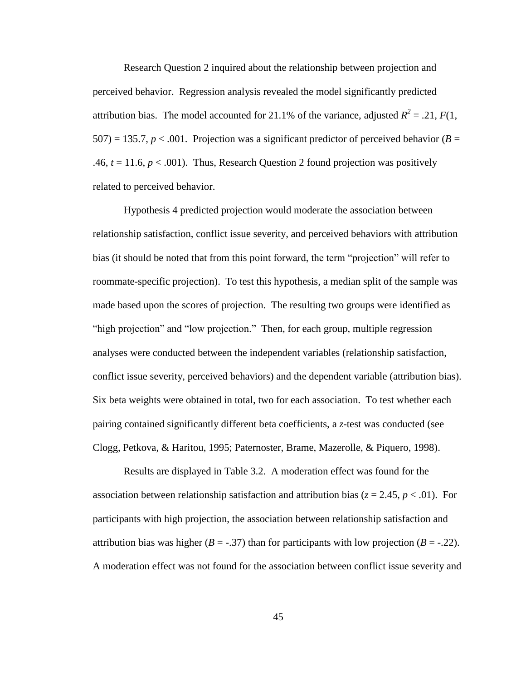Research Question 2 inquired about the relationship between projection and perceived behavior. Regression analysis revealed the model significantly predicted attribution bias. The model accounted for 21.1% of the variance, adjusted  $R^2 = .21$ ,  $F(1)$ ,  $507$ ) = 135.7, *p* < .001. Projection was a significant predictor of perceived behavior (*B* = .46,  $t = 11.6$ ,  $p < .001$ ). Thus, Research Question 2 found projection was positively related to perceived behavior.

Hypothesis 4 predicted projection would moderate the association between relationship satisfaction, conflict issue severity, and perceived behaviors with attribution bias (it should be noted that from this point forward, the term "projection" will refer to roommate-specific projection). To test this hypothesis, a median split of the sample was made based upon the scores of projection. The resulting two groups were identified as "high projection" and "low projection." Then, for each group, multiple regression analyses were conducted between the independent variables (relationship satisfaction, conflict issue severity, perceived behaviors) and the dependent variable (attribution bias). Six beta weights were obtained in total, two for each association. To test whether each pairing contained significantly different beta coefficients, a *z-*test was conducted (see Clogg, Petkova, & Haritou, 1995; Paternoster, Brame, Mazerolle, & Piquero, 1998).

Results are displayed in Table 3.2. A moderation effect was found for the association between relationship satisfaction and attribution bias ( $z = 2.45$ ,  $p < .01$ ). For participants with high projection, the association between relationship satisfaction and attribution bias was higher  $(B = -0.37)$  than for participants with low projection  $(B = -0.22)$ . A moderation effect was not found for the association between conflict issue severity and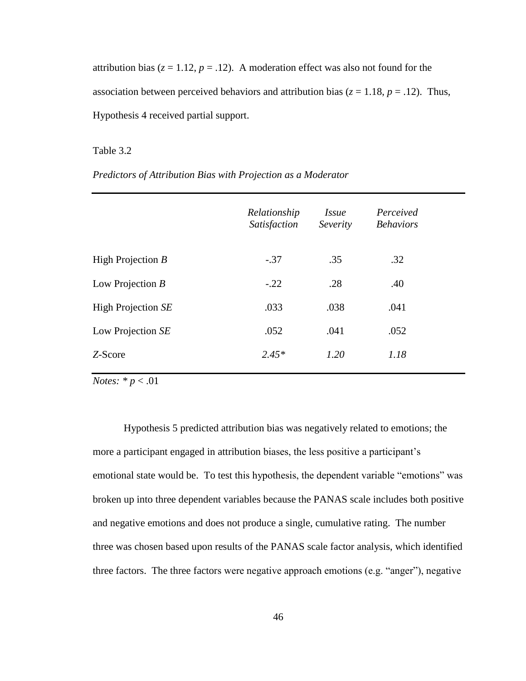attribution bias ( $z = 1.12$ ,  $p = .12$ ). A moderation effect was also not found for the association between perceived behaviors and attribution bias ( $z = 1.18$ ,  $p = .12$ ). Thus, Hypothesis 4 received partial support.

#### Table 3.2

*Predictors of Attribution Bias with Projection as a Moderator*

|                     | Relationship<br>Satisfaction | <i>Issue</i><br>Severity | Perceived<br><b>Behaviors</b> |
|---------------------|------------------------------|--------------------------|-------------------------------|
| High Projection $B$ | $-.37$                       | .35                      | .32                           |
| Low Projection $B$  | $-.22$                       | .28                      | .40                           |
| High Projection SE  | .033                         | .038                     | .041                          |
| Low Projection SE   | .052                         | .041                     | .052                          |
| Z-Score             | $2.45*$                      | 1.20                     | 1.18                          |

*Notes: \* p* < .01

Hypothesis 5 predicted attribution bias was negatively related to emotions; the more a participant engaged in attribution biases, the less positive a participant's emotional state would be. To test this hypothesis, the dependent variable "emotions" was broken up into three dependent variables because the PANAS scale includes both positive and negative emotions and does not produce a single, cumulative rating. The number three was chosen based upon results of the PANAS scale factor analysis, which identified three factors. The three factors were negative approach emotions (e.g. "anger"), negative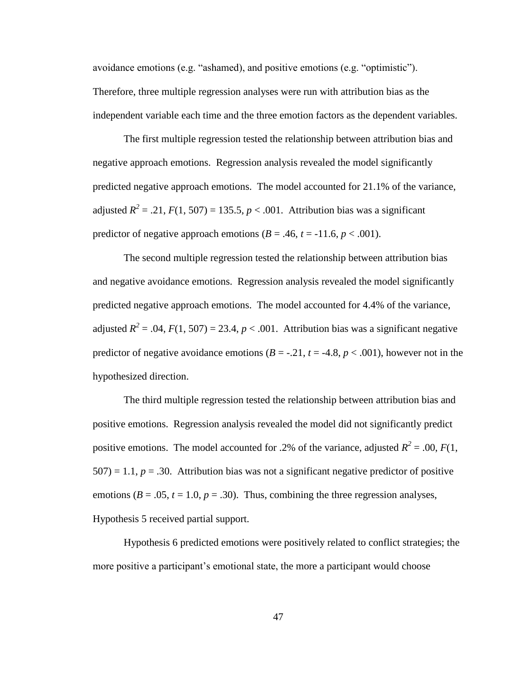avoidance emotions (e.g. "ashamed), and positive emotions (e.g. "optimistic"). Therefore, three multiple regression analyses were run with attribution bias as the independent variable each time and the three emotion factors as the dependent variables.

The first multiple regression tested the relationship between attribution bias and negative approach emotions. Regression analysis revealed the model significantly predicted negative approach emotions. The model accounted for 21.1% of the variance, adjusted  $R^2 = .21$ ,  $F(1, 507) = 135.5$ ,  $p < .001$ . Attribution bias was a significant predictor of negative approach emotions  $(B = .46, t = -11.6, p < .001)$ .

The second multiple regression tested the relationship between attribution bias and negative avoidance emotions. Regression analysis revealed the model significantly predicted negative approach emotions. The model accounted for 4.4% of the variance, adjusted  $R^2 = .04$ ,  $F(1, 507) = 23.4$ ,  $p < .001$ . Attribution bias was a significant negative predictor of negative avoidance emotions  $(B = -.21, t = -4.8, p < .001)$ , however not in the hypothesized direction.

The third multiple regression tested the relationship between attribution bias and positive emotions. Regression analysis revealed the model did not significantly predict positive emotions. The model accounted for .2% of the variance, adjusted  $R^2 = .00$ ,  $F(1, 1)$  $507$ ) = 1.1,  $p = .30$ . Attribution bias was not a significant negative predictor of positive emotions ( $B = .05$ ,  $t = 1.0$ ,  $p = .30$ ). Thus, combining the three regression analyses, Hypothesis 5 received partial support.

Hypothesis 6 predicted emotions were positively related to conflict strategies; the more positive a participant's emotional state, the more a participant would choose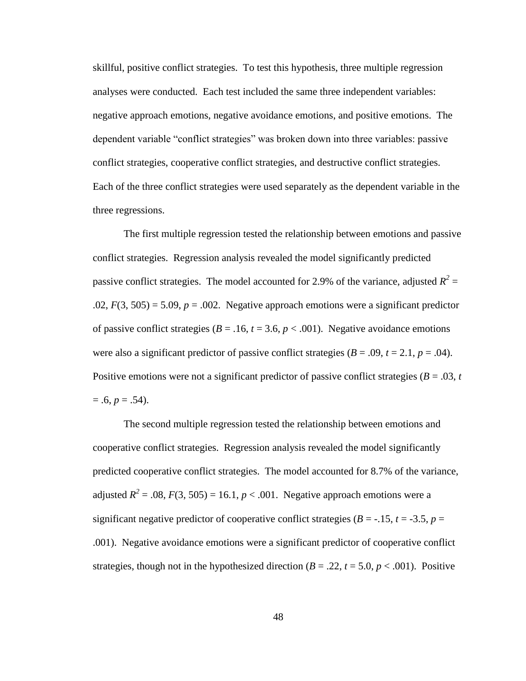skillful, positive conflict strategies. To test this hypothesis, three multiple regression analyses were conducted. Each test included the same three independent variables: negative approach emotions, negative avoidance emotions, and positive emotions. The dependent variable "conflict strategies" was broken down into three variables: passive conflict strategies, cooperative conflict strategies, and destructive conflict strategies. Each of the three conflict strategies were used separately as the dependent variable in the three regressions.

The first multiple regression tested the relationship between emotions and passive conflict strategies. Regression analysis revealed the model significantly predicted passive conflict strategies. The model accounted for 2.9% of the variance, adjusted  $R^2 =$  $.02, F(3, 505) = 5.09, p = .002$ . Negative approach emotions were a significant predictor of passive conflict strategies ( $B = .16$ ,  $t = 3.6$ ,  $p < .001$ ). Negative avoidance emotions were also a significant predictor of passive conflict strategies  $(B = .09, t = 2.1, p = .04)$ . Positive emotions were not a significant predictor of passive conflict strategies ( $B = .03$ ,  $t$ )  $= .6, p = .54$ ).

The second multiple regression tested the relationship between emotions and cooperative conflict strategies. Regression analysis revealed the model significantly predicted cooperative conflict strategies. The model accounted for 8.7% of the variance, adjusted  $R^2 = .08$ ,  $F(3, 505) = 16.1$ ,  $p < .001$ . Negative approach emotions were a significant negative predictor of cooperative conflict strategies ( $B = -15$ ,  $t = -3.5$ ,  $p =$ .001). Negative avoidance emotions were a significant predictor of cooperative conflict strategies, though not in the hypothesized direction  $(B = .22, t = 5.0, p < .001)$ . Positive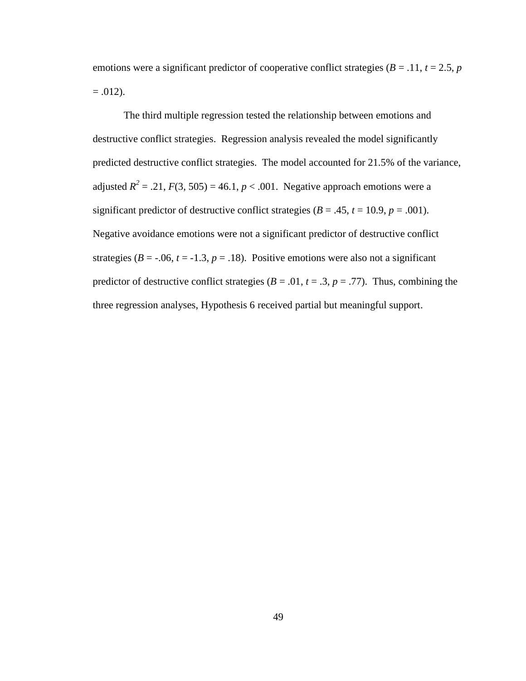emotions were a significant predictor of cooperative conflict strategies ( $B = .11$ ,  $t = 2.5$ ,  $p$ )  $= .012$ ).

The third multiple regression tested the relationship between emotions and destructive conflict strategies. Regression analysis revealed the model significantly predicted destructive conflict strategies. The model accounted for 21.5% of the variance, adjusted  $R^2 = .21$ ,  $F(3, 505) = 46.1$ ,  $p < .001$ . Negative approach emotions were a significant predictor of destructive conflict strategies ( $B = .45$ ,  $t = 10.9$ ,  $p = .001$ ). Negative avoidance emotions were not a significant predictor of destructive conflict strategies ( $B = -0.06$ ,  $t = -1.3$ ,  $p = 0.18$ ). Positive emotions were also not a significant predictor of destructive conflict strategies ( $B = .01$ ,  $t = .3$ ,  $p = .77$ ). Thus, combining the three regression analyses, Hypothesis 6 received partial but meaningful support.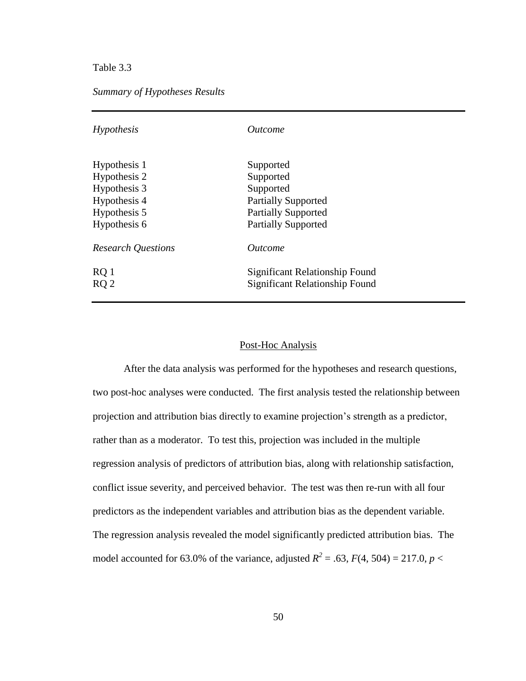Table 3.3

## *Summary of Hypotheses Results*

| Hypothesis                | <b>Outcome</b>                                                   |  |  |  |  |
|---------------------------|------------------------------------------------------------------|--|--|--|--|
| Hypothesis 1              | Supported                                                        |  |  |  |  |
| Hypothesis 2              | Supported                                                        |  |  |  |  |
| Hypothesis 3              | Supported                                                        |  |  |  |  |
| Hypothesis 4              | <b>Partially Supported</b>                                       |  |  |  |  |
| Hypothesis 5              | <b>Partially Supported</b>                                       |  |  |  |  |
| Hypothesis 6              | <b>Partially Supported</b>                                       |  |  |  |  |
| <b>Research Questions</b> | <i><u>Outcome</u></i>                                            |  |  |  |  |
| RQ 1<br>RO <sub>2</sub>   | Significant Relationship Found<br>Significant Relationship Found |  |  |  |  |

## Post-Hoc Analysis

After the data analysis was performed for the hypotheses and research questions, two post-hoc analyses were conducted. The first analysis tested the relationship between projection and attribution bias directly to examine projection's strength as a predictor, rather than as a moderator. To test this, projection was included in the multiple regression analysis of predictors of attribution bias, along with relationship satisfaction, conflict issue severity, and perceived behavior. The test was then re-run with all four predictors as the independent variables and attribution bias as the dependent variable. The regression analysis revealed the model significantly predicted attribution bias. The model accounted for 63.0% of the variance, adjusted  $R^2 = .63$ ,  $F(4, 504) = 217.0$ ,  $p <$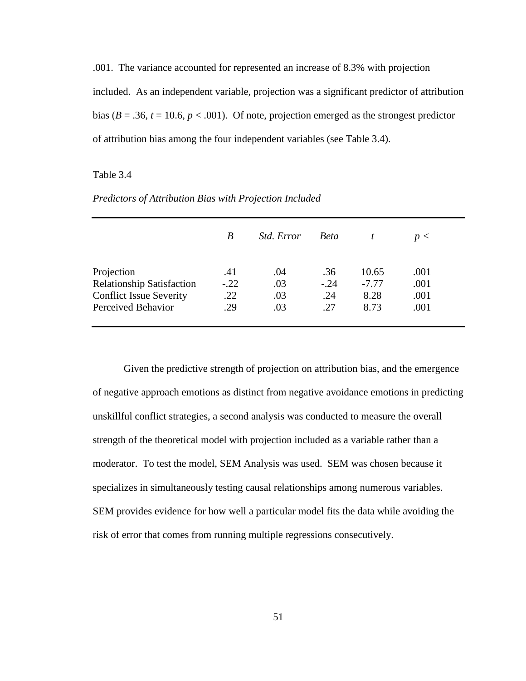.001. The variance accounted for represented an increase of 8.3% with projection included. As an independent variable, projection was a significant predictor of attribution bias ( $B = .36$ ,  $t = 10.6$ ,  $p < .001$ ). Of note, projection emerged as the strongest predictor of attribution bias among the four independent variables (see Table 3.4).

### Table 3.4

|                                  | B      | <i>Std. Error</i> | <b>Beta</b> |         | p <  |
|----------------------------------|--------|-------------------|-------------|---------|------|
| Projection                       | .41    | .04               | .36         | 10.65   | .001 |
| <b>Relationship Satisfaction</b> | $-.22$ | .03               | $-.24$      | $-7.77$ | .001 |
| <b>Conflict Issue Severity</b>   | .22    | .03               | .24         | 8.28    | .001 |
| Perceived Behavior               | .29    | .03               | .27         | 8.73    | .001 |

*Predictors of Attribution Bias with Projection Included*

Given the predictive strength of projection on attribution bias, and the emergence of negative approach emotions as distinct from negative avoidance emotions in predicting unskillful conflict strategies, a second analysis was conducted to measure the overall strength of the theoretical model with projection included as a variable rather than a moderator. To test the model, SEM Analysis was used. SEM was chosen because it specializes in simultaneously testing causal relationships among numerous variables. SEM provides evidence for how well a particular model fits the data while avoiding the risk of error that comes from running multiple regressions consecutively.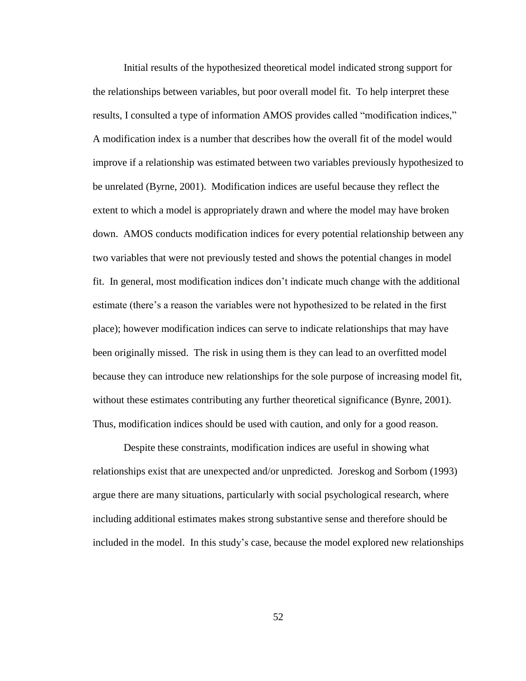Initial results of the hypothesized theoretical model indicated strong support for the relationships between variables, but poor overall model fit. To help interpret these results, I consulted a type of information AMOS provides called "modification indices," A modification index is a number that describes how the overall fit of the model would improve if a relationship was estimated between two variables previously hypothesized to be unrelated (Byrne, 2001). Modification indices are useful because they reflect the extent to which a model is appropriately drawn and where the model may have broken down. AMOS conducts modification indices for every potential relationship between any two variables that were not previously tested and shows the potential changes in model fit. In general, most modification indices don't indicate much change with the additional estimate (there's a reason the variables were not hypothesized to be related in the first place); however modification indices can serve to indicate relationships that may have been originally missed. The risk in using them is they can lead to an overfitted model because they can introduce new relationships for the sole purpose of increasing model fit, without these estimates contributing any further theoretical significance (Bynre, 2001). Thus, modification indices should be used with caution, and only for a good reason.

Despite these constraints, modification indices are useful in showing what relationships exist that are unexpected and/or unpredicted. Joreskog and Sorbom (1993) argue there are many situations, particularly with social psychological research, where including additional estimates makes strong substantive sense and therefore should be included in the model. In this study's case, because the model explored new relationships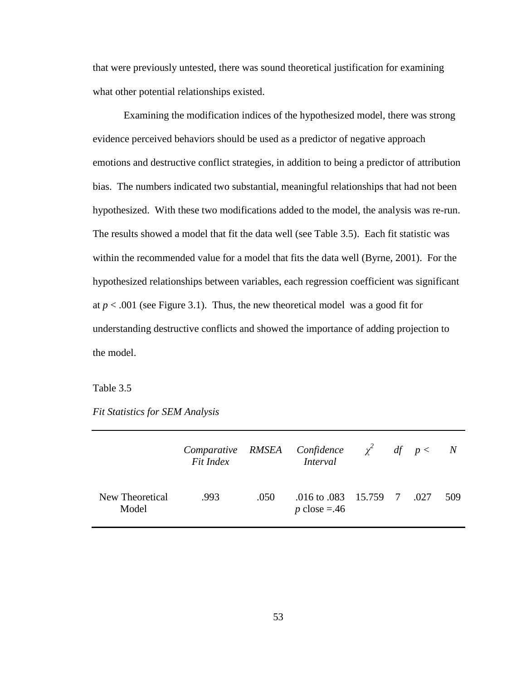that were previously untested, there was sound theoretical justification for examining what other potential relationships existed.

Examining the modification indices of the hypothesized model, there was strong evidence perceived behaviors should be used as a predictor of negative approach emotions and destructive conflict strategies, in addition to being a predictor of attribution bias. The numbers indicated two substantial, meaningful relationships that had not been hypothesized. With these two modifications added to the model, the analysis was re-run. The results showed a model that fit the data well (see Table 3.5). Each fit statistic was within the recommended value for a model that fits the data well (Byrne, 2001). For the hypothesized relationships between variables, each regression coefficient was significant at  $p < .001$  (see Figure 3.1). Thus, the new theoretical model was a good fit for understanding destructive conflicts and showed the importance of adding projection to the model.

Table 3.5

*Fit Statistics for SEM Analysis*

|                          | Fit Index |      | Comparative RMSEA Confidence $\chi^2$ df $p < N$<br><i>Interval</i> |  |     |
|--------------------------|-----------|------|---------------------------------------------------------------------|--|-----|
| New Theoretical<br>Model | .993      | .050 | .016 to .083 15.759 7 .027<br>p close = $.46$                       |  | 509 |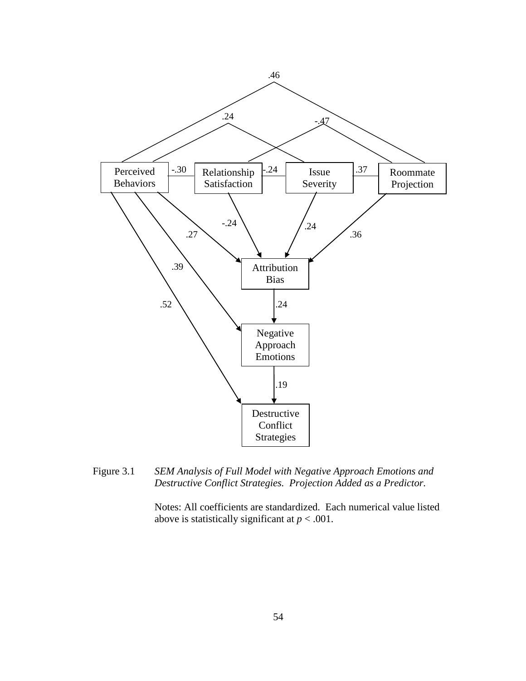

Figure 3.1 *SEM Analysis of Full Model with Negative Approach Emotions and Destructive Conflict Strategies. Projection Added as a Predictor.*

Notes: All coefficients are standardized. Each numerical value listed above is statistically significant at  $p < .001$ .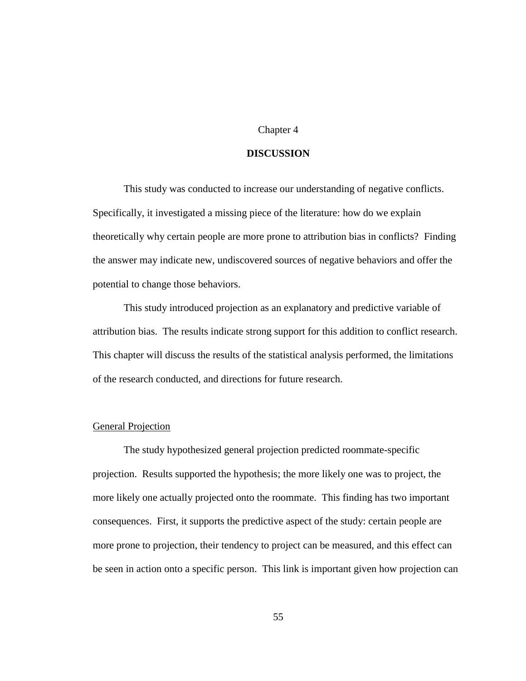### Chapter 4

### **DISCUSSION**

This study was conducted to increase our understanding of negative conflicts. Specifically, it investigated a missing piece of the literature: how do we explain theoretically why certain people are more prone to attribution bias in conflicts? Finding the answer may indicate new, undiscovered sources of negative behaviors and offer the potential to change those behaviors.

This study introduced projection as an explanatory and predictive variable of attribution bias. The results indicate strong support for this addition to conflict research. This chapter will discuss the results of the statistical analysis performed, the limitations of the research conducted, and directions for future research.

### General Projection

The study hypothesized general projection predicted roommate-specific projection. Results supported the hypothesis; the more likely one was to project, the more likely one actually projected onto the roommate. This finding has two important consequences. First, it supports the predictive aspect of the study: certain people are more prone to projection, their tendency to project can be measured, and this effect can be seen in action onto a specific person. This link is important given how projection can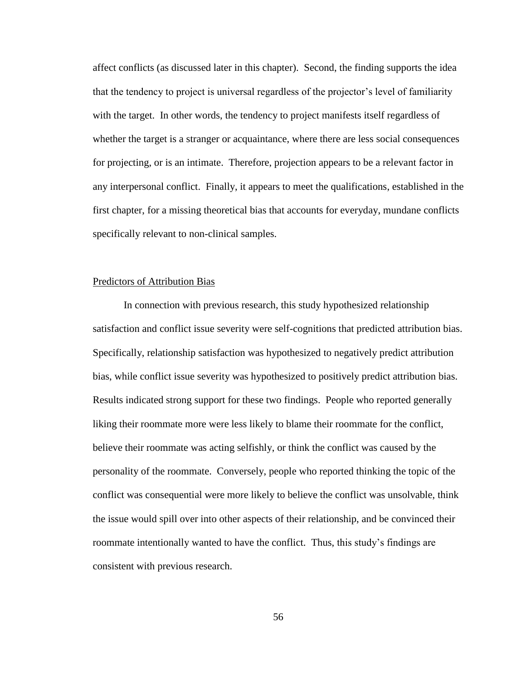affect conflicts (as discussed later in this chapter). Second, the finding supports the idea that the tendency to project is universal regardless of the projector's level of familiarity with the target. In other words, the tendency to project manifests itself regardless of whether the target is a stranger or acquaintance, where there are less social consequences for projecting, or is an intimate. Therefore, projection appears to be a relevant factor in any interpersonal conflict. Finally, it appears to meet the qualifications, established in the first chapter, for a missing theoretical bias that accounts for everyday, mundane conflicts specifically relevant to non-clinical samples.

### Predictors of Attribution Bias

In connection with previous research, this study hypothesized relationship satisfaction and conflict issue severity were self-cognitions that predicted attribution bias. Specifically, relationship satisfaction was hypothesized to negatively predict attribution bias, while conflict issue severity was hypothesized to positively predict attribution bias. Results indicated strong support for these two findings. People who reported generally liking their roommate more were less likely to blame their roommate for the conflict, believe their roommate was acting selfishly, or think the conflict was caused by the personality of the roommate. Conversely, people who reported thinking the topic of the conflict was consequential were more likely to believe the conflict was unsolvable, think the issue would spill over into other aspects of their relationship, and be convinced their roommate intentionally wanted to have the conflict. Thus, this study's findings are consistent with previous research.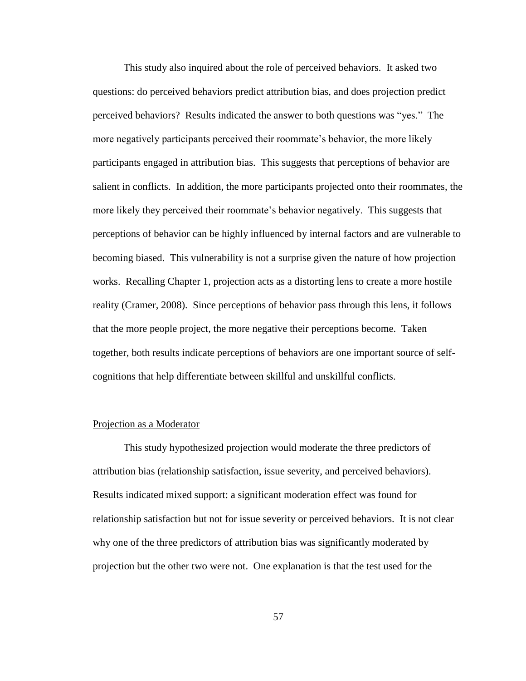This study also inquired about the role of perceived behaviors. It asked two questions: do perceived behaviors predict attribution bias, and does projection predict perceived behaviors? Results indicated the answer to both questions was "yes." The more negatively participants perceived their roommate's behavior, the more likely participants engaged in attribution bias. This suggests that perceptions of behavior are salient in conflicts. In addition, the more participants projected onto their roommates, the more likely they perceived their roommate's behavior negatively. This suggests that perceptions of behavior can be highly influenced by internal factors and are vulnerable to becoming biased. This vulnerability is not a surprise given the nature of how projection works. Recalling Chapter 1, projection acts as a distorting lens to create a more hostile reality (Cramer, 2008). Since perceptions of behavior pass through this lens, it follows that the more people project, the more negative their perceptions become. Taken together, both results indicate perceptions of behaviors are one important source of selfcognitions that help differentiate between skillful and unskillful conflicts.

## Projection as a Moderator

This study hypothesized projection would moderate the three predictors of attribution bias (relationship satisfaction, issue severity, and perceived behaviors). Results indicated mixed support: a significant moderation effect was found for relationship satisfaction but not for issue severity or perceived behaviors. It is not clear why one of the three predictors of attribution bias was significantly moderated by projection but the other two were not. One explanation is that the test used for the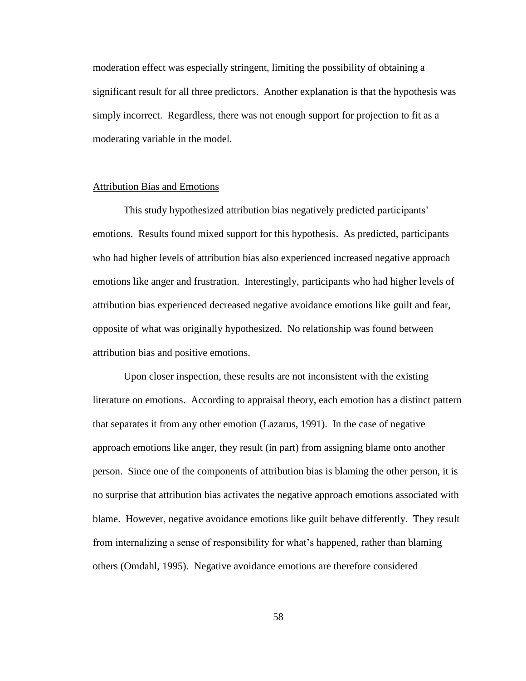moderation effect was especially stringent, limiting the possibility of obtaining a significant result for all three predictors. Another explanation is that the hypothesis was simply incorrect. Regardless, there was not enough support for projection to fit as a moderating variable in the model.

#### Attribution Bias and Emotions

This study hypothesized attribution bias negatively predicted participants' emotions. Results found mixed support for this hypothesis. As predicted, participants who had higher levels of attribution bias also experienced increased negative approach emotions like anger and frustration. Interestingly, participants who had higher levels of attribution bias experienced decreased negative avoidance emotions like guilt and fear, opposite of what was originally hypothesized. No relationship was found between attribution bias and positive emotions.

Upon closer inspection, these results are not inconsistent with the existing literature on emotions. According to appraisal theory, each emotion has a distinct pattern that separates it from any other emotion (Lazarus, 1991). In the case of negative approach emotions like anger, they result (in part) from assigning blame onto another person. Since one of the components of attribution bias is blaming the other person, it is no surprise that attribution bias activates the negative approach emotions associated with blame. However, negative avoidance emotions like guilt behave differently. They result from internalizing a sense of responsibility for what's happened, rather than blaming others (Omdahl, 1995). Negative avoidance emotions are therefore considered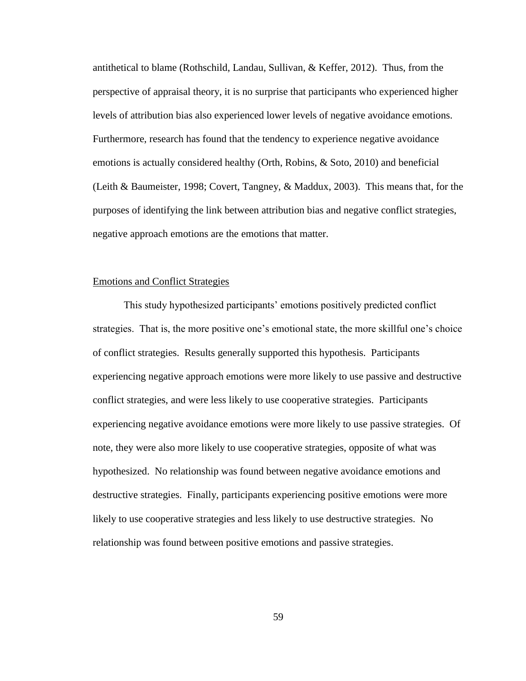antithetical to blame (Rothschild, Landau, Sullivan, & Keffer, 2012). Thus, from the perspective of appraisal theory, it is no surprise that participants who experienced higher levels of attribution bias also experienced lower levels of negative avoidance emotions. Furthermore, research has found that the tendency to experience negative avoidance emotions is actually considered healthy (Orth, Robins, & Soto, 2010) and beneficial (Leith & Baumeister, 1998; Covert, Tangney, & Maddux, 2003). This means that, for the purposes of identifying the link between attribution bias and negative conflict strategies, negative approach emotions are the emotions that matter.

### Emotions and Conflict Strategies

This study hypothesized participants' emotions positively predicted conflict strategies. That is, the more positive one's emotional state, the more skillful one's choice of conflict strategies. Results generally supported this hypothesis. Participants experiencing negative approach emotions were more likely to use passive and destructive conflict strategies, and were less likely to use cooperative strategies. Participants experiencing negative avoidance emotions were more likely to use passive strategies. Of note, they were also more likely to use cooperative strategies, opposite of what was hypothesized. No relationship was found between negative avoidance emotions and destructive strategies. Finally, participants experiencing positive emotions were more likely to use cooperative strategies and less likely to use destructive strategies. No relationship was found between positive emotions and passive strategies.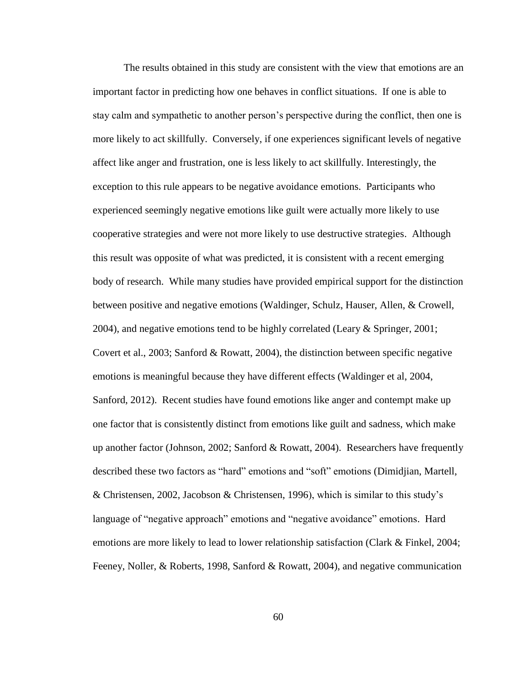The results obtained in this study are consistent with the view that emotions are an important factor in predicting how one behaves in conflict situations. If one is able to stay calm and sympathetic to another person's perspective during the conflict, then one is more likely to act skillfully. Conversely, if one experiences significant levels of negative affect like anger and frustration, one is less likely to act skillfully. Interestingly, the exception to this rule appears to be negative avoidance emotions. Participants who experienced seemingly negative emotions like guilt were actually more likely to use cooperative strategies and were not more likely to use destructive strategies. Although this result was opposite of what was predicted, it is consistent with a recent emerging body of research. While many studies have provided empirical support for the distinction between positive and negative emotions (Waldinger, Schulz, Hauser, Allen, & Crowell, 2004), and negative emotions tend to be highly correlated (Leary & Springer, 2001; Covert et al., 2003; Sanford & Rowatt, 2004), the distinction between specific negative emotions is meaningful because they have different effects (Waldinger et al, 2004, Sanford, 2012). Recent studies have found emotions like anger and contempt make up one factor that is consistently distinct from emotions like guilt and sadness, which make up another factor (Johnson, 2002; Sanford & Rowatt, 2004). Researchers have frequently described these two factors as "hard" emotions and "soft" emotions (Dimidjian, Martell, & Christensen, 2002, Jacobson & Christensen, 1996), which is similar to this study's language of "negative approach" emotions and "negative avoidance" emotions. Hard emotions are more likely to lead to lower relationship satisfaction (Clark & Finkel, 2004; Feeney, Noller, & Roberts, 1998, Sanford & Rowatt, 2004), and negative communication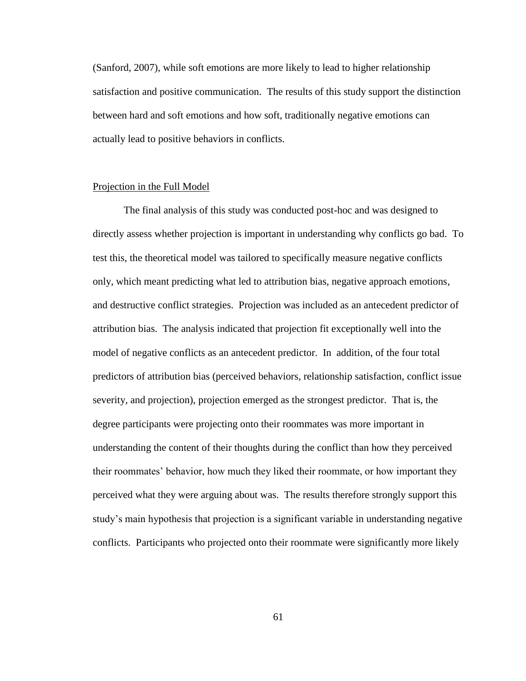(Sanford, 2007), while soft emotions are more likely to lead to higher relationship satisfaction and positive communication. The results of this study support the distinction between hard and soft emotions and how soft, traditionally negative emotions can actually lead to positive behaviors in conflicts.

#### Projection in the Full Model

The final analysis of this study was conducted post-hoc and was designed to directly assess whether projection is important in understanding why conflicts go bad. To test this, the theoretical model was tailored to specifically measure negative conflicts only, which meant predicting what led to attribution bias, negative approach emotions, and destructive conflict strategies. Projection was included as an antecedent predictor of attribution bias. The analysis indicated that projection fit exceptionally well into the model of negative conflicts as an antecedent predictor. In addition, of the four total predictors of attribution bias (perceived behaviors, relationship satisfaction, conflict issue severity, and projection), projection emerged as the strongest predictor. That is, the degree participants were projecting onto their roommates was more important in understanding the content of their thoughts during the conflict than how they perceived their roommates' behavior, how much they liked their roommate, or how important they perceived what they were arguing about was. The results therefore strongly support this study's main hypothesis that projection is a significant variable in understanding negative conflicts. Participants who projected onto their roommate were significantly more likely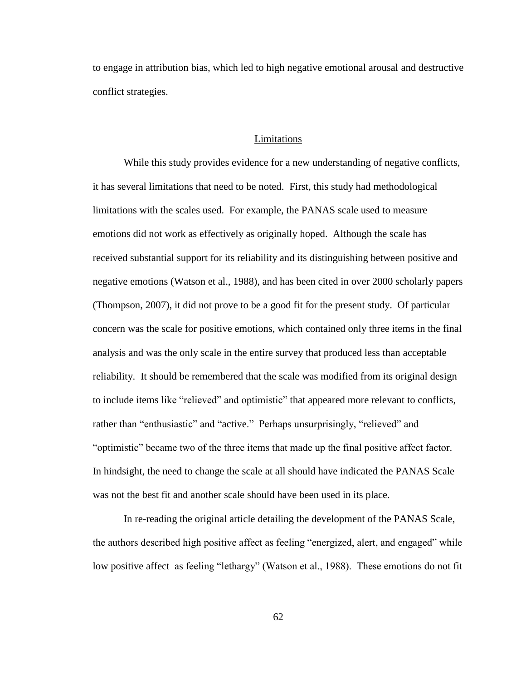to engage in attribution bias, which led to high negative emotional arousal and destructive conflict strategies.

#### Limitations

While this study provides evidence for a new understanding of negative conflicts, it has several limitations that need to be noted. First, this study had methodological limitations with the scales used. For example, the PANAS scale used to measure emotions did not work as effectively as originally hoped. Although the scale has received substantial support for its reliability and its distinguishing between positive and negative emotions (Watson et al., 1988), and has been cited in over 2000 scholarly papers (Thompson, 2007), it did not prove to be a good fit for the present study. Of particular concern was the scale for positive emotions, which contained only three items in the final analysis and was the only scale in the entire survey that produced less than acceptable reliability. It should be remembered that the scale was modified from its original design to include items like "relieved" and optimistic" that appeared more relevant to conflicts, rather than "enthusiastic" and "active." Perhaps unsurprisingly, "relieved" and "optimistic" became two of the three items that made up the final positive affect factor. In hindsight, the need to change the scale at all should have indicated the PANAS Scale was not the best fit and another scale should have been used in its place.

In re-reading the original article detailing the development of the PANAS Scale, the authors described high positive affect as feeling "energized, alert, and engaged" while low positive affect as feeling "lethargy" (Watson et al., 1988). These emotions do not fit

62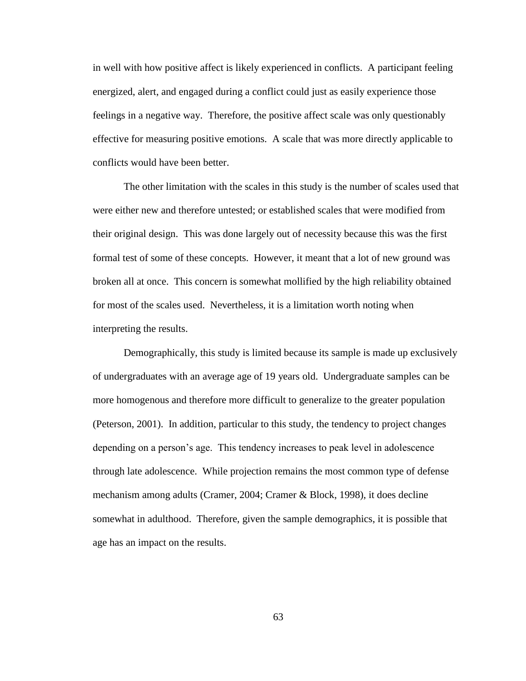in well with how positive affect is likely experienced in conflicts. A participant feeling energized, alert, and engaged during a conflict could just as easily experience those feelings in a negative way. Therefore, the positive affect scale was only questionably effective for measuring positive emotions. A scale that was more directly applicable to conflicts would have been better.

The other limitation with the scales in this study is the number of scales used that were either new and therefore untested; or established scales that were modified from their original design. This was done largely out of necessity because this was the first formal test of some of these concepts. However, it meant that a lot of new ground was broken all at once. This concern is somewhat mollified by the high reliability obtained for most of the scales used. Nevertheless, it is a limitation worth noting when interpreting the results.

Demographically, this study is limited because its sample is made up exclusively of undergraduates with an average age of 19 years old. Undergraduate samples can be more homogenous and therefore more difficult to generalize to the greater population (Peterson, 2001). In addition, particular to this study, the tendency to project changes depending on a person's age. This tendency increases to peak level in adolescence through late adolescence. While projection remains the most common type of defense mechanism among adults (Cramer, 2004; Cramer & Block, 1998), it does decline somewhat in adulthood. Therefore, given the sample demographics, it is possible that age has an impact on the results.

63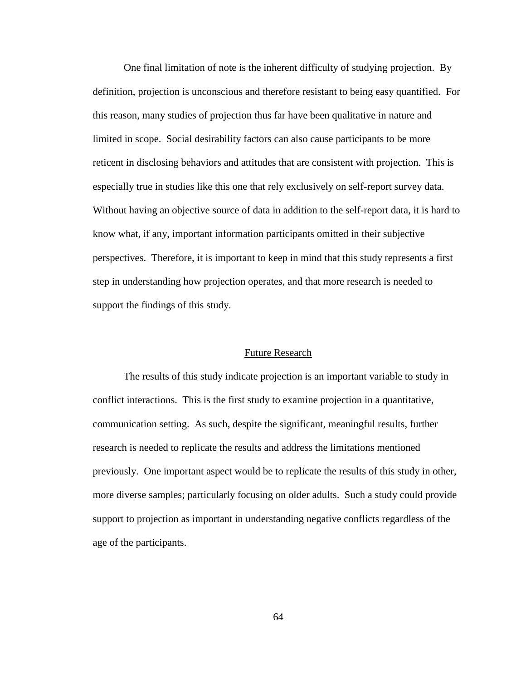One final limitation of note is the inherent difficulty of studying projection. By definition, projection is unconscious and therefore resistant to being easy quantified. For this reason, many studies of projection thus far have been qualitative in nature and limited in scope. Social desirability factors can also cause participants to be more reticent in disclosing behaviors and attitudes that are consistent with projection. This is especially true in studies like this one that rely exclusively on self-report survey data. Without having an objective source of data in addition to the self-report data, it is hard to know what, if any, important information participants omitted in their subjective perspectives. Therefore, it is important to keep in mind that this study represents a first step in understanding how projection operates, and that more research is needed to support the findings of this study.

#### Future Research

The results of this study indicate projection is an important variable to study in conflict interactions. This is the first study to examine projection in a quantitative, communication setting. As such, despite the significant, meaningful results, further research is needed to replicate the results and address the limitations mentioned previously. One important aspect would be to replicate the results of this study in other, more diverse samples; particularly focusing on older adults. Such a study could provide support to projection as important in understanding negative conflicts regardless of the age of the participants.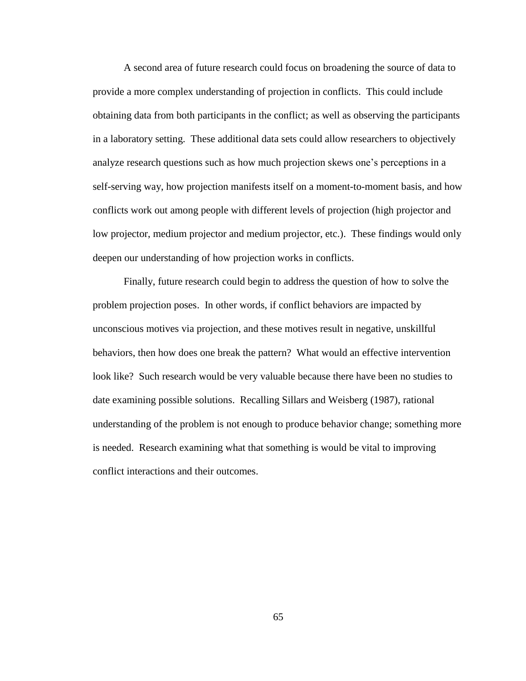A second area of future research could focus on broadening the source of data to provide a more complex understanding of projection in conflicts. This could include obtaining data from both participants in the conflict; as well as observing the participants in a laboratory setting. These additional data sets could allow researchers to objectively analyze research questions such as how much projection skews one's perceptions in a self-serving way, how projection manifests itself on a moment-to-moment basis, and how conflicts work out among people with different levels of projection (high projector and low projector, medium projector and medium projector, etc.). These findings would only deepen our understanding of how projection works in conflicts.

Finally, future research could begin to address the question of how to solve the problem projection poses. In other words, if conflict behaviors are impacted by unconscious motives via projection, and these motives result in negative, unskillful behaviors, then how does one break the pattern? What would an effective intervention look like? Such research would be very valuable because there have been no studies to date examining possible solutions. Recalling Sillars and Weisberg (1987), rational understanding of the problem is not enough to produce behavior change; something more is needed. Research examining what that something is would be vital to improving conflict interactions and their outcomes.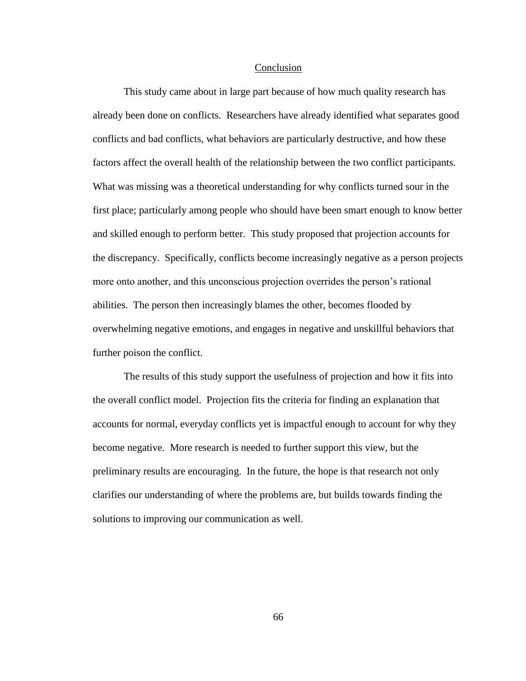#### Conclusion

This study came about in large part because of how much quality research has already been done on conflicts. Researchers have already identified what separates good conflicts and bad conflicts, what behaviors are particularly destructive, and how these factors affect the overall health of the relationship between the two conflict participants. What was missing was a theoretical understanding for why conflicts turned sour in the first place; particularly among people who should have been smart enough to know better and skilled enough to perform better. This study proposed that projection accounts for the discrepancy. Specifically, conflicts become increasingly negative as a person projects more onto another, and this unconscious projection overrides the person's rational abilities. The person then increasingly blames the other, becomes flooded by overwhelming negative emotions, and engages in negative and unskillful behaviors that further poison the conflict.

The results of this study support the usefulness of projection and how it fits into the overall conflict model. Projection fits the criteria for finding an explanation that accounts for normal, everyday conflicts yet is impactful enough to account for why they become negative. More research is needed to further support this view, but the preliminary results are encouraging. In the future, the hope is that research not only clarifies our understanding of where the problems are, but builds towards finding the solutions to improving our communication as well.

66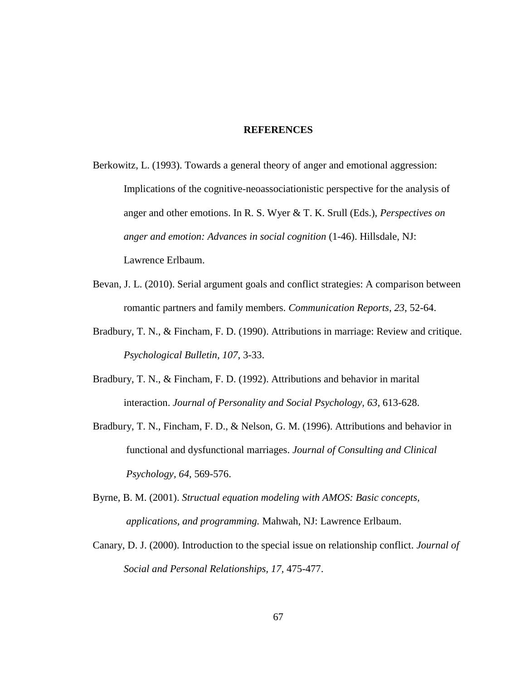#### **REFERENCES**

- Berkowitz, L. (1993). Towards a general theory of anger and emotional aggression: Implications of the cognitive-neoassociationistic perspective for the analysis of anger and other emotions. In R. S. Wyer & T. K. Srull (Eds.), *Perspectives on anger and emotion: Advances in social cognition* (1-46). Hillsdale, NJ: Lawrence Erlbaum.
- Bevan, J. L. (2010). Serial argument goals and conflict strategies: A comparison between romantic partners and family members. *Communication Reports*, *23*, 52-64.
- Bradbury, T. N., & Fincham, F. D. (1990). Attributions in marriage: Review and critique. *Psychological Bulletin, 107*, 3-33.
- Bradbury, T. N., & Fincham, F. D. (1992). Attributions and behavior in marital interaction. *Journal of Personality and Social Psychology, 63*, 613-628.
- Bradbury, T. N., Fincham, F. D., & Nelson, G. M. (1996). Attributions and behavior in functional and dysfunctional marriages. *Journal of Consulting and Clinical Psychology, 64,* 569-576.
- Byrne, B. M. (2001). *Structual equation modeling with AMOS: Basic concepts, applications, and programming.* Mahwah, NJ: Lawrence Erlbaum.
- Canary, D. J. (2000). Introduction to the special issue on relationship conflict. *Journal of Social and Personal Relationships, 17,* 475-477.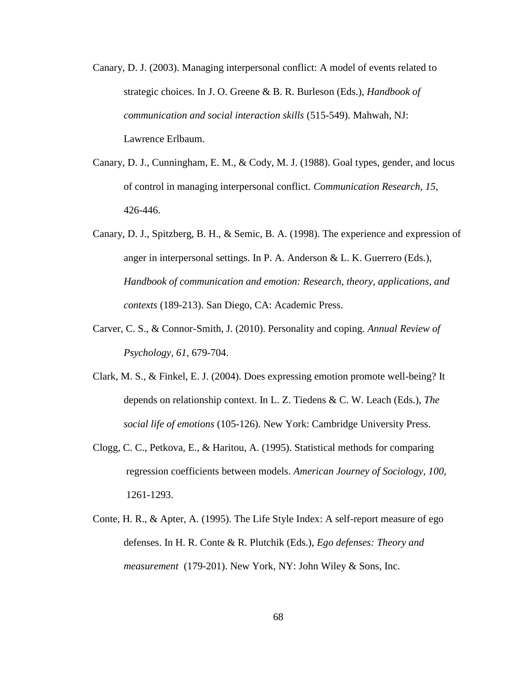- Canary, D. J. (2003). Managing interpersonal conflict: A model of events related to strategic choices. In J. O. Greene & B. R. Burleson (Eds.), *Handbook of communication and social interaction skills* (515-549). Mahwah, NJ: Lawrence Erlbaum.
- Canary, D. J., Cunningham, E. M., & Cody, M. J. (1988). Goal types, gender, and locus of control in managing interpersonal conflict. *Communication Research, 15*, 426-446.
- Canary, D. J., Spitzberg, B. H., & Semic, B. A. (1998). The experience and expression of anger in interpersonal settings. In P. A. Anderson & L. K. Guerrero (Eds.), *Handbook of communication and emotion: Research, theory, applications, and contexts* (189-213). San Diego, CA: Academic Press.
- Carver, C. S., & Connor-Smith, J. (2010). Personality and coping. *Annual Review of Psychology, 61*, 679-704.
- Clark, M. S., & Finkel, E. J. (2004). Does expressing emotion promote well-being? It depends on relationship context. In L. Z. Tiedens & C. W. Leach (Eds.), *The social life of emotions* (105-126). New York: Cambridge University Press.
- Clogg, C. C., Petkova, E., & Haritou, A. (1995). Statistical methods for comparing regression coefficients between models. *American Journey of Sociology, 100,* 1261-1293.
- Conte, H. R., & Apter, A. (1995). The Life Style Index: A self-report measure of ego defenses. In H. R. Conte & R. Plutchik (Eds.), *Ego defenses: Theory and measurement* (179-201). New York, NY: John Wiley & Sons, Inc.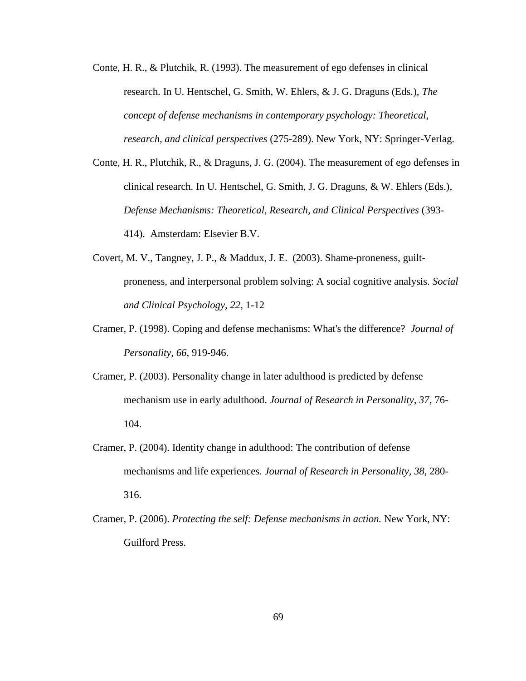- Conte, H. R., & Plutchik, R. (1993). The measurement of ego defenses in clinical research. In U. Hentschel, G. Smith, W. Ehlers, & J. G. Draguns (Eds.), *The concept of defense mechanisms in contemporary psychology: Theoretical, research, and clinical perspectives* (275-289). New York, NY: Springer-Verlag.
- Conte, H. R., Plutchik, R., & Draguns, J. G. (2004). The measurement of ego defenses in clinical research. In U. Hentschel, G. Smith, J. G. Draguns, & W. Ehlers (Eds.), *Defense Mechanisms: Theoretical, Research, and Clinical Perspectives* (393- 414). Amsterdam: Elsevier B.V.
- Covert, M. V., Tangney, J. P., & Maddux, J. E. (2003). Shame-proneness, guiltproneness, and interpersonal problem solving: A social cognitive analysis. *Social and Clinical Psychology, 22,* 1-12
- Cramer, P. (1998). Coping and defense mechanisms: What's the difference? *Journal of Personality, 66*, 919-946.
- Cramer, P. (2003). Personality change in later adulthood is predicted by defense mechanism use in early adulthood. *Journal of Research in Personality, 37*, 76- 104.
- Cramer, P. (2004). Identity change in adulthood: The contribution of defense mechanisms and life experiences. *Journal of Research in Personality, 38,* 280- 316.
- Cramer, P. (2006). *Protecting the self: Defense mechanisms in action.* New York, NY: Guilford Press.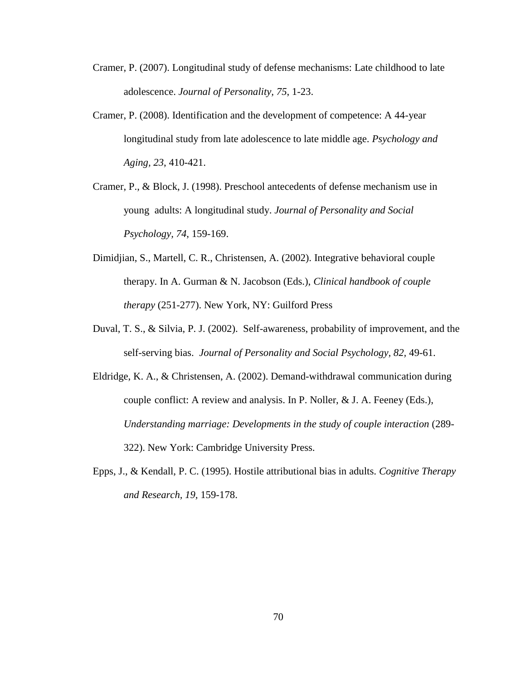- Cramer, P. (2007). Longitudinal study of defense mechanisms: Late childhood to late adolescence. *Journal of Personality, 75*, 1-23.
- Cramer, P. (2008). Identification and the development of competence: A 44-year longitudinal study from late adolescence to late middle age. *Psychology and Aging, 23*, 410-421.
- Cramer, P., & Block, J. (1998). Preschool antecedents of defense mechanism use in young adults: A longitudinal study. *Journal of Personality and Social Psychology, 74*, 159-169.
- Dimidjian, S., Martell, C. R., Christensen, A. (2002). Integrative behavioral couple therapy. In A. Gurman & N. Jacobson (Eds.), *Clinical handbook of couple therapy* (251-277). New York, NY: Guilford Press
- Duval, T. S., & Silvia, P. J. (2002). Self-awareness, probability of improvement, and the self-serving bias. *Journal of Personality and Social Psychology, 82,* 49-61.
- Eldridge, K. A., & Christensen, A. (2002). Demand-withdrawal communication during couple conflict: A review and analysis. In P. Noller, & J. A. Feeney (Eds.), *Understanding marriage: Developments in the study of couple interaction* (289- 322). New York: Cambridge University Press.
- Epps, J., & Kendall, P. C. (1995). Hostile attributional bias in adults. *Cognitive Therapy and Research, 19,* 159-178.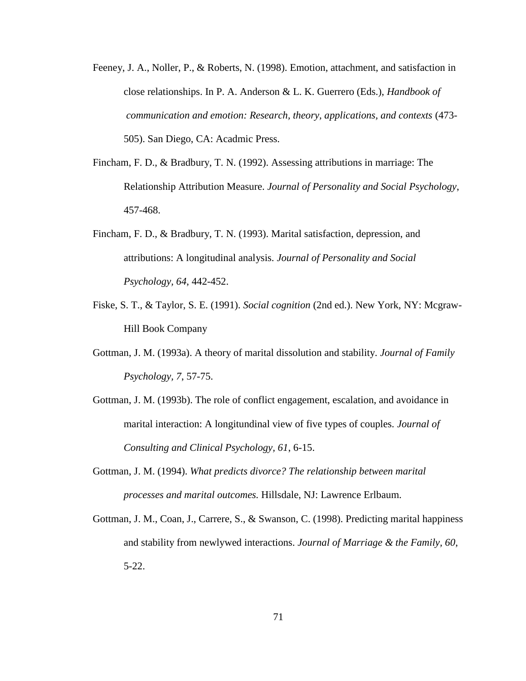- Feeney, J. A., Noller, P., & Roberts, N. (1998). Emotion, attachment, and satisfaction in close relationships. In P. A. Anderson & L. K. Guerrero (Eds.), *Handbook of communication and emotion: Research, theory, applications, and contexts* (473- 505). San Diego, CA: Acadmic Press.
- Fincham, F. D., & Bradbury, T. N. (1992). Assessing attributions in marriage: The Relationship Attribution Measure. *Journal of Personality and Social Psychology*, 457-468.
- Fincham, F. D., & Bradbury, T. N. (1993). Marital satisfaction, depression, and attributions: A longitudinal analysis. *Journal of Personality and Social Psychology, 64*, 442-452.
- Fiske, S. T., & Taylor, S. E. (1991). *Social cognition* (2nd ed.). New York, NY: Mcgraw-Hill Book Company
- Gottman, J. M. (1993a). A theory of marital dissolution and stability. *Journal of Family Psychology, 7*, 57-75.
- Gottman, J. M. (1993b). The role of conflict engagement, escalation, and avoidance in marital interaction: A longitundinal view of five types of couples. *Journal of Consulting and Clinical Psychology, 61*, 6-15.
- Gottman, J. M. (1994). *What predicts divorce? The relationship between marital processes and marital outcomes.* Hillsdale, NJ: Lawrence Erlbaum.
- Gottman, J. M., Coan, J., Carrere, S., & Swanson, C. (1998). Predicting marital happiness and stability from newlywed interactions. *Journal of Marriage & the Family, 60*, 5-22.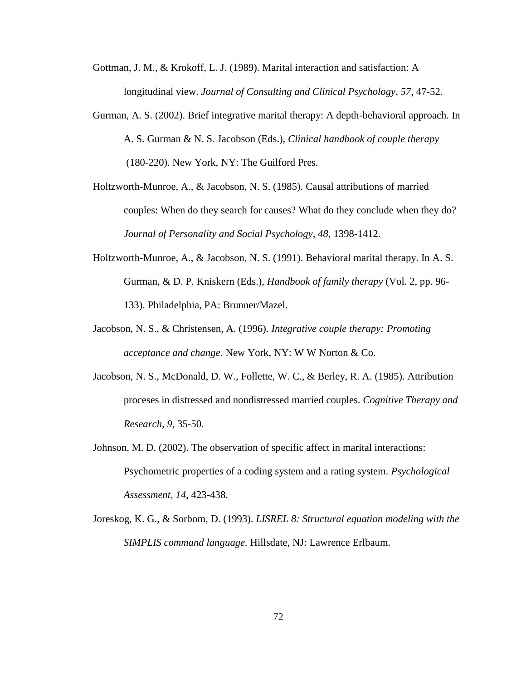- Gottman, J. M., & Krokoff, L. J. (1989). Marital interaction and satisfaction: A longitudinal view. *Journal of Consulting and Clinical Psychology, 57*, 47-52.
- Gurman, A. S. (2002). Brief integrative marital therapy: A depth-behavioral approach. In A. S. Gurman & N. S. Jacobson (Eds.), *Clinical handbook of couple therapy* (180-220). New York, NY: The Guilford Pres.
- Holtzworth-Munroe, A., & Jacobson, N. S. (1985). Causal attributions of married couples: When do they search for causes? What do they conclude when they do? *Journal of Personality and Social Psychology, 48*, 1398-1412.
- Holtzworth-Munroe, A., & Jacobson, N. S. (1991). Behavioral marital therapy. In A. S. Gurman, & D. P. Kniskern (Eds.), *Handbook of family therapy* (Vol. 2, pp. 96- 133). Philadelphia, PA: Brunner/Mazel.
- Jacobson, N. S., & Christensen, A. (1996). *Integrative couple therapy: Promoting acceptance and change.* New York, NY: W W Norton & Co.
- Jacobson, N. S., McDonald, D. W., Follette, W. C., & Berley, R. A. (1985). Attribution proceses in distressed and nondistressed married couples. *Cognitive Therapy and Research, 9*, 35-50.
- Johnson, M. D. (2002). The observation of specific affect in marital interactions: Psychometric properties of a coding system and a rating system. *Psychological Assessment, 14,* 423-438.
- Joreskog, K. G., & Sorbom, D. (1993). *LISREL 8: Structural equation modeling with the SIMPLIS command language.* Hillsdate, NJ: Lawrence Erlbaum.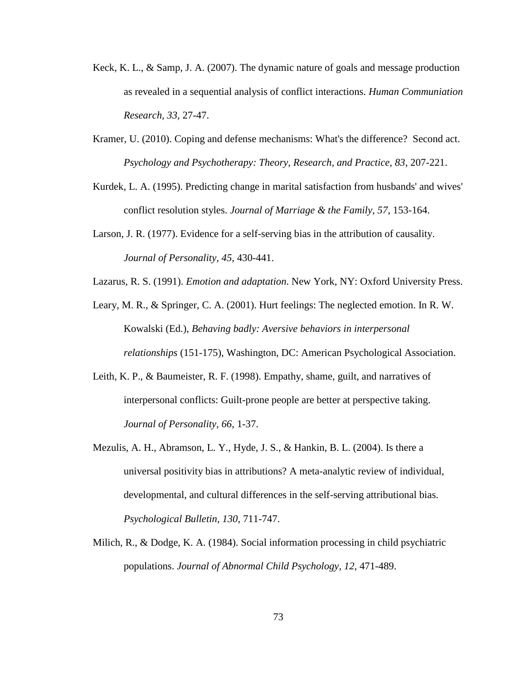- Keck, K. L., & Samp, J. A. (2007). The dynamic nature of goals and message production as revealed in a sequential analysis of conflict interactions. *Human Communiation Research, 33,* 27-47.
- Kramer, U. (2010). Coping and defense mechanisms: What's the difference? Second act. *Psychology and Psychotherapy: Theory, Research, and Practice, 83*, 207-221.
- Kurdek, L. A. (1995). Predicting change in marital satisfaction from husbands' and wives' conflict resolution styles. *Journal of Marriage & the Family, 57*, 153-164.
- Larson, J. R. (1977). Evidence for a self-serving bias in the attribution of causality. *Journal of Personality, 45,* 430-441.
- Lazarus, R. S. (1991). *Emotion and adaptation*. New York, NY: Oxford University Press.
- Leary, M. R., & Springer, C. A. (2001). Hurt feelings: The neglected emotion. In R. W. Kowalski (Ed.), *Behaving badly: Aversive behaviors in interpersonal relationships* (151-175), Washington, DC: American Psychological Association.
- Leith, K. P., & Baumeister, R. F. (1998). Empathy, shame, guilt, and narratives of interpersonal conflicts: Guilt-prone people are better at perspective taking. *Journal of Personality, 66*, 1-37.
- Mezulis, A. H., Abramson, L. Y., Hyde, J. S., & Hankin, B. L. (2004). Is there a universal positivity bias in attributions? A meta-analytic review of individual, developmental, and cultural differences in the self-serving attributional bias. *Psychological Bulletin, 130*, 711-747.
- Milich, R., & Dodge, K. A. (1984). Social information processing in child psychiatric populations. *Journal of Abnormal Child Psychology, 12,* 471-489.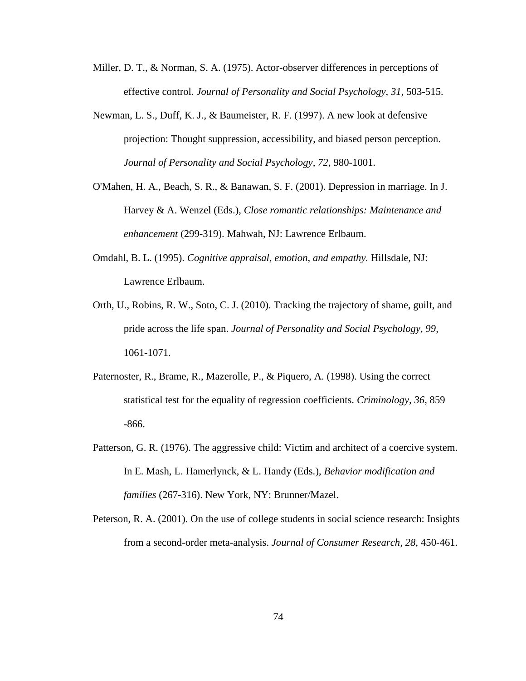- Miller, D. T., & Norman, S. A. (1975). Actor-observer differences in perceptions of effective control. *Journal of Personality and Social Psychology, 31,* 503-515.
- Newman, L. S., Duff, K. J., & Baumeister, R. F. (1997). A new look at defensive projection: Thought suppression, accessibility, and biased person perception. *Journal of Personality and Social Psychology, 72*, 980-1001.
- O'Mahen, H. A., Beach, S. R., & Banawan, S. F. (2001). Depression in marriage. In J. Harvey & A. Wenzel (Eds.), *Close romantic relationships: Maintenance and enhancement* (299-319). Mahwah, NJ: Lawrence Erlbaum.
- Omdahl, B. L. (1995). *Cognitive appraisal, emotion, and empathy.* Hillsdale, NJ: Lawrence Erlbaum.
- Orth, U., Robins, R. W., Soto, C. J. (2010). Tracking the trajectory of shame, guilt, and pride across the life span. *Journal of Personality and Social Psychology, 99,* 1061-1071.
- Paternoster, R., Brame, R., Mazerolle, P., & Piquero, A. (1998). Using the correct statistical test for the equality of regression coefficients. *Criminology, 36,* 859 -866.
- Patterson, G. R. (1976). The aggressive child: Victim and architect of a coercive system. In E. Mash, L. Hamerlynck, & L. Handy (Eds.), *Behavior modification and families* (267-316). New York, NY: Brunner/Mazel.
- Peterson, R. A. (2001). On the use of college students in social science research: Insights from a second-order meta-analysis. *Journal of Consumer Research, 28,* 450-461.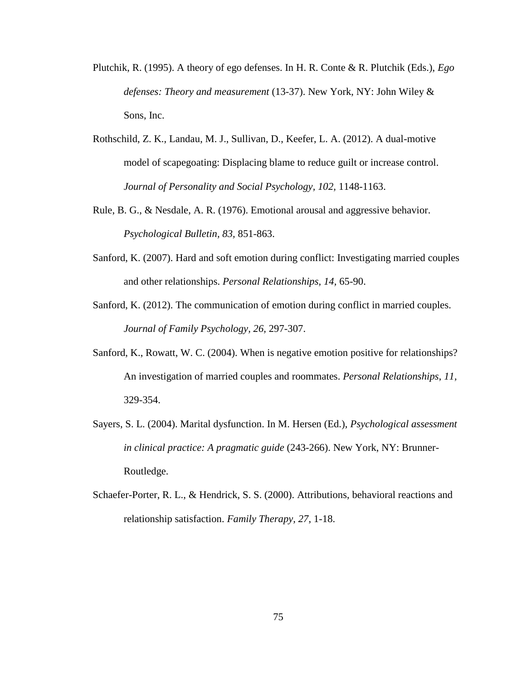- Plutchik, R. (1995). A theory of ego defenses. In H. R. Conte & R. Plutchik (Eds.), *Ego defenses: Theory and measurement* (13-37). New York, NY: John Wiley & Sons, Inc.
- Rothschild, Z. K., Landau, M. J., Sullivan, D., Keefer, L. A. (2012). A dual-motive model of scapegoating: Displacing blame to reduce guilt or increase control. *Journal of Personality and Social Psychology, 102,* 1148-1163.
- Rule, B. G., & Nesdale, A. R. (1976). Emotional arousal and aggressive behavior. *Psychological Bulletin, 83,* 851-863.
- Sanford, K. (2007). Hard and soft emotion during conflict: Investigating married couples and other relationships. *Personal Relationships, 14,* 65-90.
- Sanford, K. (2012). The communication of emotion during conflict in married couples. *Journal of Family Psychology, 26,* 297-307.
- Sanford, K., Rowatt, W. C. (2004). When is negative emotion positive for relationships? An investigation of married couples and roommates. *Personal Relationships*, *11,* 329-354.
- Sayers, S. L. (2004). Marital dysfunction. In M. Hersen (Ed.), *Psychological assessment in clinical practice: A pragmatic guide* (243-266). New York, NY: Brunner-Routledge.
- Schaefer-Porter, R. L., & Hendrick, S. S. (2000). Attributions, behavioral reactions and relationship satisfaction. *Family Therapy, 27*, 1-18.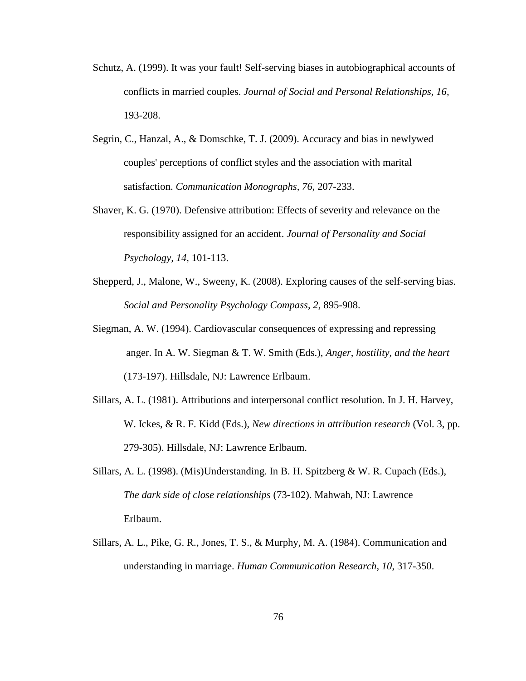- Schutz, A. (1999). It was your fault! Self-serving biases in autobiographical accounts of conflicts in married couples. *Journal of Social and Personal Relationships, 16,* 193-208.
- Segrin, C., Hanzal, A., & Domschke, T. J. (2009). Accuracy and bias in newlywed couples' perceptions of conflict styles and the association with marital satisfaction. *Communication Monographs, 76*, 207-233.
- Shaver, K. G. (1970). Defensive attribution: Effects of severity and relevance on the responsibility assigned for an accident. *Journal of Personality and Social Psychology, 14,* 101-113.
- Shepperd, J., Malone, W., Sweeny, K. (2008). Exploring causes of the self-serving bias. *Social and Personality Psychology Compass, 2,* 895-908.
- Siegman, A. W. (1994). Cardiovascular consequences of expressing and repressing anger. In A. W. Siegman & T. W. Smith (Eds.), *Anger, hostility, and the heart* (173-197). Hillsdale, NJ: Lawrence Erlbaum.
- Sillars, A. L. (1981). Attributions and interpersonal conflict resolution. In J. H. Harvey, W. Ickes, & R. F. Kidd (Eds.), *New directions in attribution research* (Vol. 3, pp. 279-305). Hillsdale, NJ: Lawrence Erlbaum.
- Sillars, A. L. (1998). (Mis)Understanding. In B. H. Spitzberg & W. R. Cupach (Eds.), *The dark side of close relationships* (73-102). Mahwah, NJ: Lawrence Erlbaum.
- Sillars, A. L., Pike, G. R., Jones, T. S., & Murphy, M. A. (1984). Communication and understanding in marriage. *Human Communication Research, 10*, 317-350.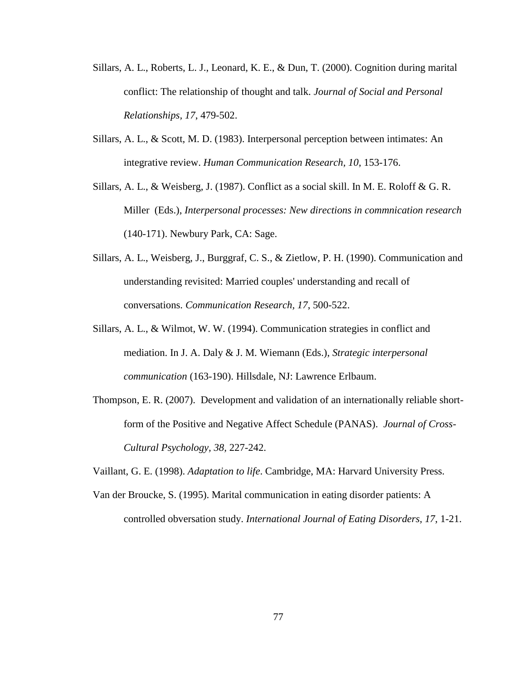- Sillars, A. L., Roberts, L. J., Leonard, K. E., & Dun, T. (2000). Cognition during marital conflict: The relationship of thought and talk. *Journal of Social and Personal Relationships, 17*, 479-502.
- Sillars, A. L., & Scott, M. D. (1983). Interpersonal perception between intimates: An integrative review. *Human Communication Research, 10*, 153-176.
- Sillars, A. L., & Weisberg, J. (1987). Conflict as a social skill. In M. E. Roloff & G. R. Miller (Eds.), *Interpersonal processes: New directions in commnication research* (140-171). Newbury Park, CA: Sage.
- Sillars, A. L., Weisberg, J., Burggraf, C. S., & Zietlow, P. H. (1990). Communication and understanding revisited: Married couples' understanding and recall of conversations. *Communication Research, 17*, 500-522.
- Sillars, A. L., & Wilmot, W. W. (1994). Communication strategies in conflict and mediation. In J. A. Daly & J. M. Wiemann (Eds.), *Strategic interpersonal communication* (163-190). Hillsdale, NJ: Lawrence Erlbaum.
- Thompson, E. R. (2007). Development and validation of an internationally reliable shortform of the Positive and Negative Affect Schedule (PANAS). *Journal of Cross-Cultural Psychology, 38,* 227-242.

Vaillant, G. E. (1998). *Adaptation to life*. Cambridge, MA: Harvard University Press.

Van der Broucke, S. (1995). Marital communication in eating disorder patients: A controlled obversation study. *International Journal of Eating Disorders, 17*, 1-21.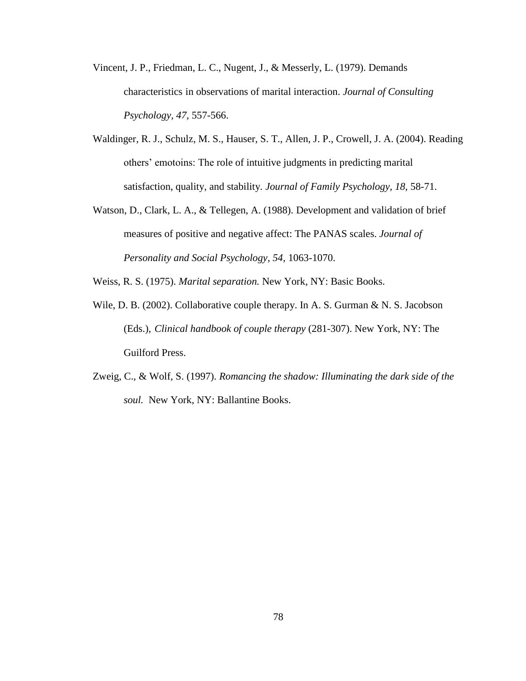- Vincent, J. P., Friedman, L. C., Nugent, J., & Messerly, L. (1979). Demands characteristics in observations of marital interaction. *Journal of Consulting Psychology, 47*, 557-566.
- Waldinger, R. J., Schulz, M. S., Hauser, S. T., Allen, J. P., Crowell, J. A. (2004). Reading others' emotoins: The role of intuitive judgments in predicting marital satisfaction, quality, and stability. *Journal of Family Psychology, 18,* 58-71.
- Watson, D., Clark, L. A., & Tellegen, A. (1988). Development and validation of brief measures of positive and negative affect: The PANAS scales. *Journal of Personality and Social Psychology, 54,* 1063-1070.
- Weiss, R. S. (1975). *Marital separation.* New York, NY: Basic Books.
- Wile, D. B. (2002). Collaborative couple therapy. In A. S. Gurman & N. S. Jacobson (Eds.), *Clinical handbook of couple therapy* (281-307). New York, NY: The Guilford Press.
- Zweig, C., & Wolf, S. (1997). *Romancing the shadow: Illuminating the dark side of the soul.* New York, NY: Ballantine Books.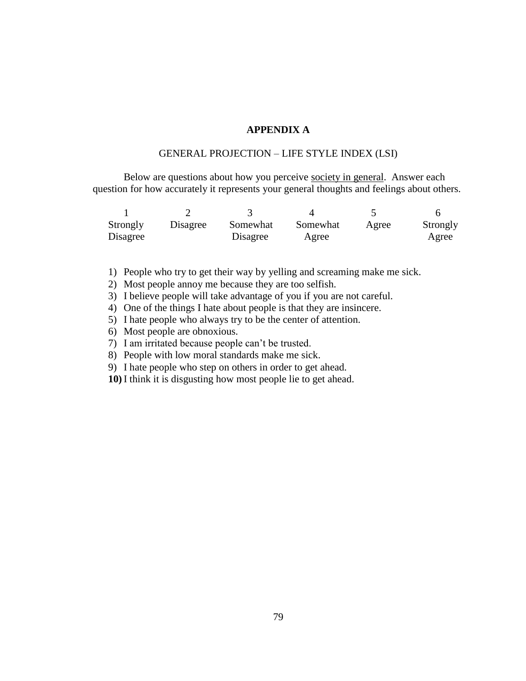### **APPENDIX A**

### GENERAL PROJECTION – LIFE STYLE INDEX (LSI)

Below are questions about how you perceive society in general. Answer each question for how accurately it represents your general thoughts and feelings about others.

| Strongly | Disagree | Somewhat | Somewhat | Agree | Strongly |
|----------|----------|----------|----------|-------|----------|
| Disagree |          | Disagree | Agree    |       | Agree    |

1) People who try to get their way by yelling and screaming make me sick.

2) Most people annoy me because they are too selfish.

3) I believe people will take advantage of you if you are not careful.

4) One of the things I hate about people is that they are insincere.

5) I hate people who always try to be the center of attention.

6) Most people are obnoxious.

7) I am irritated because people can't be trusted.

8) People with low moral standards make me sick.

9) I hate people who step on others in order to get ahead.

**10)** I think it is disgusting how most people lie to get ahead.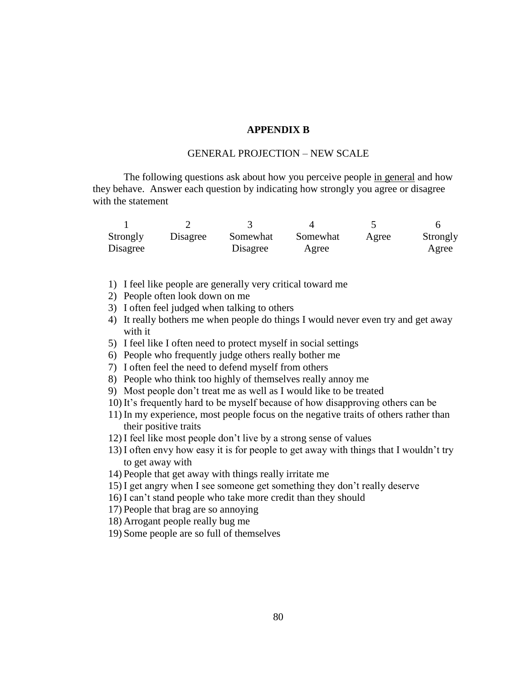### **APPENDIX B**

#### GENERAL PROJECTION – NEW SCALE

The following questions ask about how you perceive people in general and how they behave. Answer each question by indicating how strongly you agree or disagree with the statement

| Strongly | Disagree | Somewhat | Somewhat | Agree | Strongly |
|----------|----------|----------|----------|-------|----------|
| Disagree |          | Disagree | Agree    |       | Agree    |

- 1) I feel like people are generally very critical toward me
- 2) People often look down on me
- 3) I often feel judged when talking to others
- 4) It really bothers me when people do things I would never even try and get away with it
- 5) I feel like I often need to protect myself in social settings
- 6) People who frequently judge others really bother me
- 7) I often feel the need to defend myself from others
- 8) People who think too highly of themselves really annoy me
- 9) Most people don't treat me as well as I would like to be treated
- 10) It's frequently hard to be myself because of how disapproving others can be
- 11) In my experience, most people focus on the negative traits of others rather than their positive traits
- 12) I feel like most people don't live by a strong sense of values
- 13) I often envy how easy it is for people to get away with things that I wouldn't try to get away with
- 14) People that get away with things really irritate me
- 15) I get angry when I see someone get something they don't really deserve
- 16) I can't stand people who take more credit than they should
- 17) People that brag are so annoying
- 18) Arrogant people really bug me
- 19) Some people are so full of themselves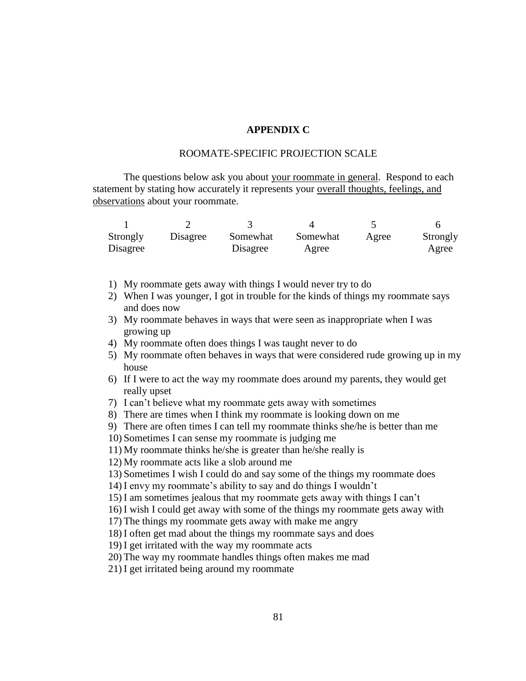### **APPENDIX C**

#### ROOMATE-SPECIFIC PROJECTION SCALE

The questions below ask you about your roommate in general. Respond to each statement by stating how accurately it represents your overall thoughts, feelings, and observations about your roommate.

| Strongly | Disagree | Somewhat | Somewhat | Agree | Strongly |
|----------|----------|----------|----------|-------|----------|
| Disagree |          | Disagree | Agree    |       | Agree    |

- 1) My roommate gets away with things I would never try to do
- 2) When I was younger, I got in trouble for the kinds of things my roommate says and does now
- 3) My roommate behaves in ways that were seen as inappropriate when I was growing up
- 4) My roommate often does things I was taught never to do
- 5) My roommate often behaves in ways that were considered rude growing up in my house
- 6) If I were to act the way my roommate does around my parents, they would get really upset
- 7) I can't believe what my roommate gets away with sometimes
- 8) There are times when I think my roommate is looking down on me
- 9) There are often times I can tell my roommate thinks she/he is better than me
- 10) Sometimes I can sense my roommate is judging me
- 11) My roommate thinks he/she is greater than he/she really is
- 12) My roommate acts like a slob around me

13) Sometimes I wish I could do and say some of the things my roommate does

- 14) I envy my roommate's ability to say and do things I wouldn't
- 15) I am sometimes jealous that my roommate gets away with things I can't

16) I wish I could get away with some of the things my roommate gets away with

17) The things my roommate gets away with make me angry

18) I often get mad about the things my roommate says and does

19) I get irritated with the way my roommate acts

20) The way my roommate handles things often makes me mad

21) I get irritated being around my roommate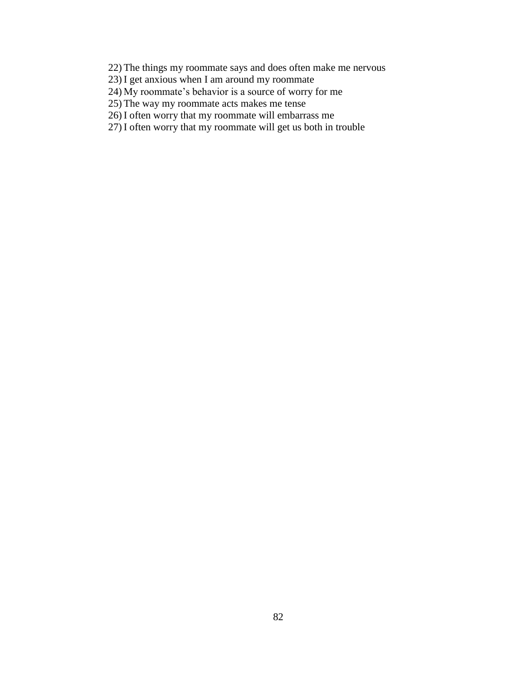22) The things my roommate says and does often make me nervous

23) I get anxious when I am around my roommate

24) My roommate's behavior is a source of worry for me

25) The way my roommate acts makes me tense

26) I often worry that my roommate will embarrass me

27) I often worry that my roommate will get us both in trouble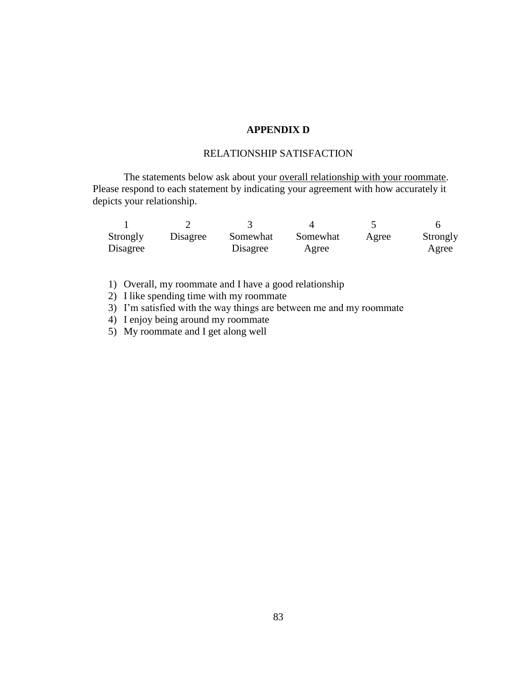## **APPENDIX D**

### RELATIONSHIP SATISFACTION

The statements below ask about your <u>overall relationship with your roommate</u>. Please respond to each statement by indicating your agreement with how accurately it depicts your relationship.

| Strongly | Disagree | Somewhat | Somewhat | Agree | Strongly |
|----------|----------|----------|----------|-------|----------|
| Disagree |          | Disagree | Agree    |       | Agree    |

1) Overall, my roommate and I have a good relationship

2) I like spending time with my roommate

3) I'm satisfied with the way things are between me and my roommate

4) I enjoy being around my roommate

5) My roommate and I get along well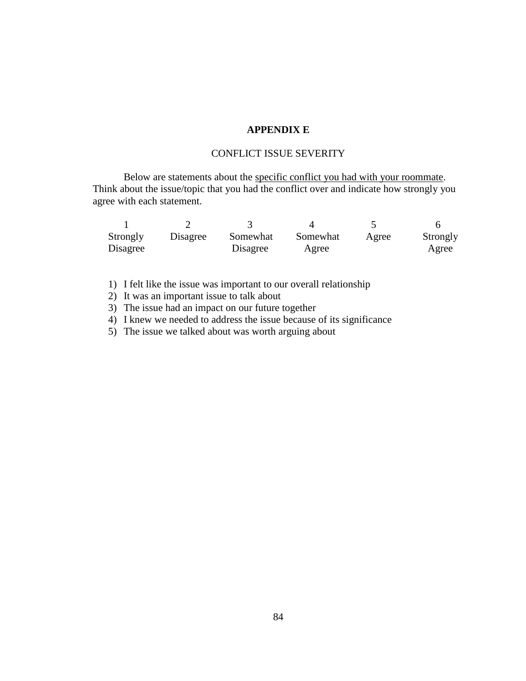## **APPENDIX E**

### CONFLICT ISSUE SEVERITY

Below are statements about the specific conflict you had with your roommate. Think about the issue/topic that you had the conflict over and indicate how strongly you agree with each statement.

| Strongly | Disagree | Somewhat | Somewhat | Agree | Strongly |
|----------|----------|----------|----------|-------|----------|
| Disagree |          | Disagree | Agree    |       | Agree    |

1) I felt like the issue was important to our overall relationship

2) It was an important issue to talk about

3) The issue had an impact on our future together

4) I knew we needed to address the issue because of its significance

5) The issue we talked about was worth arguing about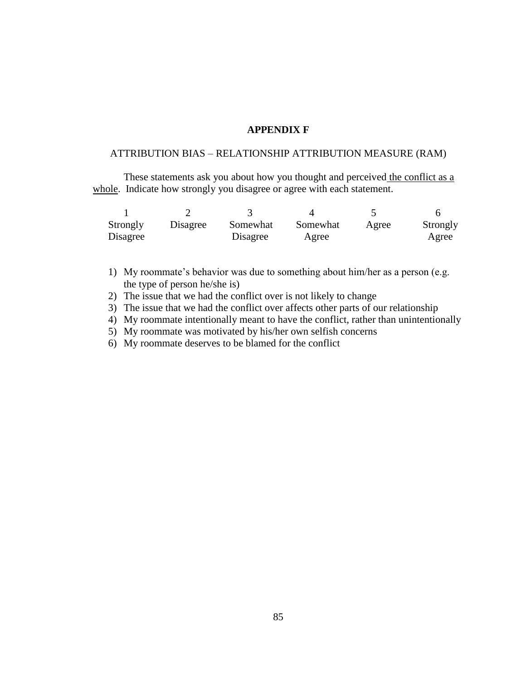#### **APPENDIX F**

### ATTRIBUTION BIAS – RELATIONSHIP ATTRIBUTION MEASURE (RAM)

These statements ask you about how you thought and perceived the conflict as a whole. Indicate how strongly you disagree or agree with each statement.

| Strongly | Disagree | Somewhat | Somewhat | Agree | Strongly |
|----------|----------|----------|----------|-------|----------|
| Disagree |          | Disagree | Agree    |       | Agree    |

- 1) My roommate's behavior was due to something about him/her as a person (e.g. the type of person he/she is)
- 2) The issue that we had the conflict over is not likely to change
- 3) The issue that we had the conflict over affects other parts of our relationship
- 4) My roommate intentionally meant to have the conflict, rather than unintentionally
- 5) My roommate was motivated by his/her own selfish concerns
- 6) My roommate deserves to be blamed for the conflict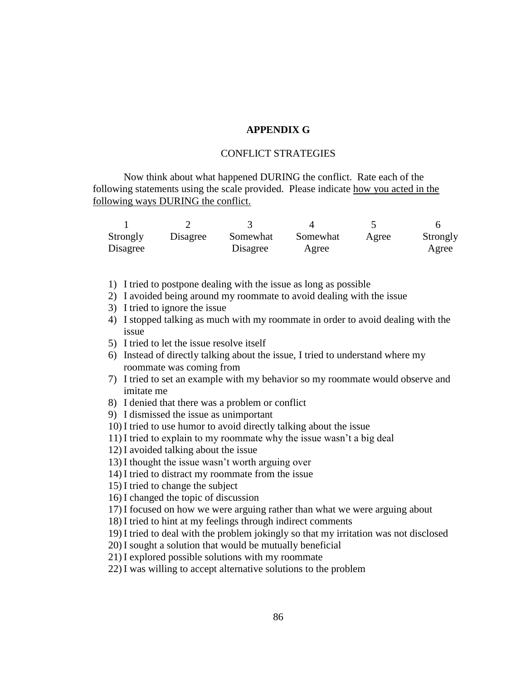### **APPENDIX G**

## CONFLICT STRATEGIES

Now think about what happened DURING the conflict. Rate each of the following statements using the scale provided. Please indicate how you acted in the following ways DURING the conflict.

| Strongly | Disagree | Somewhat | Somewhat | Agree | Strongly |
|----------|----------|----------|----------|-------|----------|
| Disagree |          | Disagree | Agree    |       | Agree    |

- 1) I tried to postpone dealing with the issue as long as possible
- 2) I avoided being around my roommate to avoid dealing with the issue
- 3) I tried to ignore the issue
- 4) I stopped talking as much with my roommate in order to avoid dealing with the issue
- 5) I tried to let the issue resolve itself
- 6) Instead of directly talking about the issue, I tried to understand where my roommate was coming from
- 7) I tried to set an example with my behavior so my roommate would observe and imitate me
- 8) I denied that there was a problem or conflict
- 9) I dismissed the issue as unimportant
- 10) I tried to use humor to avoid directly talking about the issue
- 11) I tried to explain to my roommate why the issue wasn't a big deal

12) I avoided talking about the issue

- 13) I thought the issue wasn't worth arguing over
- 14) I tried to distract my roommate from the issue
- 15) I tried to change the subject

16) I changed the topic of discussion

17) I focused on how we were arguing rather than what we were arguing about

18) I tried to hint at my feelings through indirect comments

19) I tried to deal with the problem jokingly so that my irritation was not disclosed

20) I sought a solution that would be mutually beneficial

21) I explored possible solutions with my roommate

22) I was willing to accept alternative solutions to the problem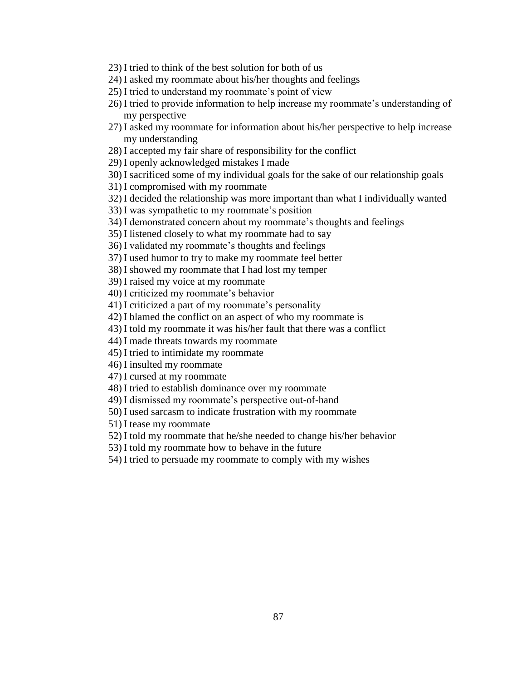23) I tried to think of the best solution for both of us

24) I asked my roommate about his/her thoughts and feelings

25) I tried to understand my roommate's point of view

- 26) I tried to provide information to help increase my roommate's understanding of my perspective
- 27) I asked my roommate for information about his/her perspective to help increase my understanding

28) I accepted my fair share of responsibility for the conflict

29) I openly acknowledged mistakes I made

30) I sacrificed some of my individual goals for the sake of our relationship goals

31) I compromised with my roommate

32) I decided the relationship was more important than what I individually wanted

33) I was sympathetic to my roommate's position

34) I demonstrated concern about my roommate's thoughts and feelings

35) I listened closely to what my roommate had to say

36) I validated my roommate's thoughts and feelings

37) I used humor to try to make my roommate feel better

38) I showed my roommate that I had lost my temper

39) I raised my voice at my roommate

40) I criticized my roommate's behavior

41) I criticized a part of my roommate's personality

42) I blamed the conflict on an aspect of who my roommate is

43) I told my roommate it was his/her fault that there was a conflict

44) I made threats towards my roommate

45) I tried to intimidate my roommate

46) I insulted my roommate

47) I cursed at my roommate

48) I tried to establish dominance over my roommate

49) I dismissed my roommate's perspective out-of-hand

50) I used sarcasm to indicate frustration with my roommate

51) I tease my roommate

52) I told my roommate that he/she needed to change his/her behavior

53) I told my roommate how to behave in the future

54) I tried to persuade my roommate to comply with my wishes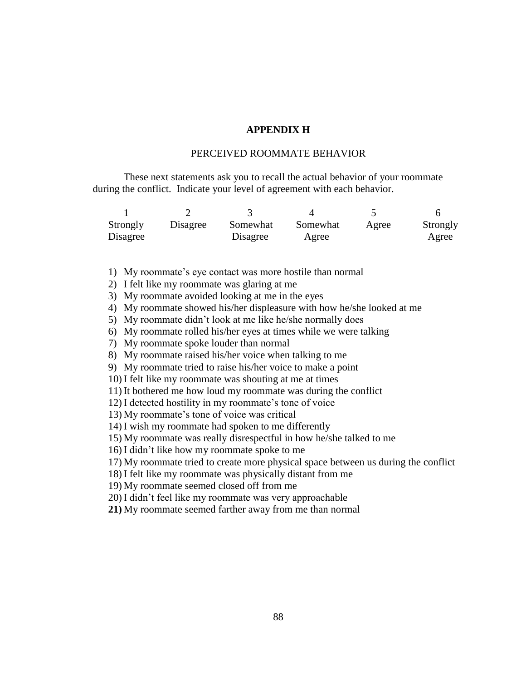### **APPENDIX H**

#### PERCEIVED ROOMMATE BEHAVIOR

These next statements ask you to recall the actual behavior of your roommate during the conflict. Indicate your level of agreement with each behavior.

| Strongly | Disagree | Somewhat | Somewhat | Agree | Strongly |
|----------|----------|----------|----------|-------|----------|
| Disagree |          | Disagree | Agree    |       | Agree    |

1) My roommate's eye contact was more hostile than normal

2) I felt like my roommate was glaring at me

3) My roommate avoided looking at me in the eyes

4) My roommate showed his/her displeasure with how he/she looked at me

5) My roommate didn't look at me like he/she normally does

6) My roommate rolled his/her eyes at times while we were talking

7) My roommate spoke louder than normal

8) My roommate raised his/her voice when talking to me

9) My roommate tried to raise his/her voice to make a point

10) I felt like my roommate was shouting at me at times

11) It bothered me how loud my roommate was during the conflict

12) I detected hostility in my roommate's tone of voice

13) My roommate's tone of voice was critical

14) I wish my roommate had spoken to me differently

15) My roommate was really disrespectful in how he/she talked to me

16) I didn't like how my roommate spoke to me

17) My roommate tried to create more physical space between us during the conflict

18) I felt like my roommate was physically distant from me

19) My roommate seemed closed off from me

20) I didn't feel like my roommate was very approachable

**21)** My roommate seemed farther away from me than normal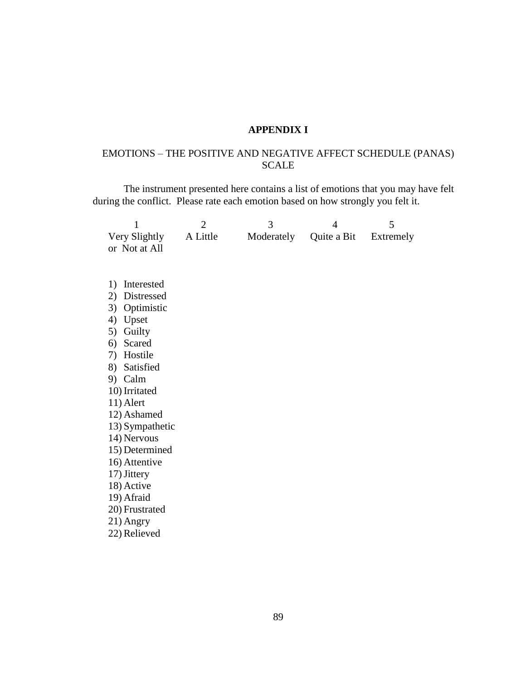## **APPENDIX I**

# EMOTIONS – THE POSITIVE AND NEGATIVE AFFECT SCHEDULE (PANAS) SCALE

The instrument presented here contains a list of emotions that you may have felt during the conflict. Please rate each emotion based on how strongly you felt it.

| 1                | $\overline{2}$ | 3          | $\overline{4}$ | 5         |
|------------------|----------------|------------|----------------|-----------|
| Very Slightly    | A Little       | Moderately | Quite a Bit    | Extremely |
| or Not at All    |                |            |                |           |
|                  |                |            |                |           |
|                  |                |            |                |           |
| Interested<br>1) |                |            |                |           |
| Distressed<br>2) |                |            |                |           |
| Optimistic<br>3) |                |            |                |           |
| 4)<br>Upset      |                |            |                |           |
| Guilty<br>5)     |                |            |                |           |
| Scared<br>6)     |                |            |                |           |
| Hostile<br>7)    |                |            |                |           |
| 8) Satisfied     |                |            |                |           |
| 9) Calm          |                |            |                |           |
| 10) Irritated    |                |            |                |           |
| 11) Alert        |                |            |                |           |
| 12) Ashamed      |                |            |                |           |
| 13) Sympathetic  |                |            |                |           |
| 14) Nervous      |                |            |                |           |
| 15) Determined   |                |            |                |           |
| 16) Attentive    |                |            |                |           |
| 17) Jittery      |                |            |                |           |
| 18) Active       |                |            |                |           |
| 19) Afraid       |                |            |                |           |
| 20) Frustrated   |                |            |                |           |
| 21) Angry        |                |            |                |           |
| 22) Relieved     |                |            |                |           |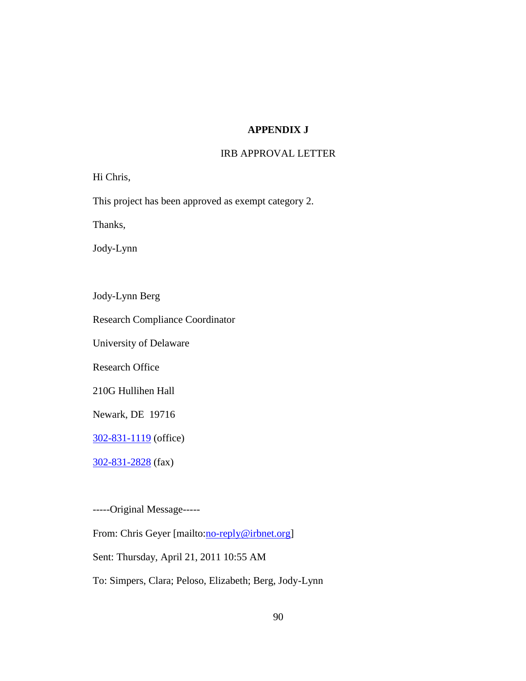## **APPENDIX J**

## IRB APPROVAL LETTER

Hi Chris,

This project has been approved as exempt category 2.

Thanks,

Jody-Lynn

Jody-Lynn Berg

Research Compliance Coordinator

University of Delaware

Research Office

210G Hullihen Hall

Newark, DE 19716

[302-831-1119](tel:302-831-1119) (office)

[302-831-2828](tel:302-831-2828) (fax)

-----Original Message-----

From: Chris Geyer [mailto:*no-reply@irbnet.org]* 

Sent: Thursday, April 21, 2011 10:55 AM

To: Simpers, Clara; Peloso, Elizabeth; Berg, Jody-Lynn